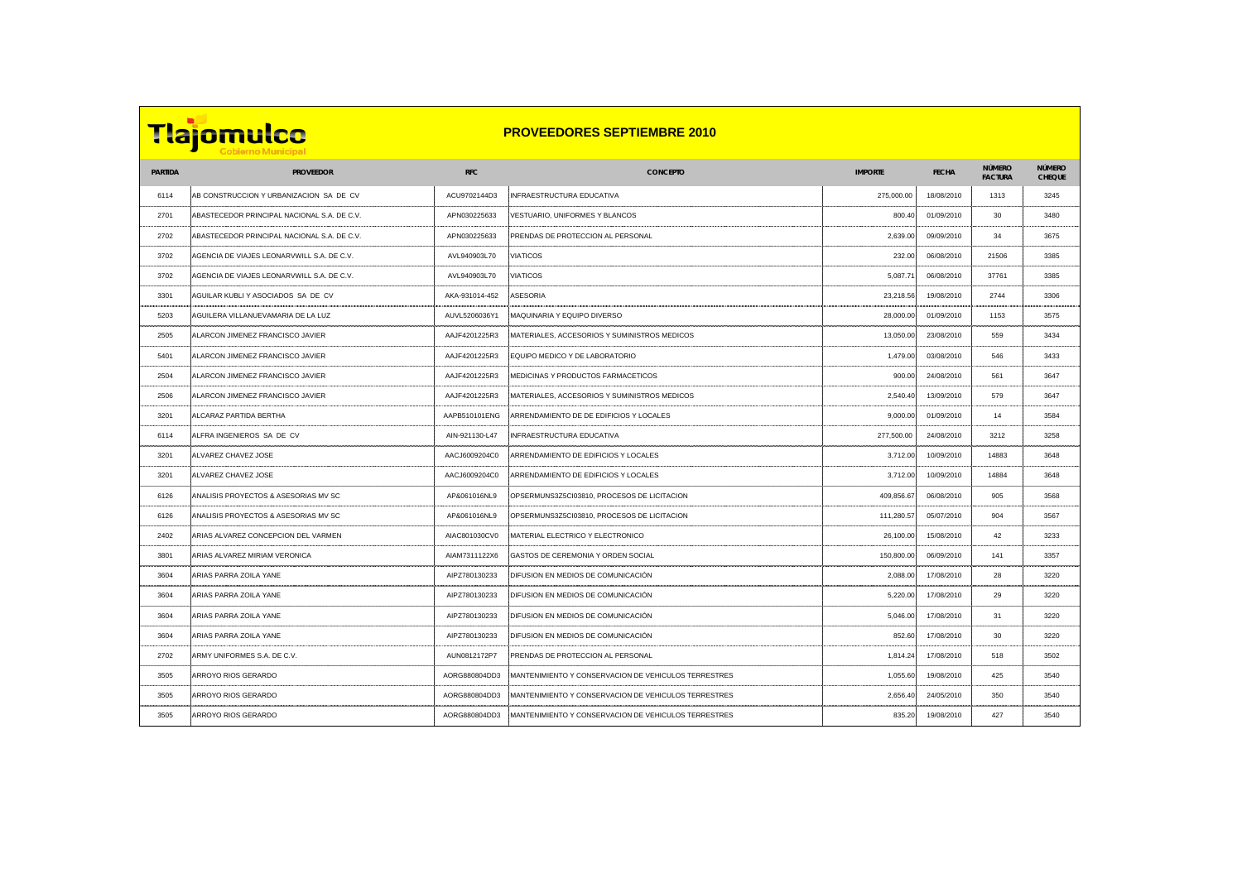**PARTIDA PROVEEDOR RFC CONCEPTO IMPORTE FECHA NÚMERO** 

 AB CONSTRUCCION Y URBANIZACION SA DE CV ACU9702144D3 INFRAESTRUCTURA EDUCATIVA 275,000.00 18/08/2010 1313 3245 2701 ABASTECEDOR PRINCIPAL NACIONAL S.A. DE C.V. APNO30256333 VESTUARIO, UNIFORMES Y BLANCOS 800.40 01/09/2010 2702 ABASTECEDOR PRINCIPAL NACIONAL S.A. DE C.V. APNOSTECEDOR PRINCIPAL DE PROTECCION AL PERSONAL 2,039.00 09/ AGENCIA DE VIAJES LEONARVWILL S.A. DE C.V. AVL940903L70 VIATICOS 232.00 06/08/2010 21506 3385 AGENCIA DE VIAJES LEONARVWILL S.A. DE C.V. AVL940903L70 VIATICOS 5,087.71 06/08/2010 37761 3385 AGUILAR KUBLI Y ASOCIADOS SA DE CV AKA-931014-452 ASESORIA 23,218.56 19/08/2010 2744 3306 AGUILERA VILLANUEVAMARIA DE LA LUZ AUVL5206036Y1 MAQUINARIA Y EQUIPO DIVERSO 28,000.00 01/09/2010 1153 3575 ALARCON JIMENEZ FRANCISCO JAVIER AAJF4201225R3 MATERIALES, ACCESORIOS Y SUMINISTROS MEDICOS 13,050.00 23/08/2010 559 3434 ALARCON JIMENEZ FRANCISCO JAVIER AAJF4201225R3 EQUIPO MEDICO Y DE LABORATORIO 1,479.00 03/08/2010 546 3433 ALARCON JIMENEZ FRANCISCO JAVIER AAJF4201225R3 MEDICINAS Y PRODUCTOS FARMACETICOS 900.00 24/08/2010 561 3647 ALARCON JIMENEZ FRANCISCO JAVIER AAJF4201225R3 MATERIALES, ACCESORIOS Y SUMINISTROS MEDICOS 2,540.40 13/09/2010 579 3647 ALCARAZ PARTIDA BERTHA AAPB510101ENG ARRENDAMIENTO DE DE EDIFICIOS Y LOCALES 9,000.00 01/09/2010 14 3584 ALFRA INGENIEROS SA DE CV AIN-921130-L47 INFRAESTRUCTURA EDUCATIVA 277,500.00 24/08/2010 3212 3258 ALVAREZ CHAVEZ JOSE AACJ6009204C0 ARRENDAMIENTO DE EDIFICIOS Y LOCALES 3,712.00 10/09/2010 14883 3648 ALVAREZ CHAVEZ JOSE AACJ6009204C0 ARRENDAMIENTO DE EDIFICIOS Y LOCALES 3,712.00 10/09/2010 14884 3648 ANALISIS PROYECTOS & ASESORIAS MV SC AP&061016NL9 OPSERMUNS3Z5CI03810, PROCESOS DE LICITACION 409,856.67 06/08/2010 905 3568 ANALISIS PROYECTOS & ASESORIAS MV SC AP&061016NL9 OPSERMUNS3Z5CI03810, PROCESOS DE LICITACION 111,280.57 05/07/2010 904 3567 ARIAS ALVAREZ CONCEPCION DEL VARMEN AIAC801030CV0 MATERIAL ELECTRICO Y ELECTRONICO 26,100.00 15/08/2010 42 3233 ARIAS ALVAREZ MIRIAM VERONICA AIAM7311122X6 GASTOS DE CEREMONIA Y ORDEN SOCIAL 150,800.00 06/09/2010 141 3357 ARIAS PARRA ZOILA YANE AIPZ780130233 DIFUSION EN MEDIOS DE COMUNICACIÓN 2,088.00 17/08/2010 28 3220 ARIAS PARRA ZOILA YANE AIPZ780130233 DIFUSION EN MEDIOS DE COMUNICACIÓN 5,220.00 17/08/2010 29 3220 ARIAS PARRA ZOILA YANE AIPZ780130233 DIFUSION EN MEDIOS DE COMUNICACIÓN 5,046.00 17/08/2010 31 3220 ARIAS PARRA ZOILA YANE AIPZ780130233 DIFUSION EN MEDIOS DE COMUNICACIÓN 852.60 17/08/2010 30 3220 2702 ARMY UNIFORMES S.A. DE C.V. AUNO8121722P7 PRENDAS DE PROTECCION AL PERSONAL 1,814.24 17/08/2010 518 2010 3505 ARROYO RIOS GERARDO AORGANIZATI INDIANA ARROYENTZAKO ARROYEN (H. 1970).<br>1910 - Ernesta Ernesta Ernesta Ernesta Ernesta Ernesta Ernesta Ernesta Ernesta Ernesta Ernesta Ernesta Ernesta 3505 ARROYO RIOS GERARDO AORGANIZATIONE ARROYENTZA ERRESTRES 2,057. ARROYENTZA ERRESTRES 2,654.40 24/05/2010 A 3505 ARROYO RIOS GERARDO AORGANIS MANTEN AORGANIS (H. 1970).<br>1971 - Perus Perus Perus Perus Perus Perus Perus Perus Perus Perus Perus Perus Perus Perus Perus Perus Perus

**FACTURA NÚMERO CHEQUE PROVEEDORES SEPTIEMBRE 2010**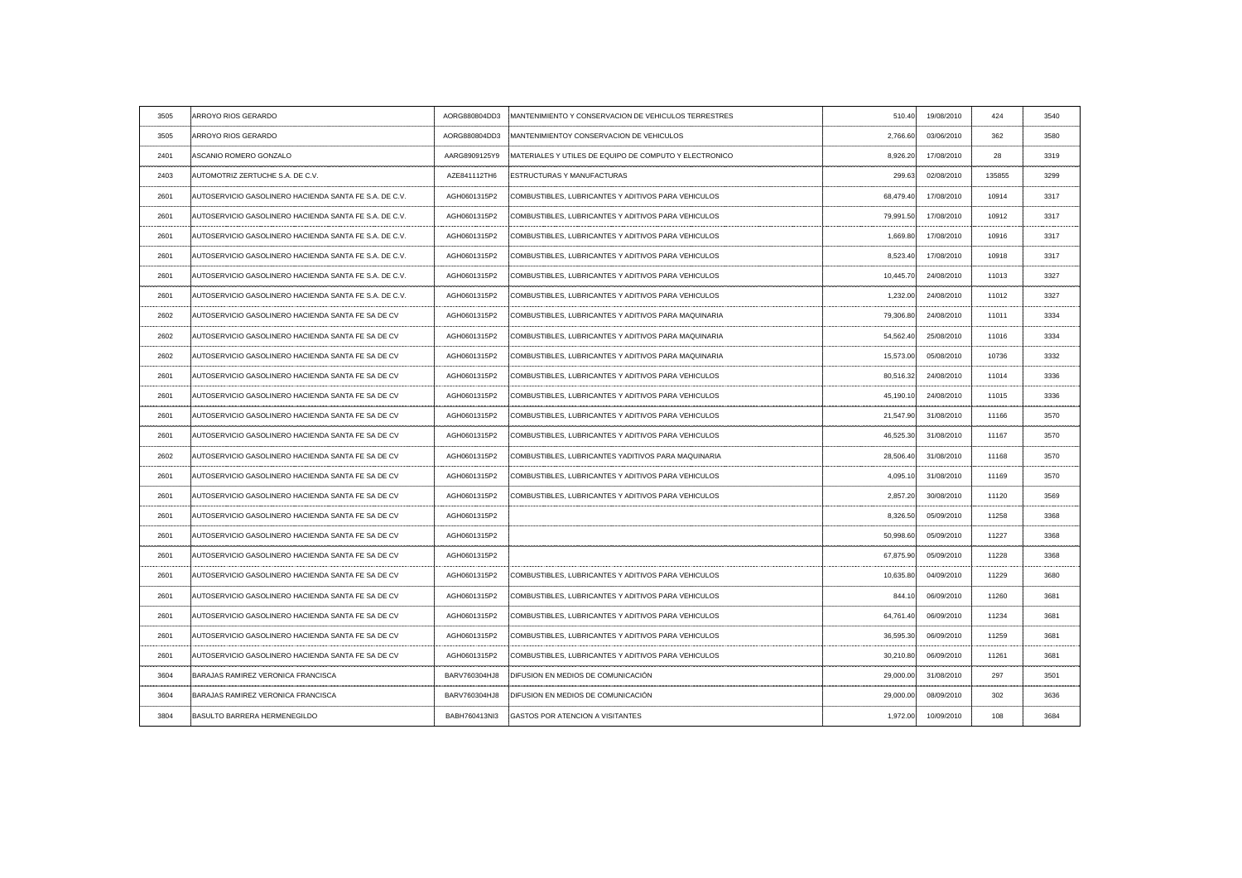| 3505 | ARROYO RIOS GERARDO                                           | AORG880804DD3 | MANTENIMIENTO Y CONSERVACION DE VEHICULOS TERRESTRES           | 510.40    | 19/08/2010 | 424    | 3540 |
|------|---------------------------------------------------------------|---------------|----------------------------------------------------------------|-----------|------------|--------|------|
| 3505 | ARROYO RIOS GERARDO                                           | AORG880804DD3 | MANTENIMIENTOY CONSERVACION DE VEHICULOS                       | 2,766.60  | 03/06/2010 | 362    | 3580 |
| 2401 | ASCANIO ROMERO GONZALO                                        | AARG8909125Y9 | <b>IMATERIALES Y UTILES DE EQUIPO DE COMPUTO Y ELECTRONICO</b> | 8,926.20  | 17/08/2010 | 28     | 3319 |
| 2403 | AUTOMOTRIZ ZERTUCHE S.A. DE C.V.                              | AZE841112TH6  | <b>ESTRUCTURAS Y MANUFACTURAS</b>                              | 299.63    | 02/08/2010 | 135855 | 3299 |
| 2601 | AUTOSERVICIO GASOLINERO HACIENDA SANTA FE S.A. DE C.V.        | AGH0601315P2  | COMBUSTIBLES, LUBRICANTES Y ADITIVOS PARA VEHICULOS            | 68,479.40 | 17/08/2010 | 10914  | 3317 |
| 2601 | AUTOSERVICIO GASOLINERO HACIENDA SANTA FE S.A. DE C.V.        | AGH0601315P2  | COMBUSTIBLES, LUBRICANTES Y ADITIVOS PARA VEHICULOS            | 79,991.50 | 17/08/2010 | 10912  | 3317 |
| 2601 | AUTOSERVICIO GASOLINERO HACIENDA SANTA FE S.A. DE C.V.        | AGH0601315P2  | COMBUSTIBLES, LUBRICANTES Y ADITIVOS PARA VEHICULOS            | 1,669.80  | 17/08/2010 | 10916  | 3317 |
| 2601 | AUTOSERVICIO GASOLINERO HACIENDA SANTA FE S.A. DE C.V.        | AGH0601315P2  | COMBUSTIBLES, LUBRICANTES Y ADITIVOS PARA VEHICULOS            | 8,523.40  | 17/08/2010 | 10918  | 3317 |
| 2601 | AUTOSERVICIO GASOLINERO HACIENDA SANTA FE S.A. DE C.V.        | AGH0601315P2  | COMBUSTIBLES, LUBRICANTES Y ADITIVOS PARA VEHICULOS            | 10,445.70 | 24/08/2010 | 11013  | 3327 |
| 2601 | AUTOSERVICIO GASOLINERO HACIENDA SANTA FE S.A. DE C.V.        | AGH0601315P2  | COMBUSTIBLES, LUBRICANTES Y ADITIVOS PARA VEHICULOS            | 1,232.00  | 24/08/2010 | 11012  | 3327 |
| 2602 | AUTOSERVICIO GASOLINERO HACIENDA SANTA FE SA DE CV            | AGH0601315P2  | COMBUSTIBLES, LUBRICANTES Y ADITIVOS PARA MAQUINARIA           | 79,306.80 | 24/08/2010 | 11011  | 3334 |
| 2602 | <b>AUTOSERVICIO GASOLINERO HACIENDA SANTA FE SA DE CV</b>     | AGH0601315P2  | COMBUSTIBLES, LUBRICANTES Y ADITIVOS PARA MAQUINARIA           | 54,562.40 | 25/08/2010 | 11016  | 3334 |
| 2602 | AUTOSERVICIO GASOLINERO HACIENDA SANTA FE SA DE CV            | AGH0601315P2  | COMBUSTIBLES, LUBRICANTES Y ADITIVOS PARA MAQUINARIA           | 15,573.00 | 05/08/2010 | 10736  | 3332 |
| 2601 | AUTOSERVICIO GASOLINERO HACIENDA SANTA FE SA DE CV            | AGH0601315P2  | COMBUSTIBLES, LUBRICANTES Y ADITIVOS PARA VEHICULOS            | 80,516.32 | 24/08/2010 | 11014  | 3336 |
| 2601 | AUTOSERVICIO GASOLINERO HACIENDA SANTA FE SA DE CV            | AGH0601315P2  | COMBUSTIBLES, LUBRICANTES Y ADITIVOS PARA VEHICULOS            | 45,190.10 | 24/08/2010 | 11015  | 3336 |
| 2601 | AUTOSERVICIO GASOLINERO HACIENDA SANTA FE SA DE C'            | AGH0601315P2  | COMBUSTIBLES, LUBRICANTES Y ADITIVOS PARA VEHICULOS            | 21,547.90 | 31/08/2010 | 11166  |      |
| 2601 | AUTOSERVICIO GASOLINERO HACIENDA SANTA FE SA DE CV            | AGH0601315P2  | COMBUSTIBLES, LUBRICANTES Y ADITIVOS PARA VEHICULOS            | 46,525.30 | 31/08/2010 | 11167  | 3570 |
| 2602 | [OSERVICIO GASOLINERO HACIENDA SANTA FE SA DE C\              | AGH0601315P2  | :COMBUSTIBLES, LUBRICANTES YADITIVOS PARA MAQUINARI.           | 28,506.40 | 31/08/2010 | 11168  | 3570 |
| 2601 | AUTOSERVICIO GASOLINERO HACIENDA SANTA FE SA DE CV            | AGH0601315P2  | COMBUSTIBLES, LUBRICANTES Y ADITIVOS PARA VEHICULOS            | 4,095.10  | 31/08/2010 | 11169  | 3570 |
| 2601 | AUTOSERVICIO GASOLINERO HACIENDA SANTA FE SA DE CV            | AGH0601315P2  | COMBUSTIBLES, LUBRICANTES Y ADITIVOS PARA VEHICULOS            | 2,857.20  | 30/08/2010 | 11120  |      |
| 2601 | AUTOSERVICIO GASOLINERO HACIENDA SANTA FE SA DE CV            | AGH0601315P2  |                                                                | 8,326.50  | 05/09/2010 | 11258  | 3368 |
| 2601 | AUTOSERVICIO GASOLINERO HACIENDA SANTA FE SA DE CV            | AGH0601315P2  |                                                                | 50,998.60 | 05/09/2010 | 11227  | 3368 |
| 2601 | AUTOSERVICIO GASOLINERO HACIENDA SANTA FE SA DE CV            | AGH0601315P2  |                                                                | 67,875.90 | 05/09/2010 | 11228  | 3368 |
| 2601 | AUTOSERVICIO GASOLINERO HACIENDA SANTA FE SA DE CV            | AGH0601315P2  | COMBUSTIBLES, LUBRICANTES Y ADITIVOS PARA VEHICULOS            | 10,635.80 | 04/09/2010 | 11229  | 3680 |
| 2601 | ITOSERVICIO GASOLINERO HACIENDA SANTA FE SA DE CV             | AGH0601315P2  | COMBUSTIBLES, LUBRICANTES Y ADITIVOS PARA VEHICULOS            | 844.10    | 06/09/2010 | 11260  | 3681 |
| 2601 | AUTOSERVICIO GASOLINERO HACIENDA SANTA FE SA DE CV            | AGH0601315P2  | COMBUSTIBLES, LUBRICANTES Y ADITIVOS PARA VEHICULOS            | 64,761.40 | 06/09/2010 | 11234  | 3681 |
| 2601 | <b>AUTOSERVICIO GASOLINERO HACIENDA SANTA FE SA DE CVILLE</b> | AGH0601315P2  | COMBUSTIBLES, LUBRICANTES Y ADITIVOS PARA VEHICULOS            | 36,595.30 | 06/09/2010 | 11259  | 3681 |
| 2601 | AUTOSERVICIO GASOLINERO HACIENDA SANTA FE SA DE CV            | AGH0601315P2  | COMBUSTIBLES, LUBRICANTES Y ADITIVOS PARA VEHICULOS            | 30,210.80 | 06/09/2010 | 11261  | 3681 |
| 3604 | BARAJAS RAMIREZ VERONICA FRANCISCA                            | BARV760304HJ8 | DIFUSION EN MEDIOS DE COMUNICACIÓN                             | 29,000.00 | 31/08/2010 | 297    | 3501 |
| 3604 | BARAJAS RAMIREZ VERONICA FRANCISCA                            | BARV760304HJ8 | DIFUSION EN MEDIOS DE COMUNICACIÓN                             | 29,000.00 | 08/09/2010 | 302    | 3636 |
| 3804 | BASULTO BARRERA HERMENEGILDO                                  | BABH760413NI3 | <b>GASTOS POR ATENCION A VISITANTES</b>                        | 1,972.00  | 10/09/2010 | 108    | 3684 |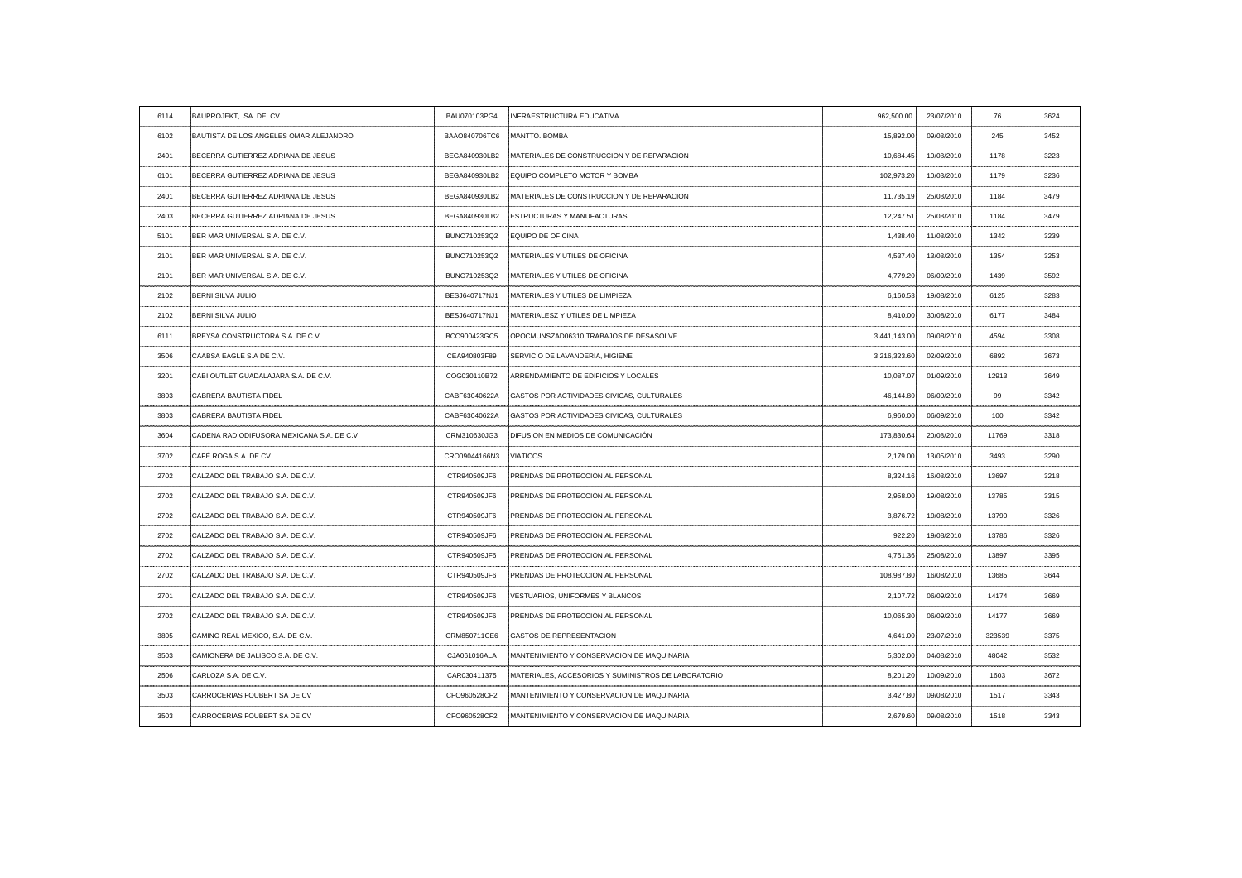| 6114               | BAUPROJEKT, SA DE CV                       | BAU070103PG4  | INFRAESTRUCTURA EDUCATIVA                           | 962,500.00   | 23/07/2010                               | 76     | 3624 |
|--------------------|--------------------------------------------|---------------|-----------------------------------------------------|--------------|------------------------------------------|--------|------|
| 6102               | BAUTISTA DE LOS ANGELES OMAR ALEJANDRO     | BAAO840706TC6 | MANTTO. BOMBA                                       | 15,892.00    | 09/08/2010                               | 245    | 3452 |
| 2401               | BECERRA GUTIERREZ ADRIANA DE JESUS         | BEGA840930LB2 | MATERIALES DE CONSTRUCCION Y DE REPARACION          | 10,684.45    | 10/08/2010                               | 1178   | 3223 |
| 6101               | BECERRA GUTIERREZ ADRIANA DE JESUS         | BEGA840930LB2 | <b>EQUIPO COMPLETO MOTOR Y BOMBA</b>                | 102,973.20   | 10/03/2010                               | 1179   | 3236 |
| 2401               | BECERRA GUTIERREZ ADRIANA DE JESUS         | BEGA840930LB2 | IMATERIALES DE CONSTRUCCION Y DE REPARACION         | 11,735.19    | 25/08/2010                               | 1184   | 3479 |
| 2403               | BECERRA GUTIERREZ ADRIANA DE JESUS         | BEGA840930LB2 | <b>ESTRUCTURAS Y MANUFACTURAS</b>                   | 12,247.51    | 25/08/2010                               | 1184   | 3479 |
| 5101               | BER MAR UNIVERSAL S.A. DE C.V.             | BUNO710253Q2  | <b>EQUIPO DE OFICINA</b>                            | 1,438.40     | 11/08/2010                               | 1342   | 3239 |
| 2101               | BER MAR UNIVERSAL S.A. DE C.V.             | BUNO710253Q2  | MATERIALES Y UTILES DE OFICINA                      | 4,537.40     | 13/08/2010                               | 1354   | 3253 |
| 2101               | BER MAR UNIVERSAL S.A. DE C.V.             | BUNO710253Q2  | MATERIALES Y UTILES DE OFICINA                      | 4,779.20     | 06/09/2010                               | 1439   | 3592 |
| 2102               | BERNI SILVA JULIO                          | BESJ640717NJ1 | MATERIALES Y UTILES DE LIMPIEZA                     | 6,160.53     | 19/08/2010                               | 6125   | 3283 |
| 2102               | BERNI SILVA JULIO                          | BESJ640717NJ1 | MATERIALESZ Y UTILES DE LIMPIEZA                    | 8,410.00     | 30/08/2010                               | 6177   | 3484 |
| 6111               | <b>BREYSA CONSTRUCTORA S.A. DE C.V.</b>    | BCO900423GC5  | OPOCMUNSZAD06310, TRABAJOS DE DESASOLVE             | 3,441,143.00 | 09/08/2010                               | 4594   | 3308 |
| 3506               | CAABSA EAGLE S.A DE C.V.                   | CEA940803F89  | SERVICIO DE LAVANDERIA, HIGIENE                     | 3,216,323.60 | 02/09/2010                               | 6892   | 3673 |
| 3201               | CABI OUTLET GUADALAJARA S.A. DE C.V.       | COG030110B72  | ARRENDAMIENTO DE EDIFICIOS Y LOCALES                | 10,087.07    | 01/09/2010                               | 12913  | 3649 |
| 3803               | CABRERA BAUTISTA FIDEL                     | CABF63040622A | GASTOS POR ACTIVIDADES CIVICAS, CULTURALES          | 46,144.80    | 06/09/2010                               | 99     | 3342 |
|                    | CABRERA BAUTISTA FIDEI                     | CABF63040622A | GASTOS POR ACTIVIDADES CIVICAS, CULTURALES          | 6,960.00     | 06/09/2010                               | 100    |      |
| 3604               | CADENA RADIODIFUSORA MEXICANA S.A. DE C.V. | CRM310630JG3  | DIFUSION EN MEDIOS DE COMUNICACIÓN                  | 173,830.64   | 20/08/2010                               | 11769  | 3318 |
| 3702               | CAFÉ ROGA S.A. DE CV.                      | CRO09044166N3 | VIATICOS                                            | 2,179.00     | 13/05/2010                               | 3493   | 3290 |
| 2702               | CALZADO DEL TRABAJO S.A. DE C.V.           | CTR940509JF6  | <b>PRENDAS DE PROTECCION AL PERSONAL</b>            | 8,324.16     | 16/08/2010                               | 13697  | 3218 |
| ----------<br>2702 | CALZADO DEL TRABAJO S.A. DE C.V.           | CTR940509JF6  | PRENDAS DE PROTECCION AL PERSONAL                   | 2,958.00     | ----------------- <b>-</b><br>19/08/2010 | 13785  | 3315 |
| 2702               | CALZADO DEL TRABAJO S.A. DE C.V.           | CTR940509JF6  | <b>IPRENDAS DE PROTECCION AL PERSONAL</b>           | 3,876.72     | 19/08/2010                               | 13790  | 3326 |
| 2702               | CALZADO DEL TRABAJO S.A. DE C.V.           | CTR940509JF6  | <b>PRENDAS DE PROTECCION AL PERSONAL</b>            | 922.20       | 19/08/2010                               | 13786  | 3326 |
| 2702               | CALZADO DEL TRABAJO S.A. DE C.V.           | CTR940509JF6  | PRENDAS DE PROTECCION AL PERSONAL                   | 4,751.36     | 25/08/2010                               | 13897  | 3395 |
| 2702               | CALZADO DEL TRABAJO S.A. DE C.V.           | CTR940509JF6  | <b>PRENDAS DE PROTECCION AL PERSONAL</b>            | 108,987.80   | 16/08/2010                               | 13685  | 3644 |
| 2701               | CALZADO DEL TRABAJO S.A. DE C.V.           | CTR940509JF6  | VESTUARIOS, UNIFORMES Y BLANCOS                     | 2,107.72     | 06/09/2010                               | 14174  |      |
| 2702               | CALZADO DEL TRABAJO S.A. DE C.V.           | CTR940509JF6  | <b>PRENDAS DE PROTECCION AL PERSONAL</b>            | 10,065.30    | 06/09/2010                               | 14177  | 3669 |
| 3805               | CAMINO REAL MEXICO, S.A. DE C.V.           | CRM850711CE6  | <b>GASTOS DE REPRESENTACION</b>                     | 4,641.00     | 23/07/2010                               | 323539 | 3375 |
| 3503               | CAMIONERA DE JALISCO S.A. DE C.V.          | CJA061016ALA  | MANTENIMIENTO Y CONSERVACION DE MAQUINARIA          | 5,302.00     | 04/08/2010                               | 48042  | 3532 |
| 2506               | CARLOZA S.A. DE C.V.                       | CAR030411375  | MATERIALES, ACCESORIOS Y SUMINISTROS DE LABORATORIO | 8,201.20     | 10/09/2010                               | 1603   | 3672 |
| 3503               | CARROCERIAS FOUBERT SA DE CV               | CFO960528CF2  | MANTENIMIENTO Y CONSERVACION DE MAQUINARIA          | 3,427.80     | 09/08/2010                               | 1517   | 3343 |
| 3503               | CARROCERIAS FOUBERT SA DE CV               | CFO960528CF2  | MANTENIMIENTO Y CONSERVACION DE MAQUINARIA          | 2,679.60     | 09/08/2010                               | 1518   | 3343 |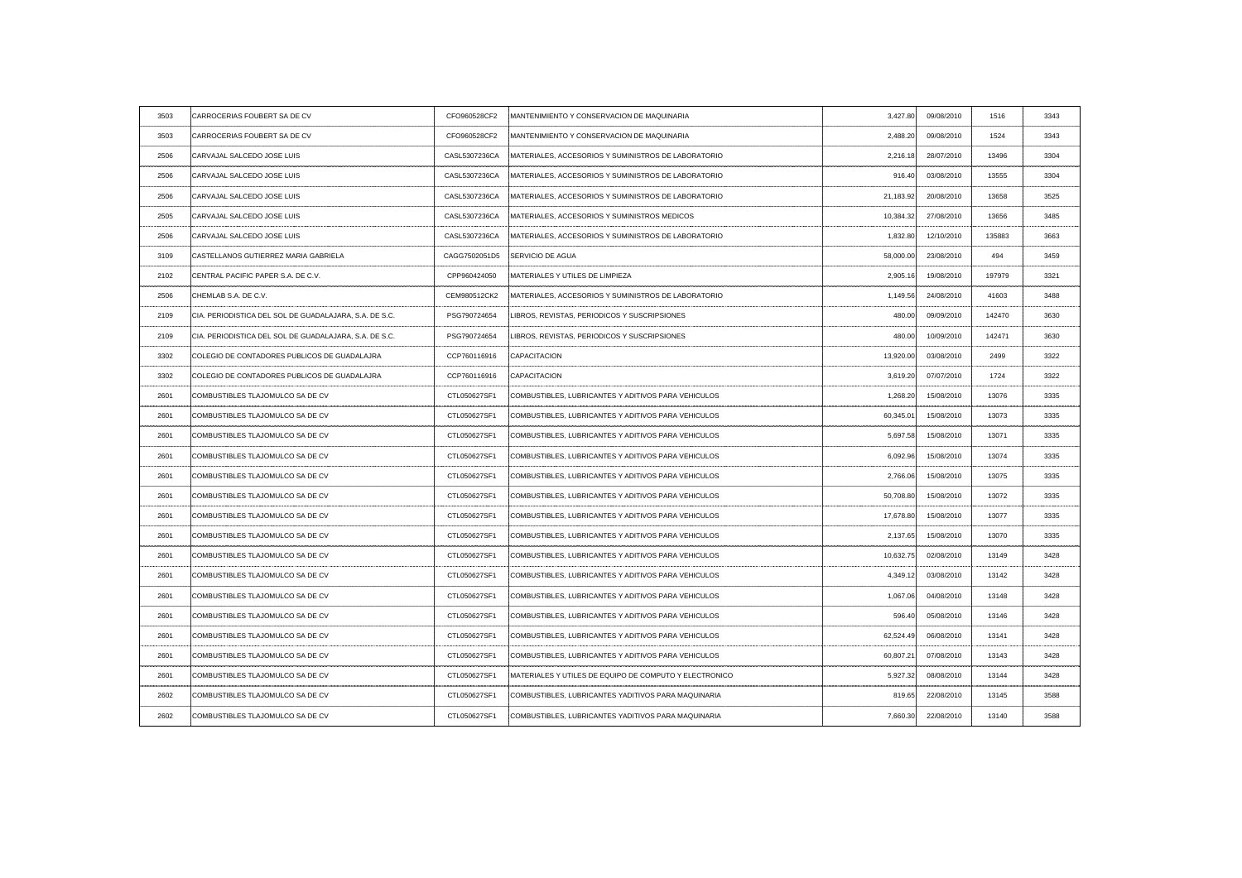| 3503 | CARROCERIAS FOUBERT SA DE CV                           | CFO960528CF2  | MANTENIMIENTO Y CONSERVACION DE MAQUINARIA             | 3,427.80                                      | 09/08/2010 | 1516   | 3343 |
|------|--------------------------------------------------------|---------------|--------------------------------------------------------|-----------------------------------------------|------------|--------|------|
| 3503 | CARROCERIAS FOUBERT SA DE CV                           | CFO960528CF2  | MANTENIMIENTO Y CONSERVACION DE MAQUINARIA             | 2,488.20                                      | 09/08/2010 | 1524   | 3343 |
| 2506 | CARVAJAL SALCEDO JOSE LUIS                             | CASL5307236CA | MATERIALES, ACCESORIOS Y SUMINISTROS DE LABORATORIO    | 2,216.18                                      | 28/07/2010 | 13496  | 3304 |
| 2506 | CARVAJAL SALCEDO JOSE LUIS                             | CASL5307236CA | IMATERIALES, ACCESORIOS Y SUMINISTROS DE LABORATORIO   | 916.40                                        | 03/08/2010 | 13555  | 3304 |
| 2506 | CARVAJAL SALCEDO JOSE LUIS                             | CASL5307236CA | MATERIALES, ACCESORIOS Y SUMINISTROS DE LABORATORIO    | 21,183.92                                     | 20/08/2010 | 13658  | 3525 |
| 2505 | CARVAJAL SALCEDO JOSE LUIS                             | CASL5307236CA | MATERIALES, ACCESORIOS Y SUMINISTROS MEDICOS           | 10,384.32                                     | 27/08/2010 | 13656  | 3485 |
| 2506 | CARVAJAL SALCEDO JOSE LUIS                             | CASL5307236CA | IMATERIALES, ACCESORIOS Y SUMINISTROS DE LABORATORIO   | 1,832.80                                      | 12/10/2010 | 135883 | 3663 |
| 3109 | CASTELLANOS GUTIERREZ MARIA GABRIELA                   | CAGG7502051D5 | SERVICIO DE AGUA                                       | 58,000.00                                     | 23/08/2010 | 494    | 3459 |
| 2102 | CENTRAL PACIFIC PAPER S.A. DE C.V.                     | CPP960424050  | MATERIALES Y UTILES DE LIMPIEZA                        | 2,905.16                                      | 19/08/2010 | 197979 | 3321 |
| 2506 | CHEMLAB S.A. DE C.V.                                   | CEM980512CK2  | MATERIALES, ACCESORIOS Y SUMINISTROS DE LABORATORIO    | 1.149.56                                      | 24/08/2010 | 41603  | 3488 |
| 2109 | CIA. PERIODISTICA DEL SOL DE GUADALAJARA, S.A. DE S.C. | PSG790724654  | LIBROS, REVISTAS, PERIODICOS Y SUSCRIPSIONES           | 480.00                                        | 09/09/2010 | 142470 | 3630 |
| 2109 | CIA. PERIODISTICA DEL SOL DE GUADALAJARA, S.A. DE S.C. | PSG790724654  | LIBROS, REVISTAS, PERIODICOS Y SUSCRIPSIONES           | 480.00                                        | 10/09/2010 | 142471 | 3630 |
| 3302 | COLEGIO DE CONTADORES PUBLICOS DE GUADALAJRA           | CCP760116916  | <b>CAPACITACION</b>                                    | 13,920.00                                     | 03/08/2010 | 2499   | 3322 |
| 3302 | COLEGIO DE CONTADORES PUBLICOS DE GUADALAJRA           | CCP760116916  | <b>CAPACITACION</b>                                    | 3,619.20                                      | 07/07/2010 | 1724   | 3322 |
| 2601 | COMBUSTIBLES TLAJOMULCO SA DE CV                       | CTL050627SF1  | COMBUSTIBLES, LUBRICANTES Y ADITIVOS PARA VEHICULOS    | 1,268.20                                      | 15/08/2010 | 13076  | 3335 |
| 2601 | COMBUSTIBLES TLAJOMULCO SA DE CV                       | CTL050627SF1  | COMBUSTIBLES, LUBRICANTES Y ADITIVOS PARA VEHICULOS    | 60,345.01                                     | 15/08/2010 | 13073  |      |
| 2601 | COMBUSTIBLES TLAJOMULCO SA DE CV                       | CTL050627SF1  | COMBUSTIBLES, LUBRICANTES Y ADITIVOS PARA VEHICULOS    | 5,697.58                                      | 15/08/2010 | 13071  | 3335 |
| 2601 | COMBUSTIBLES TLAJOMULCO SA DE CV                       | CTL050627SF1  | COMBUSTIBLES, LUBRICANTES Y ADITIVOS PARA VEHICULOS    | 6,092.96                                      | 15/08/2010 | 13074  | 3335 |
| 2601 | COMBUSTIBLES TLAJOMULCO SA DE CV                       | CTL050627SF1  | COMBUSTIBLES, LUBRICANTES Y ADITIVOS PARA VEHICULOS    | 2,766.06<br>--------------------------------- | 15/08/2010 | 13075  | 3335 |
| 2601 | COMBUSTIBLES TLAJOMULCO SA DE CV                       | CTL050627SF1  | COMBUSTIBLES, LUBRICANTES Y ADITIVOS PARA VEHICULOS    | 50,708.80                                     | 15/08/2010 | 13072  | 3335 |
| 2601 | COMBUSTIBLES TLAJOMULCO SA DE CV                       | CTL050627SF1  | COMBUSTIBLES, LUBRICANTES Y ADITIVOS PARA VEHICULOS    | 17,678.80                                     | 15/08/2010 | 13077  | 3335 |
| 2601 | COMBUSTIBLES TLAJOMULCO SA DE CV                       | CTL050627SF1  | COMBUSTIBLES, LUBRICANTES Y ADITIVOS PARA VEHICULOS    | 2,137.65                                      | 15/08/2010 | 13070  | 3335 |
| 2601 | COMBUSTIBLES TLAJOMULCO SA DE CV                       | CTL050627SF1  | COMBUSTIBLES, LUBRICANTES Y ADITIVOS PARA VEHICULOS    | 10,632.75                                     | 02/08/2010 | 13149  | 3428 |
| 2601 | COMBUSTIBLES TLAJOMULCO SA DE CV                       | CTL050627SF1  | COMBUSTIBLES, LUBRICANTES Y ADITIVOS PARA VEHICULOS    | 4,349.12                                      | 03/08/2010 | 13142  | 3428 |
| 2601 | COMBUSTIBLES TLAJOMULCO SA DE CV                       | CTL050627SF1  | COMBUSTIBLES, LUBRICANTES Y ADITIVOS PARA VEHICULOS    | 1,067.06                                      | 04/08/2010 | 13148  | 3428 |
| 2601 | COMBUSTIBLES TLAJOMULCO SA DE CV                       | CTL050627SF1  | COMBUSTIBLES, LUBRICANTES Y ADITIVOS PARA VEHICULOS    | 596.40                                        | 05/08/2010 | 13146  | 3428 |
| 2601 | COMBUSTIBLES TLAJOMULCO SA DE CV                       | CTL050627SF1  | COMBUSTIBLES, LUBRICANTES Y ADITIVOS PARA VEHICULOS    | 62,524.49                                     | 06/08/2010 | 13141  | 3428 |
| 2601 | COMBUSTIBLES TLAJOMULCO SA DE CV                       | CTL050627SF1  | COMBUSTIBLES, LUBRICANTES Y ADITIVOS PARA VEHICULOS    | 60,807.21                                     | 07/08/2010 | 13143  | 3428 |
| 2601 | COMBUSTIBLES TLAJOMULCO SA DE CV                       | CTL050627SF1  | MATERIALES Y UTILES DE EQUIPO DE COMPUTO Y ELECTRONICO | 5,927.32                                      | 08/08/2010 | 13144  | 3428 |
| 2602 | COMBUSTIBLES TLAJOMULCO SA DE CV                       | CTL050627SF1  | COMBUSTIBLES, LUBRICANTES YADITIVOS PARA MAQUINARIA    | 819.65                                        | 22/08/2010 | 13145  | 3588 |
| 2602 | COMBUSTIBLES TLAJOMULCO SA DE CV                       | CTL050627SF1  | COMBUSTIBLES, LUBRICANTES YADITIVOS PARA MAQUINARIA    | 7,660.30                                      | 22/08/2010 | 13140  | 3588 |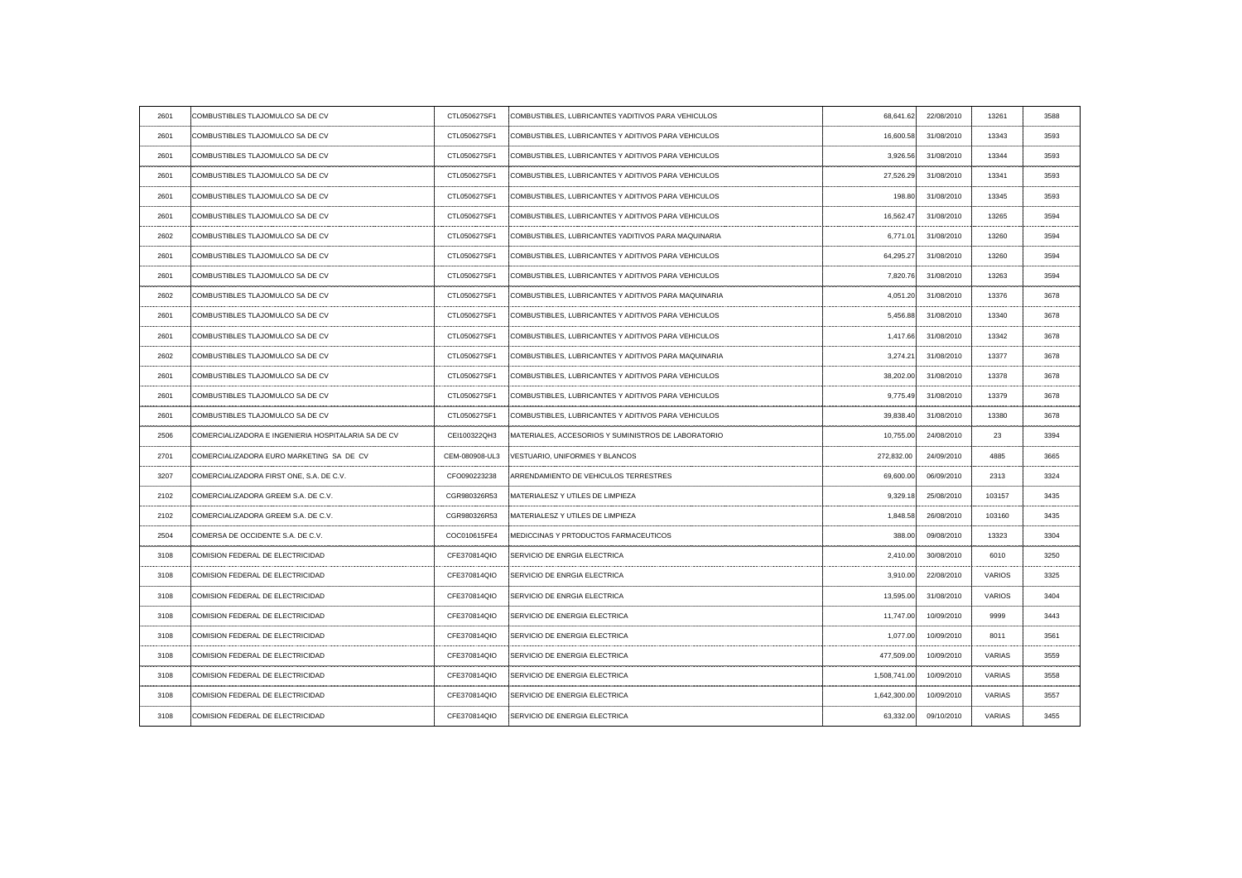| 2601                 | COMBUSTIBLES TLAJOMULCO SA DE CV                    | CTL050627SF1   | COMBUSTIBLES, LUBRICANTES YADITIVOS PARA VEHICULOS   | 68,641.62    | 22/08/2010                                     | 13261         | 3588 |
|----------------------|-----------------------------------------------------|----------------|------------------------------------------------------|--------------|------------------------------------------------|---------------|------|
| 2601                 | COMBUSTIBLES TLAJOMULCO SA DE CV                    | CTL050627SF1   | COMBUSTIBLES, LUBRICANTES Y ADITIVOS PARA VEHICULOS  | 16,600.58    | 31/08/2010                                     | 13343         | 3593 |
| 2601                 | COMBUSTIBLES TLAJOMULCO SA DE CV                    | CTL050627SF1   | COMBUSTIBLES, LUBRICANTES Y ADITIVOS PARA VEHICULOS  | 3,926.56     | 31/08/2010                                     | 13344         | 3593 |
| 2601                 | COMBUSTIBLES TLAJOMULCO SA DE CV                    | CTL050627SF1   | COMBUSTIBLES, LUBRICANTES Y ADITIVOS PARA VEHICULOS  | 27,526.29    | 31/08/2010                                     | 13341         | 3593 |
| 2601                 | COMBUSTIBLES TLAJOMULCO SA DE CV                    | CTL050627SF1   | COMBUSTIBLES, LUBRICANTES Y ADITIVOS PARA VEHICULOS  | 198.80       | 31/08/2010                                     | 13345         | 3593 |
| 2601                 | COMBUSTIBLES TLAJOMULCO SA DE CV                    | CTL050627SF1   | COMBUSTIBLES, LUBRICANTES Y ADITIVOS PARA VEHICULOS  | 16,562.47    | 31/08/2010                                     | 13265         | 3594 |
| 2602                 | COMBUSTIBLES TLAJOMULCO SA DE CV                    | CTL050627SF1   | COMBUSTIBLES, LUBRICANTES YADITIVOS PARA MAQUINARIA  | 6,771.01     | 31/08/2010                                     | 13260         | 3594 |
| 2601                 | COMBUSTIBLES TLAJOMULCO SA DE CV                    | CTL050627SF1   | COMBUSTIBLES, LUBRICANTES Y ADITIVOS PARA VEHICULOS  | 64,295.27    | 31/08/2010                                     | 13260         | 3594 |
| 2601                 | COMBUSTIBLES TLAJOMULCO SA DE CV                    | CTL050627SF1   | COMBUSTIBLES, LUBRICANTES Y ADITIVOS PARA VEHICULOS  | 7,820.76     | 31/08/2010                                     | 13263         | 3594 |
| 2602                 | COMBUSTIBLES TLAJOMULCO SA DE CV                    | CTL050627SF1   | COMBUSTIBLES, LUBRICANTES Y ADITIVOS PARA MAQUINARIA | 4,051.20     | 31/08/2010                                     | 13376         | 3678 |
| 2601                 | COMBUSTIBLES TLAJOMULCO SA DE CV                    | CTL050627SF1   | COMBUSTIBLES, LUBRICANTES Y ADITIVOS PARA VEHICULOS  | 5,456.88     | 31/08/2010                                     | 13340         | 3678 |
| 2601                 | COMBUSTIBLES TLAJOMULCO SA DE CV                    | CTL050627SF1   | COMBUSTIBLES, LUBRICANTES Y ADITIVOS PARA VEHICULOS  | 1,417.66     | ---------<br>31/08/2010                        | 13342         | 3678 |
| 2602                 | COMBUSTIBLES TLAJOMULCO SA DE CV                    | CTL050627SF1   | COMBUSTIBLES, LUBRICANTES Y ADITIVOS PARA MAQUINARIA | 3,274.21     | 31/08/2010                                     | 13377         | 3678 |
| 2601                 | COMBUSTIBLES TLAJOMULCO SA DE CV                    | CTL050627SF1   | COMBUSTIBLES, LUBRICANTES Y ADITIVOS PARA VEHICULOS  | 38,202.00    | 31/08/2010                                     | 13378         | 3678 |
| 2601                 | COMBUSTIBLES TLAJOMULCO SA DE CV                    | CTL050627SF1   | COMBUSTIBLES, LUBRICANTES Y ADITIVOS PARA VEHICULOS  | 9,775.49     | 31/08/2010                                     | 13379         | 3678 |
| 2601                 | COMBUSTIBLES TLAJOMULCO SA DE CV                    | CTL050627SF1   | COMBUSTIBLES, LUBRICANTES Y ADITIVOS PARA VEHICULOS  |              | 39,838.40 31/08/2010                           | 13380         |      |
| 2506<br>------------ | COMERCIALIZADORA E INGENIERIA HOSPITALARIA SA DE CV | CEI100322QH3   | MATERIALES, ACCESORIOS Y SUMINISTROS DE LABORATORIO  | 10,755.00    | 24/08/2010                                     | 23            | 3394 |
| 2701                 | COMERCIALIZADORA EURO MARKETING SA DE CV            | CEM-080908-UL3 | VESTUARIO, UNIFORMES Y BLANCOS                       | 272,832.00   | 24/09/2010                                     | 4885          |      |
| 3207                 | COMERCIALIZADORA FIRST ONE, S.A. DE C.V.            | CFO090223238   | : ARRENDAMIENTO DE VEHICULOS TERRESTRES              | 69,600.00    | 06/09/2010                                     | 2313          | 3324 |
| 2102                 | COMERCIALIZADORA GREEM S.A. DE C.V.                 | CGR980326R53   | MATERIALESZ Y UTILES DE LIMPIEZA                     | 9,329.18     | 25/08/2010<br>-------------------------------- | 103157        | 3435 |
| 2102                 | COMERCIALIZADORA GREEM S.A. DE C.V.                 | CGR980326R53   | <b>IMATERIALESZ Y UTILES DE LIMPIEZA</b>             | 1,848.58     | 26/08/2010                                     | 103160        | 3435 |
| 2504                 | COMERSA DE OCCIDENTE S.A. DE C.V.                   | COC010615FE4   | <b>IMEDICCINAS Y PRTODUCTOS FARMACEUTICOS</b>        | 388.00       | 09/08/2010                                     | 13323         | 3304 |
| 3108                 | COMISION FEDERAL DE ELECTRICIDAD                    | CFE370814QIO   | SERVICIO DE ENRGIA ELECTRICA                         | 2,410.00     | 30/08/2010                                     | 6010          | 3250 |
| 3108                 | COMISION FEDERAL DE ELECTRICIDAD                    | CFE370814QIO   | SERVICIO DE ENRGIA ELECTRICA                         | 3,910.00     | 22/08/2010                                     | <b>VARIOS</b> | 3325 |
| 3108                 | COMISION FEDERAL DE ELECTRICIDAD                    | CFE370814QIO   | SERVICIO DE ENRGIA ELECTRICA                         | 13,595.00    | 31/08/2010                                     | <b>VARIOS</b> |      |
| 3108                 | COMISION FEDERAL DE ELECTRICIDAD                    | CFE370814QIO   | SERVICIO DE ENERGIA ELECTRICA                        | 11,747.00    | 10/09/2010                                     | 9999          | 3443 |
| 3108                 | COMISION FEDERAL DE ELECTRICIDAD                    | CFE370814QIO   | SERVICIO DE ENERGIA ELECTRICA                        | 1,077.00     | 10/09/2010                                     | 8011          | 356' |
| 3108                 | COMISION FEDERAL DE ELECTRICIDAD                    | CFE370814QIO   | SERVICIO DE ENERGIA ELECTRICA                        | 477,509.00   | 10/09/2010                                     | <b>VARIAS</b> |      |
| 3108                 | COMISION FEDERAL DE ELECTRICIDAD                    | CFE370814QIO   | SERVICIO DE ENERGIA ELECTRICA                        | 1.508.741.00 | 10/09/2010                                     | <b>VARIAS</b> | 3558 |
| 3108                 | COMISION FEDERAL DE ELECTRICIDAD                    | CFE370814QIO   | SERVICIO DE ENERGIA ELECTRICA                        | 1,642,300.00 | 10/09/2010                                     | <b>VARIAS</b> | 3557 |
| 3108                 | COMISION FEDERAL DE ELECTRICIDAD                    | CFE370814QIO   | SERVICIO DE ENERGIA ELECTRICA                        | 63,332.00    | 09/10/2010                                     | <b>VARIAS</b> | 3455 |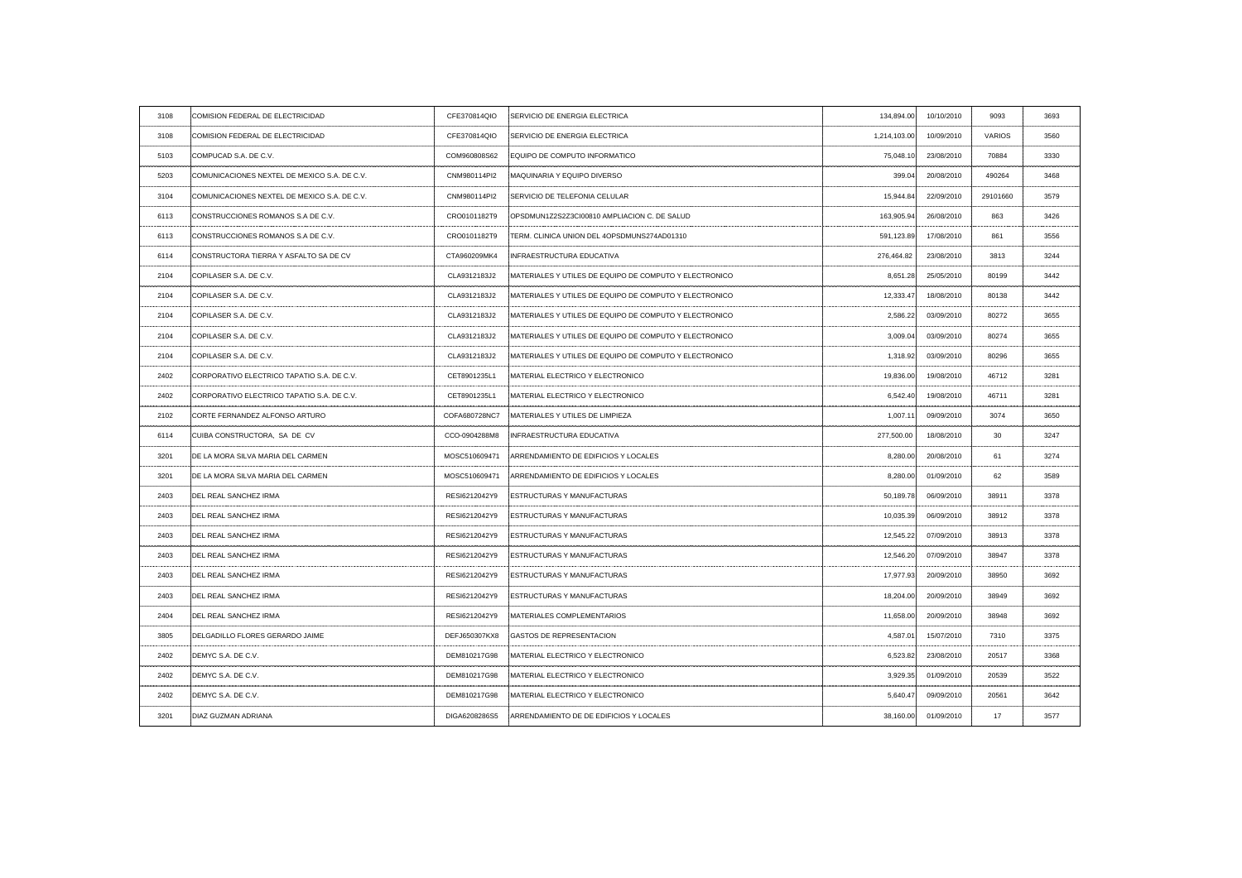| 3108                            | COMISION FEDERAL DE ELECTRICIDAD             | CFE370814QIO  | SERVICIO DE ENERGIA ELECTRICA                          | 134,894.00   | 10/10/2010 | 9093          | 3693 |
|---------------------------------|----------------------------------------------|---------------|--------------------------------------------------------|--------------|------------|---------------|------|
| 3108                            | COMISION FEDERAL DE ELECTRICIDAD             | CFE370814QIO  | SERVICIO DE ENERGIA ELECTRICA                          | 1,214,103.00 | 10/09/2010 | <b>VARIOS</b> | 3560 |
| 5103                            | COMPUCAD S.A. DE C.V.                        | COM960808S62  | EQUIPO DE COMPUTO INFORMATICO                          | 75,048.10    | 23/08/2010 | 70884         | 3330 |
| 5203                            | COMUNICACIONES NEXTEL DE MEXICO S.A. DE C.V. | CNM980114PI2  | MAQUINARIA Y EQUIPO DIVERSO                            | 399.04       | 20/08/2010 | 490264        | 3468 |
| 3104                            | COMUNICACIONES NEXTEL DE MEXICO S.A. DE C.V. | CNM980114PI2  | <b>SERVICIO DE TELEFONIA CELULAR</b>                   | 15,944.84    | 22/09/2010 | 29101660      | 3579 |
| 6113                            | CONSTRUCCIONES ROMANOS S.A DE C.V.           | CRO0101182T9  | OPSDMUN1Z2S2Z3Cl00810 AMPLIACION C. DE SALUD           | 163,905.94   | 26/08/2010 | 863           | 3426 |
| 6113                            | CONSTRUCCIONES ROMANOS S.A DE C.V.           | CRO0101182T9  | TERM. CLINICA UNION DEL 4OPSDMUNS274AD01310            | 591,123.89   | 17/08/2010 | 861           | 3556 |
| 6114                            | CONSTRUCTORA TIERRA Y ASFALTO SA DE CV       | CTA960209MK4  | INFRAESTRUCTURA EDUCATIVA                              | 276,464.82   | 23/08/2010 | 3813          | 3244 |
| 2104                            | COPILASER S.A. DE C.V.                       | CLA9312183J2  | MATERIALES Y UTILES DE EQUIPO DE COMPUTO Y ELECTRONICO | 8,651.28     | 25/05/2010 | 80199         | 3442 |
| 2104                            | COPILASER S.A. DE C.V.                       | CLA9312183J2  | MATERIALES Y UTILES DE EQUIPO DE COMPUTO Y ELECTRONICO | 12,333.47    | 18/08/2010 | 80138         | 3442 |
| 2104                            | COPILASER S.A. DE C.V.                       | CLA9312183J2  | MATERIALES Y UTILES DE EQUIPO DE COMPUTO Y ELECTRONICO | 2,586.22     | 03/09/2010 | 80272         | 3655 |
| 2104                            | COPILASER S.A. DE C.V.                       | CLA9312183J2  | MATERIALES Y UTILES DE EQUIPO DE COMPUTO Y ELECTRONICO | 3,009.04     | 03/09/2010 | 80274         | 3655 |
| 2104                            | COPILASER S.A. DE C.V.                       | CLA9312183J2  | MATERIALES Y UTILES DE EQUIPO DE COMPUTO Y ELECTRONICO | 1,318.92     | 03/09/2010 | 80296         | 3655 |
| - - - - - - - - - - - -<br>2402 | CORPORATIVO ELECTRICO TAPATIO S.A. DE C.V.   | CET8901235L1  | MATERIAL ELECTRICO Y ELECTRONICO                       | 19,836.00    | 19/08/2010 | 46712         | 3281 |
| 2402                            | CORPORATIVO ELECTRICO TAPATIO S.A. DE C.V.   | CET8901235L1  | MATERIAL ELECTRICO Y ELECTRONICO                       | 6,542.40     | 19/08/2010 | 46711         | 3281 |
| 2102                            | CORTE FERNANDEZ ALFONSO ARTURO               | COFA680728NC7 | MATERIALES Y UTILES DE LIMPIEZA                        | 1,007.11     | 09/09/2010 |               |      |
| 6114                            | CUIBA CONSTRUCTORA, SA DE CV                 | CCO-0904288M8 | INFRAESTRUCTURA EDUCATIVA                              | 277,500.00   | 18/08/2010 | 30            | 3247 |
| 3201                            | DE LA MORA SILVA MARIA DEL CARMEN            | MOSC510609471 | ARRENDAMIENTO DE EDIFICIOS Y LOCALES                   | 8,280.00     | 20/08/2010 | 61            | 3274 |
| 3201                            | DE LA MORA SILVA MARIA DEL CARMEN            | MOSC510609471 | ARRENDAMIENTO DE EDIFICIOS Y LOCALES                   | 8,280.00     | 01/09/2010 | 62            | 3589 |
| 2403                            | DEL REAL SANCHEZ IRMA                        | RESI6212042Y9 | <b>ESTRUCTURAS Y MANUFACTURAS</b>                      | 50,189.78    | 06/09/2010 | 38911         | 3378 |
| 2403                            | DEL REAL SANCHEZ IRMA                        |               | RESI6212042Y9 :ESTRUCTURAS Y MANUFACTURAS              | 10,035.39    | 06/09/2010 | 38912         | 3378 |
| 2403                            | DEL REAL SANCHEZ IRMA                        | RESI6212042Y9 | <b>ESTRUCTURAS Y MANUFACTURAS</b>                      | 12,545.22    | 07/09/2010 | 38913         | 3378 |
| 2403                            | DEL REAL SANCHEZ IRMA                        |               | RESI6212042Y9 ESTRUCTURAS Y MANUFACTURAS               | 12,546.20    | 07/09/2010 | 38947         | 3378 |
| 2403                            | DEL REAL SANCHEZ IRMA                        | RESI6212042Y9 | <b>ESTRUCTURAS Y MANUFACTURAS</b>                      | 17,977.93    | 20/09/2010 | 38950         | 3692 |
| 2403                            | DEL REAL SANCHEZ IRMA                        | RESI6212042Y9 | <b>ESTRUCTURAS Y MANUFACTURAS</b>                      | 18,204.00    | 20/09/2010 | 38949         | 3692 |
| 2404                            | DEL REAL SANCHEZ IRMA                        | RESI6212042Y9 | MATERIALES COMPLEMENTARIOS                             | 11,658.00    | 20/09/2010 | 38948         | 3692 |
| 3805                            | DELGADILLO FLORES GERARDO JAIME              | DEFJ650307KX8 | <b>GASTOS DE REPRESENTACION</b>                        | 4,587.0      | 15/07/2010 | 7310          | 3375 |
| 2402                            | DEMYC S.A. DE C.V.                           | DEM810217G98  | MATERIAL ELECTRICO Y ELECTRONICO                       | 6,523.82     | 23/08/2010 | 20517         | 3368 |
| 2402                            | DEMYC S.A. DE C.V.                           | DEM810217G98  | MATERIAL ELECTRICO Y ELECTRONICO                       | 3,929.35     | 01/09/2010 | 20539         | 3522 |
| 2402                            | DEMYC S.A. DE C.V.                           | DEM810217G98  | MATERIAL ELECTRICO Y ELECTRONICO                       | 5,640.47     | 09/09/2010 | 20561         | 3642 |
| 3201                            | DIAZ GUZMAN ADRIANA                          | DIGA6208286S5 | ARRENDAMIENTO DE DE EDIFICIOS Y LOCALES                | 38,160.00    | 01/09/2010 | 17            | 3577 |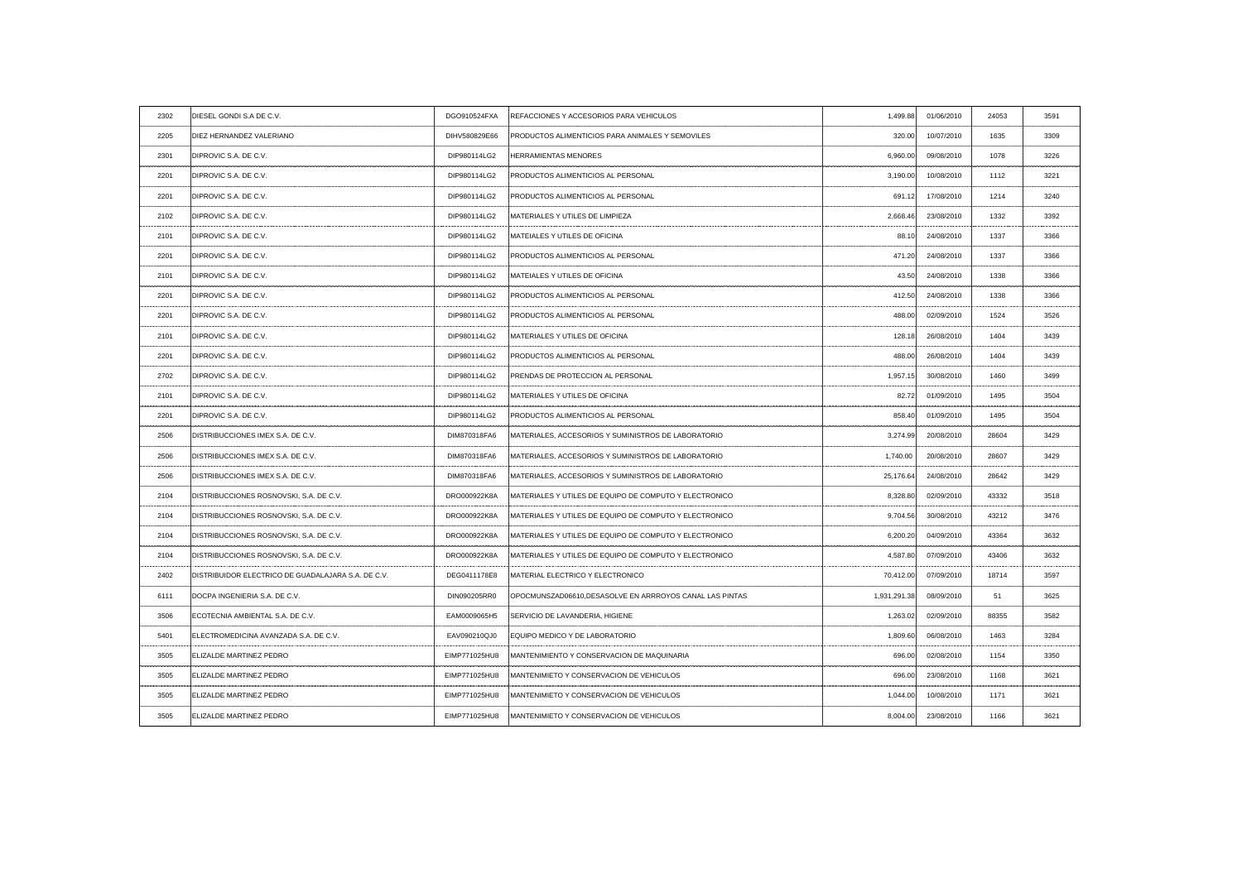| 2302 | DIESEL GONDI S.A DE C.V.                           | DGO910524FXA  | REFACCIONES Y ACCESORIOS PARA VEHICULOS                        | 1,499.88     | 01/06/2010 | 24053 | 3591 |
|------|----------------------------------------------------|---------------|----------------------------------------------------------------|--------------|------------|-------|------|
| 2205 | DIEZ HERNANDEZ VALERIANO                           | DIHV580829E66 | PRODUCTOS ALIMENTICIOS PARA ANIMALES Y SEMOVILES               | 320.00       | 10/07/2010 | 1635  | 3309 |
| 2301 | DIPROVIC S.A. DE C.V.                              | DIP980114LG2  | <b>HERRAMIENTAS MENORES</b>                                    | 6,960.00     | 09/08/2010 | 1078  | 3226 |
| 2201 | DIPROVIC S.A. DE C.V.                              | DIP980114LG2  | <b>IPRODUCTOS ALIMENTICIOS AL PERSONAL</b>                     | 3,190.00     | 10/08/2010 | 1112  | 3221 |
| 2201 | DIPROVIC S.A. DE C.V.                              | DIP980114LG2  | <b>IPRODUCTOS ALIMENTICIOS AL PERSONAL</b>                     | 691.12       | 17/08/2010 | 1214  | 3240 |
| 2102 | DIPROVIC S.A. DE C.V.                              | DIP980114LG2  | <b>IMATERIALES Y UTILES DE LIMPIEZA</b>                        | 2,668.46     | 23/08/2010 | 1332  | 3392 |
| 2101 | DIPROVIC S.A. DE C.V.                              | DIP980114LG2  | MATEIALES Y UTILES DE OFICINA                                  | 88.10        | 24/08/2010 | 1337  | 3366 |
| 2201 | DIPROVIC S.A. DE C.V.                              | DIP980114LG2  | PRODUCTOS ALIMENTICIOS AL PERSONAL                             | 471.20       | 24/08/2010 | 1337  | 3366 |
| 2101 | DIPROVIC S.A. DE C.V.                              | DIP980114LG2  | MATEIALES Y UTILES DE OFICINA                                  | 43.50        | 24/08/2010 | 1338  | 3366 |
| 2201 | DIPROVIC S.A. DE C.V.                              | DIP980114LG2  | PRODUCTOS ALIMENTICIOS AL PERSONAL                             | 412.50       | 24/08/2010 | 1338  | 3366 |
| 2201 | DIPROVIC S.A. DE C.V.                              | DIP980114LG2  | <b>PRODUCTOS ALIMENTICIOS AL PERSONAL</b>                      | 488.00       | 02/09/2010 | 1524  | 3526 |
| 2101 | DIPROVIC S.A. DE C.V.                              | DIP980114LG2  | MATERIALES Y UTILES DE OFICINA                                 | 128.18       | 26/08/2010 | 1404  | 3439 |
| 2201 | DIPROVIC S.A. DE C.V.                              | DIP980114LG2  | <b>PRODUCTOS ALIMENTICIOS AL PERSONAL</b>                      | 488.00       | 26/08/2010 | 1404  | 3439 |
| 2702 | DIPROVIC S.A. DE C.V.                              | DIP980114LG2  | PRENDAS DE PROTECCION AL PERSONAL                              | 1,957.15     | 30/08/2010 | 1460  | 3499 |
| 2101 | DIPROVIC S.A. DE C.V.                              | DIP980114LG2  | MATERIALES Y UTILES DE OFICINA                                 | 82.72        | 01/09/2010 | 1495  | 3504 |
| 2201 | DIPROVIC S.A. DE C.V.                              | DIP980114LG2  | PRODUCTOS ALIMENTICIOS AL PERSONAI                             | 858.40       | 01/09/2010 | 1495  |      |
| 2506 | DISTRIBUCCIONES IMEX S.A. DE C.V.                  | DIM870318FA6  | MATERIALES, ACCESORIOS Y SUMINISTROS DE LABORATORIO            | 3,274.99     | 20/08/2010 | 28604 | 3429 |
| 2506 | DISTRIBUCCIONES IMEX S.A. DE C.V.                  | DIM870318FA6  | MATERIALES, ACCESORIOS Y SUMINISTROS DE LABORATORIO            | 1,740.00     | 20/08/2010 | 28607 | 3429 |
| 2506 | DISTRIBUCCIONES IMEX S.A. DE C.V.                  | DIM870318FA6  | MATERIALES, ACCESORIOS Y SUMINISTROS DE LABORATORIO            | 25,176.64    | 24/08/2010 | 28642 | 3429 |
| 2104 | DISTRIBUCCIONES ROSNOVSKI, S.A. DE C.V.            | DRO000922K8A  | MATERIALES Y UTILES DE EQUIPO DE COMPUTO Y ELECTRONICO         | 8,328.80     | 02/09/2010 | 43332 | 3518 |
| 2104 | DISTRIBUCCIONES ROSNOVSKI, S.A. DE C.V.            | DRO000922K8A  | :MATERIALES Y UTILES DE EQUIPO DE COMPUTO Y ELECTRONICO        | 9,704.56     | 30/08/2010 | 43212 | 3476 |
| 2104 | DISTRIBUCCIONES ROSNOVSKI, S.A. DE C.V.            | DRO000922K8A  | <b>IMATERIALES Y UTILES DE EQUIPO DE COMPUTO Y ELECTRONICO</b> | 6,200.20     | 04/09/2010 | 43364 | 3632 |
| 2104 | DISTRIBUCCIONES ROSNOVSKI, S.A. DE C.V.            | DRO000922K8A  | MATERIALES Y UTILES DE EQUIPO DE COMPUTO Y ELECTRONICO         | 4,587.80     | 07/09/2010 | 43406 | 3632 |
| 2402 | DISTRIBUIDOR ELECTRICO DE GUADALAJARA S.A. DE C.V. | DEG0411178E8  | MATERIAL ELECTRICO Y ELECTRONICO                               | 70,412.00    | 07/09/2010 | 18714 | 3597 |
| 6111 | DOCPA INGENIERIA S.A. DE C.V.                      | DIN090205RR0  | OPOCMUNSZAD06610, DESASOLVE EN ARRROYOS CANAL LAS PINTAS       | 1,931,291.38 | 08/09/2010 | 51    | 3625 |
| 3506 | ECOTECNIA AMBIENTAL S.A. DE C.V.                   | EAM0009065H5  | SERVICIO DE LAVANDERIA, HIGIENE                                | 1,263.02     | 02/09/2010 | 88355 | 3582 |
| 5401 | ELECTROMEDICINA AVANZADA S.A. DE C.V               | EAV090210QJ0  | EQUIPO MEDICO Y DE LABORATORIO                                 | 1,809.60     | 06/08/2010 | 1463  | 3284 |
| 3505 | ELIZALDE MARTINEZ PEDRO                            | EIMP771025HU8 | MANTENIMIENTO Y CONSERVACION DE MAQUINARIA                     | 696.00       | 02/08/2010 | 1154  | 3350 |
| 3505 | ELIZALDE MARTINEZ PEDRO                            | EIMP771025HU8 | MANTENIMIETO Y CONSERVACION DE VEHICULOS                       | 696.00       | 23/08/2010 | 1168  | 3621 |
| 3505 | ELIZALDE MARTINEZ PEDRO                            | EIMP771025HU8 | MANTENIMIETO Y CONSERVACION DE VEHICULOS                       | 1,044.00     | 10/08/2010 | 1171  | 3621 |
| 3505 | ELIZALDE MARTINEZ PEDRO                            | EIMP771025HU8 | MANTENIMIETO Y CONSERVACION DE VEHICULOS                       | 8,004.00     | 23/08/2010 | 1166  | 3621 |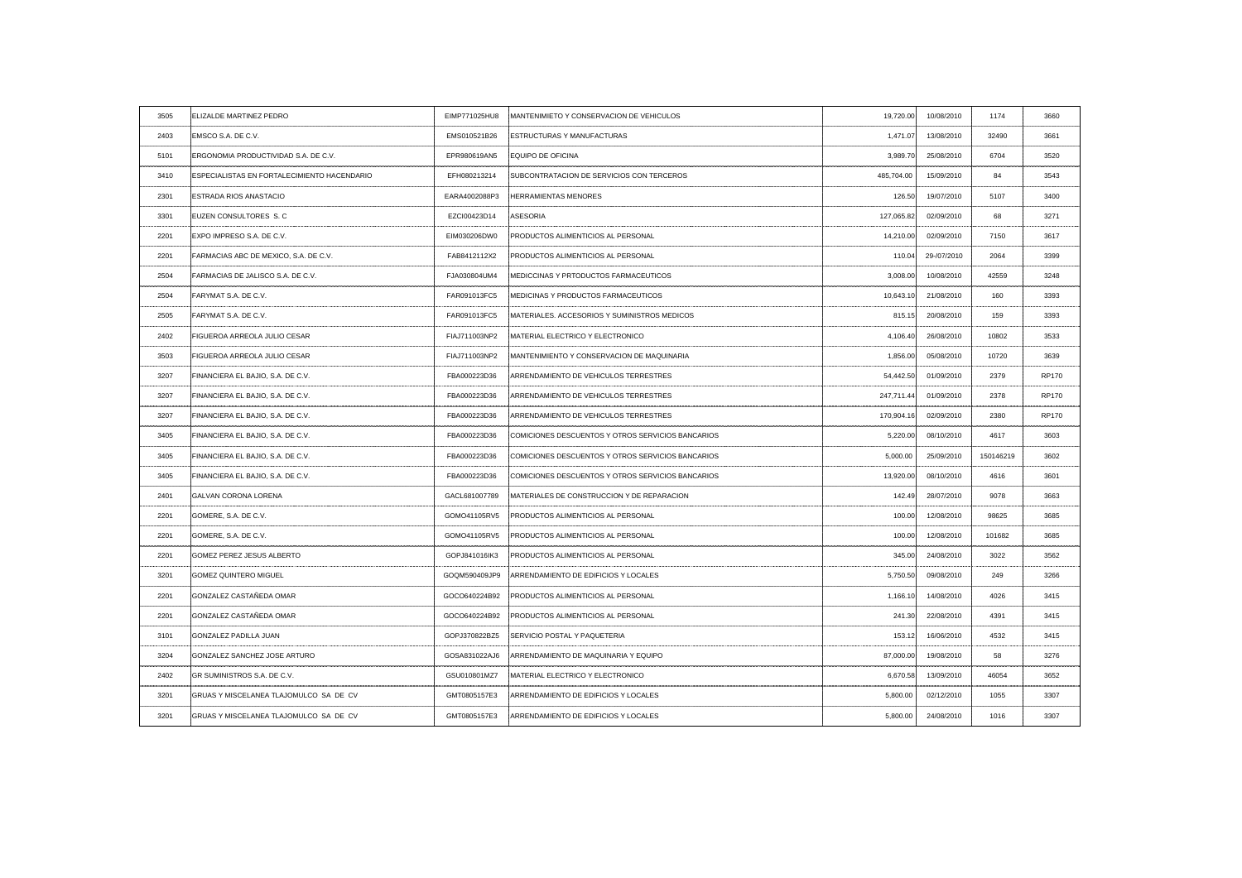| 3505                 | <b>ELIZALDE MARTINEZ PEDRO</b>              |               | EIMP771025HU8 MANTENIMIETO Y CONSERVACION DE VEHICULOS | 19,720.00  | 10/08/2010                 | 1174                      | 3660                    |
|----------------------|---------------------------------------------|---------------|--------------------------------------------------------|------------|----------------------------|---------------------------|-------------------------|
| 2403                 | EMSCO S.A. DE C.V.                          | EMS010521B26  | <b>ESTRUCTURAS Y MANUFACTURAS</b>                      | 1,471.07   | 13/08/2010                 | 32490                     | 3661                    |
| 5101                 | ERGONOMIA PRODUCTIVIDAD S.A. DE C.V.        | EPR980619AN5  | <b>EQUIPO DE OFICINA</b>                               | 3,989.70   | 25/08/2010                 | 6704                      | 3520                    |
| 3410                 | ESPECIALISTAS EN FORTALECIMIENTO HACENDARIO | EFH080213214  | <b>ISUBCONTRATACION DE SERVICIOS CON TERCEROS</b>      | 485,704.00 | 15/09/2010                 | 84                        | 3543                    |
| 2301                 | <b>ESTRADA RIOS ANASTACIO</b>               | EARA4002088P3 | <b>HERRAMIENTAS MENORES</b>                            | 126.50     | 19/07/2010                 | 5107                      | 3400                    |
| 3301                 | EUZEN CONSULTORES S.C.                      | EZCI00423D14  | ASESORIA                                               | 127,065.82 | 02/09/2010                 | 68                        | 3271                    |
| 2201                 | EXPO IMPRESO S.A. DE C.V.                   | EIM030206DW0  | PRODUCTOS ALIMENTICIOS AL PERSONAL                     | 14,210.00  | 02/09/2010                 | 7150                      | 3617                    |
| 2201                 | FARMACIAS ABC DE MEXICO, S.A. DE C.V.       | FAB8412112X2  | <b>PRODUCTOS ALIMENTICIOS AL PERSONAL</b>              | 110.04     | 29-/07/2010                | 2064                      | 3399                    |
| 2504                 | FARMACIAS DE JALISCO S.A. DE C.V.           | FJA030804UM4  | MEDICCINAS Y PRTODUCTOS FARMACEUTICOS                  | 3,008.00   | 10/08/2010                 | 42559                     | 3248                    |
| 2504                 | <b>FARYMAT S.A. DE C.V.</b>                 | FAR091013FC5  | MEDICINAS Y PRODUCTOS FARMACEUTICOS                    | 10,643.10  | 21/08/2010                 | 160                       | 3393                    |
| 2505                 | FARYMAT S.A. DE C.V.                        | FAR091013FC5  | MATERIALES. ACCESORIOS Y SUMINISTROS MEDICOS           | 815.15     | 20/08/2010                 | 159                       | 3393                    |
| 2402                 | FIGUEROA ARREOLA JULIO CESAR                | FIAJ711003NP2 | MATERIAL ELECTRICO Y ELECTRONICO                       | 4,106.40   | . <b>.</b> .<br>26/08/2010 | ----------------<br>10802 | 3533                    |
| 3503                 | <b>FIGUEROA ARREOLA JULIO CESAR</b>         | FIAJ711003NP2 | MANTENIMIENTO Y CONSERVACION DE MAQUINARIA             | 1,856.00   | 05/08/2010                 | 10720                     | 3639                    |
| 3207                 | FINANCIERA EL BAJIO, S.A. DE C.V.           | FBA000223D36  | ARRENDAMIENTO DE VEHICULOS TERRESTRES                  | 54,442.50  | 01/09/2010                 | 2379                      | <b>RP170</b>            |
| 3207                 | FINANCIERA EL BAJIO, S.A. DE C.V.           | FBA000223D36  | ARRENDAMIENTO DE VEHICULOS TERRESTRES                  | 247,711.44 | 01/09/2010                 | 2378                      | <b>RP170</b>            |
|                      | FINANCIERA EL BAJIO, S.A. DE C.V.           | FBA000223D36  | ARRENDAMIENTO DE VEHICULOS TERRESTRES                  |            | 170,904.16 02/09/2010      | 2380                      | <b>DD</b> <sub>47</sub> |
| 3405<br>. <b>.</b> . | FINANCIERA EL BAJIO, S.A. DE C.V.           | FBA000223D36  | COMICIONES DESCUENTOS Y OTROS SERVICIOS BANCARIOS      | 5,220.00   | 08/10/2010                 | 4617                      | 3603                    |
| 3405                 | FINANCIERA EL BAJIO, S.A. DE C.V.           | FBA000223D36  | COMICIONES DESCUENTOS Y OTROS SERVICIOS BANCARIOS      | 5,000.00   | 25/09/2010                 | 150146219                 | 3602                    |
| 3405                 | FINANCIERA EL BAJIO, S.A. DE C.V.           | FBA000223D36  | COMICIONES DESCUENTOS Y OTROS SERVICIOS BANCARIOS      | 13,920.00  | 08/10/2010                 | 4616                      | 360 <sup>-</sup>        |
| 2401                 | <b>GALVAN CORONA LORENA</b>                 | GACL681007789 | MATERIALES DE CONSTRUCCION Y DE REPARACION             | 142.49     | 28/07/2010                 | 9078<br>---------------   |                         |
| 2201                 | GOMERE, S.A. DE C.V.                        | GOMO41105RV5  | <b>: PRODUCTOS ALIMENTICIOS AL PERSONAL</b>            | 100.00     | 12/08/2010                 | 98625                     | 3685                    |
| 2201                 | GOMERE, S.A. DE C.V.                        | GOMO41105RV5  | <b>PRODUCTOS ALIMENTICIOS AL PERSONAL</b>              | 100.00     | 12/08/2010                 | 101682                    | 3685                    |
| 2201                 | GOMEZ PEREZ JESUS ALBERTO                   | GOPJ841016IK3 | PRODUCTOS ALIMENTICIOS AL PERSONAL                     | 345.00     | 24/08/2010                 | 3022                      | 3562                    |
| 3201                 | <b>GOMEZ QUINTERO MIGUEL</b>                | GOQM590409JP9 | ARRENDAMIENTO DE EDIFICIOS Y LOCALES                   | 5,750.50   | 09/08/2010                 | 249                       | 3266                    |
| 2201                 | GONZALEZ CASTAÑEDA OMAR                     | GOCO640224B92 | PRODUCTOS ALIMENTICIOS AL PERSONAL                     | 1,166.10   | 14/08/2010                 | 4026                      | 3415                    |
| 2201                 | <b>GONZALEZ CASTAÑEDA OMAR</b>              | GOCO640224B92 | PRODUCTOS ALIMENTICIOS AL PERSONAL                     | 241.30     | 22/08/2010                 | 4391                      | 3415                    |
| 3101                 | <b>GONZALEZ PADILLA JUAN</b>                | GOPJ370822BZ5 | SERVICIO POSTAL Y PAQUETERIA                           | 153.12     | 16/06/2010                 | 4532                      | -3415                   |
| 3204                 | GONZALEZ SANCHEZ JOSE ARTURO                | GOSA831022AJ6 | ARRENDAMIENTO DE MAQUINARIA Y EQUIPO                   | 87,000.00  | 19/08/2010                 | 58                        | 3276                    |
| 2402                 | GR SUMINISTROS S.A. DE C.V.                 | GSU010801MZ7  | MATERIAL ELECTRICO Y ELECTRONICO                       | 6,670.58   | 13/09/2010                 | 46054                     | 3652                    |
| 3201                 | GRUAS Y MISCELANEA TLAJOMULCO SA DE CV      | GMT0805157E3  | ARRENDAMIENTO DE EDIFICIOS Y LOCALES                   | 5,800.00   | 02/12/2010                 | 1055                      | -3307                   |
| 3201                 | GRUAS Y MISCELANEA TLAJOMULCO SA DE CV      | GMT0805157E3  | ARRENDAMIENTO DE EDIFICIOS Y LOCALES                   | 5,800.00   | 24/08/2010                 | 1016                      | 3307                    |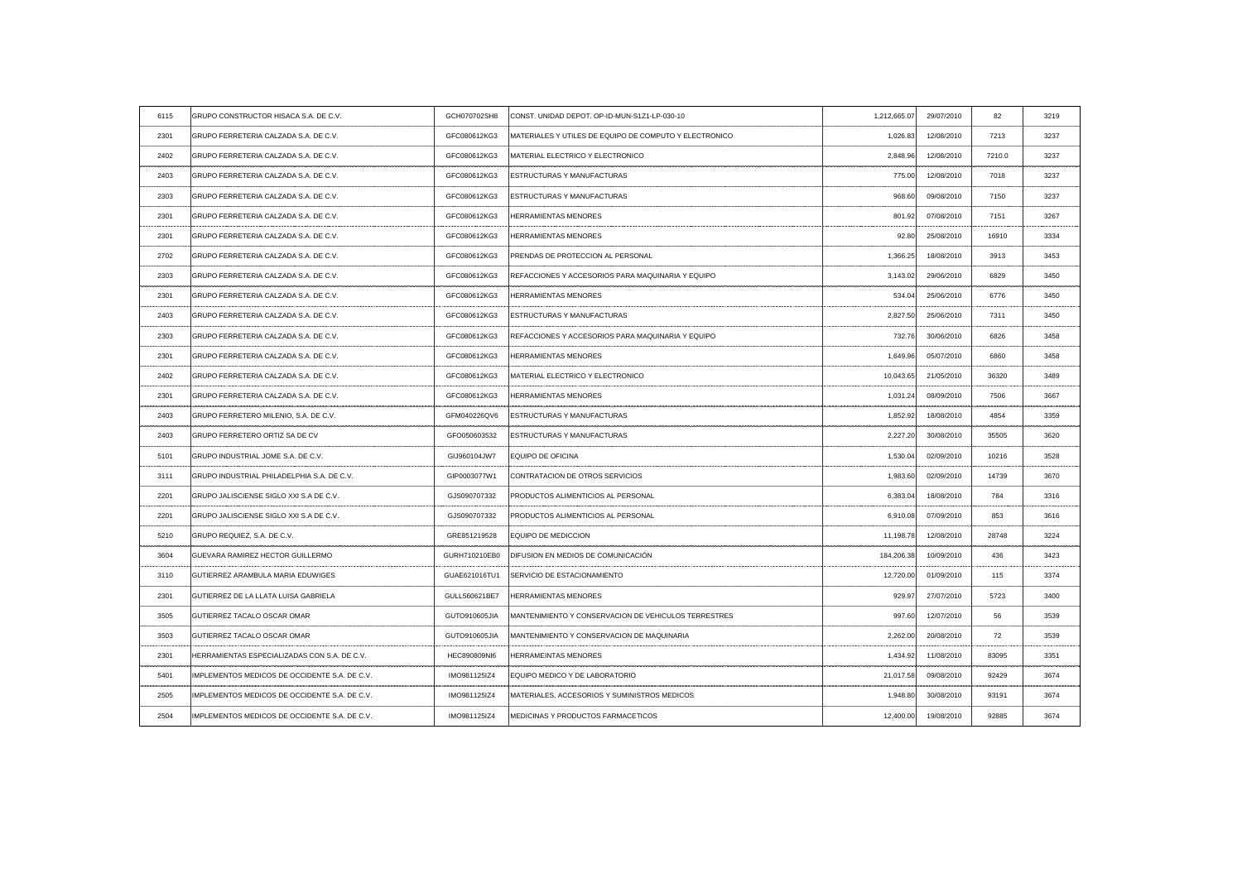| 6115  | GRUPO CONSTRUCTOR HISACA S.A. DE C.V.                                          | GCH070702SH8        | CONST. UNIDAD DEPOT. OP-ID-MUN-S1Z1-LP-030-10           | 1,212,665.07 | 29/07/2010                          | 82     | 3219 |
|-------|--------------------------------------------------------------------------------|---------------------|---------------------------------------------------------|--------------|-------------------------------------|--------|------|
| 2301  | GRUPO FERRETERIA CALZADA S.A. DE C.V.                                          | GFC080612KG3        | :MATERIALES Y UTILES DE EQUIPO DE COMPUTO Y ELECTRONICO | 1,026.83     | 12/08/2010                          | 7213   | 3237 |
| 2402  | GRUPO FERRETERIA CALZADA S.A. DE C.V.                                          | GFC080612KG3        | MATERIAL ELECTRICO Y ELECTRONICO                        | 2,848.96     | 12/08/2010                          | 7210.0 | 3237 |
| 2403  | GRUPO FERRETERIA CALZADA S.A. DE C.V.                                          | GFC080612KG3        | <b>ESTRUCTURAS Y MANUFACTURAS</b>                       | 775.00       | 12/08/2010                          | 7018   | 3237 |
| 2303  | GRUPO FERRETERIA CALZADA S.A. DE C.V.                                          | GFC080612KG3        | <b>ESTRUCTURAS Y MANUFACTURAS</b>                       | 968.60       | 09/08/2010                          | 7150   | 3237 |
| 2301  | GRUPO FERRETERIA CALZADA S.A. DE C.V.                                          | GFC080612KG3        | <b>HERRAMIENTAS MENORES</b>                             | 801.92       | 07/08/2010                          | 7151   | 3267 |
| 2301  | GRUPO FERRETERIA CALZADA S.A. DE C.V.                                          | GFC080612KG3        | <b>HERRAMIENTAS MENORES</b>                             | 92.80        | 25/08/2010                          | 16910  | 3334 |
| 2702  | GRUPO FERRETERIA CALZADA S.A. DE C.V.                                          | GFC080612KG3        | PRENDAS DE PROTECCION AL PERSONAL                       | 1,366.25     | 18/08/2010                          | 3913   | 3453 |
| 2303  | GRUPO FERRETERIA CALZADA S.A. DE C.V.                                          | GFC080612KG3        | REFACCIONES Y ACCESORIOS PARA MAQUINARIA Y EQUIPO       | 3,143.02     | 29/06/2010                          | 6829   | 3450 |
| 2301  | GRUPO FERRETERIA CALZADA S.A. DE C.V.                                          | GFC080612KG3        | <b>HERRAMIENTAS MENORES</b>                             | 534.04       | 25/06/2010                          | 6776   | 3450 |
| 2403  | GRUPO FERRETERIA CALZADA S.A. DE C.V.                                          | GFC080612KG3        | <b>ESTRUCTURAS Y MANUFACTURAS</b>                       | 2,827.50     | 25/06/2010                          | 7311   | 3450 |
| 2303  | GRUPO FERRETERIA CALZADA S.A. DE C.V.                                          | GFC080612KG3        | REFACCIONES Y ACCESORIOS PARA MAQUINARIA Y EQUIPO       | 732.76       | 30/06/2010                          | 6826   | 3458 |
| 2301  | GRUPO FERRETERIA CALZADA S.A. DE C.V.                                          | GFC080612KG3        | <b>HERRAMIENTAS MENORES</b>                             | 1,649.96     | 05/07/2010                          | 6860   | 3458 |
| 2402  | GRUPO FERRETERIA CALZADA S.A. DE C.V.                                          | GFC080612KG3        | MATERIAL ELECTRICO Y ELECTRONICO                        | 10,043.65    | 21/05/2010                          | 36320  | 3489 |
| 2301  | GRUPO FERRETERIA CALZADA S.A. DE C.V.                                          | GFC080612KG3        | <b>HERRAMIENTAS MENORES</b>                             | 1,031.24     | 08/09/2010                          | 7506   | 3667 |
| 2403  | GRUPO FERRETERO MILENIO, S.A. DE C.V.                                          | GFM040226QV6        | <b>ESTRUCTURAS Y MANUFACTURAS</b>                       | . <b>.</b>   | 1,852.92 18/08/2010<br>. <u>.</u> . | 4854   |      |
| 2403  | <b>GRUPO FERRETERO ORTIZ SA DE CV</b><br>------------------------------------- | GFO050603532        | ESTRUCTURAS Y MANUFACTURAS                              | 2,227.20     | 30/08/2010                          | 35505  | 3620 |
| 5101  | GRUPO INDUSTRIAL JOME S.A. DE C.V.                                             | GIJ960104JW7        | <b>EQUIPO DE OFICINA</b>                                | 1,530.04     | 02/09/2010                          | 10216  | 3528 |
| -3111 | GRUPO INDUSTRIAL PHILADELPHIA S.A. DE C.V.                                     | GIP0003077W1        | CONTRATACION DE OTROS SERVICIOS                         | 1,983.60     | 02/09/2010                          | 14739  | 3670 |
| 2201  | GRUPO JALISCIENSE SIGLO XXI S.A DE C.V.                                        | GJS090707332        | PRODUCTOS ALIMENTICIOS AL PERSONAL                      | 6,383.04     | 18/08/2010                          | 784    | 3316 |
| 2201  | GRUPO JALISCIENSE SIGLO XXI S.A DE C.V.                                        | GJS090707332        | <b>PRODUCTOS ALIMENTICIOS AL PERSONAL</b>               | 6,910.08     | 07/09/2010                          | 853    | 3616 |
| 5210  | GRUPO REQUIEZ, S.A. DE C.V.                                                    | GRE851219528        | <b>EQUIPO DE MEDICCION</b>                              | 11,198.78    | 12/08/2010                          | 28748  | 3224 |
| 3604  | GUEVARA RAMIREZ HECTOR GUILLERMO                                               |                     | GURH710210EB0 DIFUSION EN MEDIOS DE COMUNICACIÓN        | 184,206.38   | 10/09/2010                          | 436    | 3423 |
| 3110  | <b>GUTIERREZ ARAMBULA MARIA EDUWIGES</b>                                       | GUAE621016TU1       | SERVICIO DE ESTACIONAMIENTO                             | 12,720.00    | 01/09/2010                          | 115    | 3374 |
| 2301  | <b>GUTIERREZ DE LA LLATA LUISA GABRIELA</b>                                    | GULL560621BE7       | <b>HERRAMIENTAS MENORES</b>                             | 929.97       | 27/07/2010                          | 5723   | 3400 |
| 3505  | <b>GUTIERREZ TACALO OSCAR OMAR</b>                                             | GUTO910605JIA       | MANTENIMIENTO Y CONSERVACION DE VEHICULOS TERRESTRES    | 997.60       | 12/07/2010                          | 56     | 3539 |
| 3503  | <b>GUTIERREZ TACALO OSCAR OMAR</b>                                             | GUTO910605JIA       | MANTENIMIENTO Y CONSERVACION DE MAQUINARIA              | 2,262.00     | 20/08/2010                          | 72     | 3539 |
| 2301  | HERRAMIENTAS ESPECIALIZADAS CON S.A. DE C.V.                                   | <b>HEC890809NI6</b> | <b>HERRAMEINTAS MENORES</b>                             | 1,434.92     | 11/08/2010                          | 83095  | 3351 |
| 5401  | IMPLEMENTOS MEDICOS DE OCCIDENTE S.A. DE C.V.                                  | IMO981125IZ4        | EQUIPO MEDICO Y DE LABORATORIO                          | 21,017.58    | 09/08/2010                          | 92429  | 3674 |
| 2505  | IMPLEMENTOS MEDICOS DE OCCIDENTE S.A. DE C.V.                                  | IMO981125IZ4        | MATERIALES, ACCESORIOS Y SUMINISTROS MEDICOS            | 1,948.80     | 30/08/2010                          | 93191  | 3674 |
| 2504  | IMPLEMENTOS MEDICOS DE OCCIDENTE S.A. DE C.V.                                  | IMO981125IZ4        | MEDICINAS Y PRODUCTOS FARMACETICOS                      | 12,400.00    | 19/08/2010                          | 92885  | 3674 |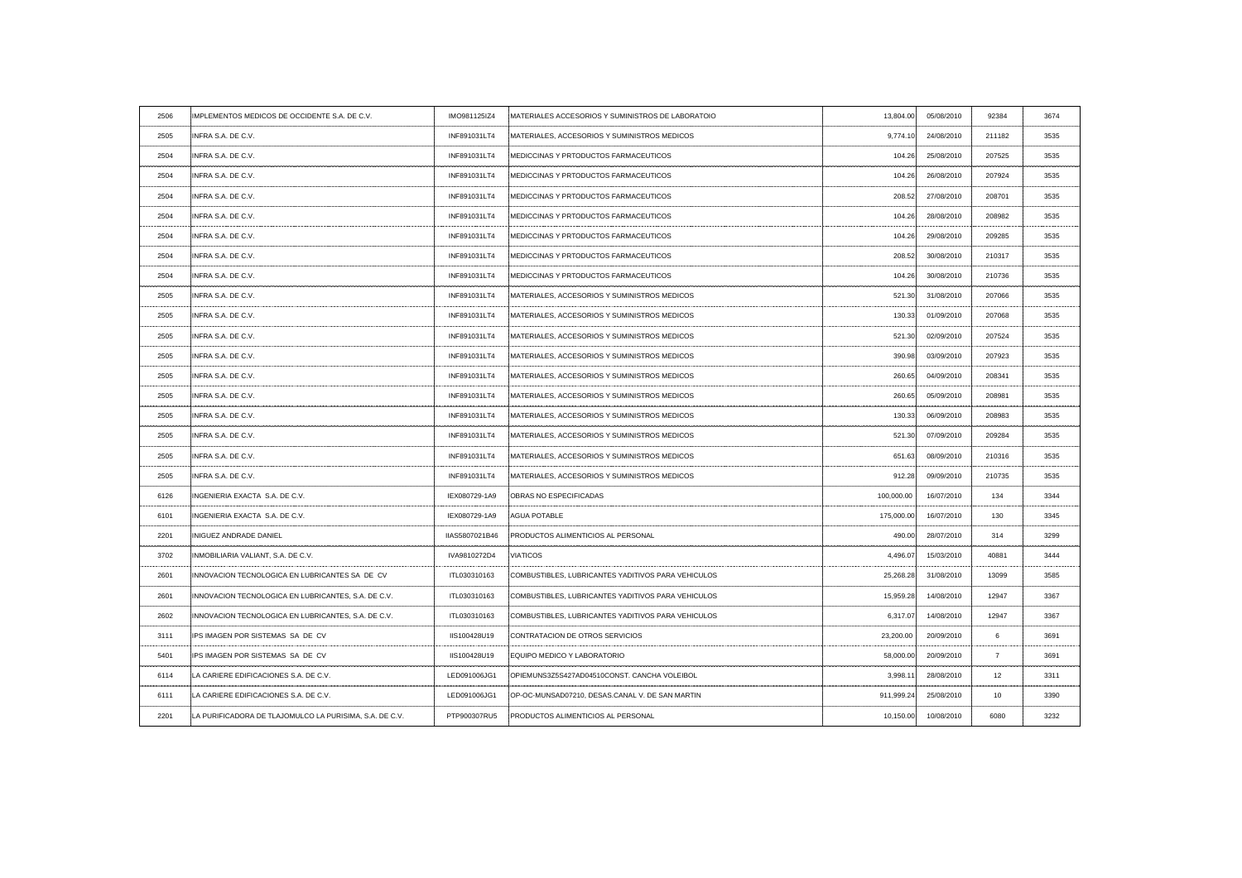| 2506                 | IMPLEMENTOS MEDICOS DE OCCIDENTE S.A. DE C.V.           | IMO981125IZ4   | MATERIALES ACCESORIOS Y SUMINISTROS DE LABORATOIO                                                                                                              | 13,804.00                                 | 05/08/2010 | 92384           | 3674 |
|----------------------|---------------------------------------------------------|----------------|----------------------------------------------------------------------------------------------------------------------------------------------------------------|-------------------------------------------|------------|-----------------|------|
| 2505                 | INFRA S.A. DE C.V.                                      | INF891031LT4   | MATERIALES, ACCESORIOS Y SUMINISTROS MEDICOS                                                                                                                   | 9,774.10                                  | 24/08/2010 | 211182          | 3535 |
| 2504                 | INFRA S.A. DE C.V.                                      | INF891031LT4   | <b>IMEDICCINAS Y PRTODUCTOS FARMACEUTICOS</b>                                                                                                                  | 104.26                                    | 25/08/2010 | 207525          | 3535 |
| 2504                 | INFRA S.A. DE C.V.                                      | INF891031LT4   | <b>IMEDICCINAS Y PRTODUCTOS FARMACEUTICOS</b>                                                                                                                  | 104.26                                    | 26/08/2010 | 207924          | 3535 |
| 2504                 | INFRA S.A. DE C.V.                                      | INF891031LT4   | <b>IMEDICCINAS Y PRTODUCTOS FARMACEUTICOS</b>                                                                                                                  | 208.52                                    | 27/08/2010 | 208701          | 3535 |
| 2504                 | INFRA S.A. DE C.V.                                      | INF891031LT4   | <b>IMEDICCINAS Y PRTODUCTOS FARMACEUTICOS</b>                                                                                                                  | 104.26                                    | 28/08/2010 | 208982          | 3535 |
| 2504                 | INFRA S.A. DE C.V.                                      | INF891031LT4   | <b>IMEDICCINAS Y PRTODUCTOS FARMACEUTICOS</b>                                                                                                                  | 104.26                                    | 29/08/2010 | 209285          | 3535 |
| 2504                 | INFRA S.A. DE C.V.                                      | INF891031LT4   | <b>IMEDICCINAS Y PRTODUCTOS FARMACEUTICOS</b>                                                                                                                  | 208.52                                    | 30/08/2010 | 210317          | 3535 |
| 2504                 | INFRA S.A. DE C.V.                                      | INF891031LT4   | MEDICCINAS Y PRTODUCTOS FARMACEUTICOS                                                                                                                          | 104.26                                    | 30/08/2010 | 210736          | 3535 |
| 2505                 | INFRA S.A. DE C.V.                                      | INF891031LT4   | . Jeograpa pod područi se područi se područi se područi se se područi se područi se područi se područi se podr<br>MATERIALES, ACCESORIOS Y SUMINISTROS MEDICOS | 521.30                                    | 31/08/2010 | 207066          | 3535 |
| 2505                 | INFRA S.A. DE C.V.                                      | INF891031LT4   | MATERIALES, ACCESORIOS Y SUMINISTROS MEDICOS                                                                                                                   | 130.33                                    | 01/09/2010 | 207068          | 3535 |
| . <u>.</u> .<br>2505 | INFRA S.A. DE C.V.                                      | INF891031LT4   | MATERIALES, ACCESORIOS Y SUMINISTROS MEDICOS                                                                                                                   | 521.30                                    | 02/09/2010 | 207524          | 3535 |
| 2505                 | INFRA S.A. DE C.V.                                      | INF891031LT4   | MATERIALES, ACCESORIOS Y SUMINISTROS MEDICOS                                                                                                                   | 390.98                                    | 03/09/2010 | 207923          | 3535 |
| 2505                 | INFRA S.A. DE C.V.                                      | INF891031LT4   | MATERIALES, ACCESORIOS Y SUMINISTROS MEDICOS                                                                                                                   | 260.65                                    | 04/09/2010 | 208341          | 3535 |
| 2505                 | INFRA S.A. DE C.V.                                      | INF891031LT4   | MATERIALES, ACCESORIOS Y SUMINISTROS MEDICOS                                                                                                                   | 260.65                                    | 05/09/2010 | 208981          | 3535 |
| 2505                 | INFRA S.A. DE C.V.                                      | INF891031LT4   | MATERIALES, ACCESORIOS Y SUMINISTROS MEDICOS                                                                                                                   | 130.33                                    | 06/09/2010 | 208983          |      |
| 2505                 | INFRA S.A. DE C.V.                                      | INF891031LT4   | MATERIALES, ACCESORIOS Y SUMINISTROS MEDICOS                                                                                                                   | 521.30                                    | 07/09/2010 | 209284          | 3535 |
| 2505                 | INFRA S.A. DE C.V.                                      | INF891031LT4   | MATERIALES, ACCESORIOS Y SUMINISTROS MEDICOS                                                                                                                   | -------------------------------<br>651.63 | 08/09/2010 | 210316          | 3535 |
| 2505                 | INFRA S.A. DE C.V.                                      | INF891031LT4   | MATERIALES, ACCESORIOS Y SUMINISTROS MEDICOS                                                                                                                   | 912.28                                    | 09/09/2010 | 210735          | 3535 |
| 6126                 | INGENIERIA EXACTA S.A. DE C.V.                          | IEX080729-1A9  | OBRAS NO ESPECIFICADAS                                                                                                                                         | 100,000.00                                | 16/07/2010 | 134             | 3344 |
| 6101                 | INGENIERIA EXACTA S.A. DE C.V.                          | IEX080729-1A9  | <b>AGUA POTABLE</b>                                                                                                                                            | 175,000.00                                | 16/07/2010 | 130             | 3345 |
| 2201                 | INIGUEZ ANDRADE DANIEL                                  | IIAS5807021B46 | <b>PRODUCTOS ALIMENTICIOS AL PERSONAL</b>                                                                                                                      | 490.00                                    | 28/07/2010 | 314             | 3299 |
| 3702                 | INMOBILIARIA VALIANT, S.A. DE C.V.                      | IVA9810272D4   | <b>VIATICOS</b>                                                                                                                                                | 4,496.07                                  | 15/03/2010 | 40881           | 3444 |
| 2601                 | INNOVACION TECNOLOGICA EN LUBRICANTES SA DE CV          | ITL030310163   | COMBUSTIBLES, LUBRICANTES YADITIVOS PARA VEHICULOS                                                                                                             | 25,268.28                                 | 31/08/2010 | 13099           | 3585 |
| 2601                 | INNOVACION TECNOLOGICA EN LUBRICANTES, S.A. DE C.V.     | ITL030310163   | COMBUSTIBLES, LUBRICANTES YADITIVOS PARA VEHICULOS                                                                                                             | 15,959.28                                 | 14/08/2010 | 12947           | 3367 |
| 2602                 | INNOVACION TECNOLOGICA EN LUBRICANTES, S.A. DE C.V.     | ITL030310163   | COMBUSTIBLES, LUBRICANTES YADITIVOS PARA VEHICULOS                                                                                                             | 6,317.07                                  | 14/08/2010 | 12947           | 3367 |
| 3111                 | IPS IMAGEN POR SISTEMAS SA DE CV                        | IIS100428U19   | <b>CONTRATACION DE OTROS SERVICIOS</b>                                                                                                                         | 23,200.00                                 | 20/09/2010 |                 | 3691 |
| 5401                 | <b>IPS IMAGEN POR SISTEMAS SA DE CV</b>                 | IIS100428U19   | EQUIPO MEDICO Y LABORATORIO                                                                                                                                    | 58,000.00                                 | 20/09/2010 |                 | 3691 |
| 6114                 | LA CARIERE EDIFICACIONES S.A. DE C.V.                   | LED091006JG1   | OPIEMUNS3Z5S427AD04510CONST, CANCHA VOLEIBOL                                                                                                                   | 3,998.11                                  | 28/08/2010 | 12 <sup>°</sup> | 3311 |
| 6111                 | LA CARIERE EDIFICACIONES S.A. DE C.V.                   | LED091006JG1   | OP-OC-MUNSAD07210, DESAS.CANAL V. DE SAN MARTIN                                                                                                                | 911,999.24                                | 25/08/2010 | 10              | 3390 |
| 2201                 | LA PURIFICADORA DE TLAJOMULCO LA PURISIMA, S.A. DE C.V. | PTP900307RU5   | PRODUCTOS ALIMENTICIOS AL PERSONAL                                                                                                                             | 10,150.00                                 | 10/08/2010 | 6080            | 3232 |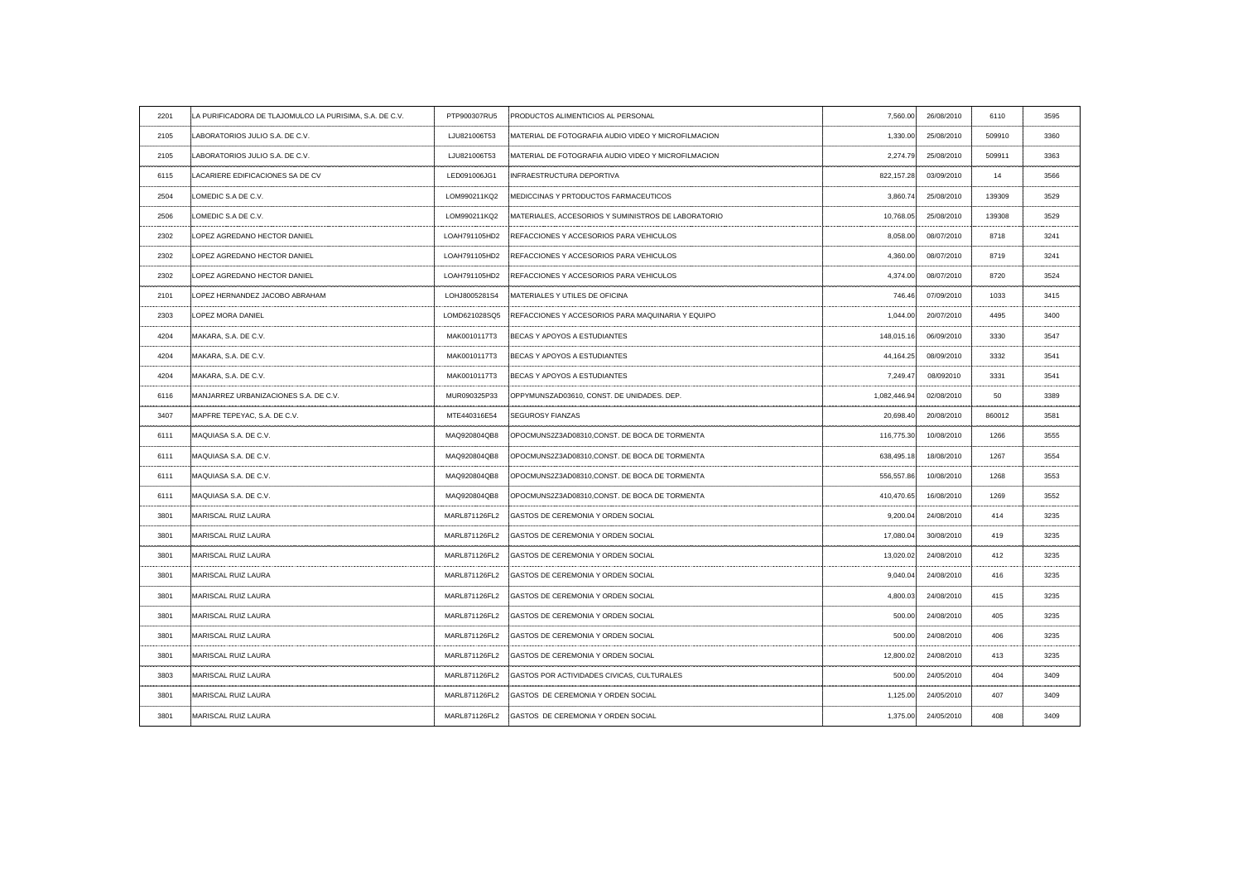| 2201                 | LA PURIFICADORA DE TLAJOMULCO LA PURISIMA, S.A. DE C.V. | PTP900307RU5  | PRODUCTOS ALIMENTICIOS AL PERSONAL                    | 7,560.00     | 26/08/2010                                      | 6110   | 3595 |
|----------------------|---------------------------------------------------------|---------------|-------------------------------------------------------|--------------|-------------------------------------------------|--------|------|
| 2105                 | LABORATORIOS JULIO S.A. DE C.V.                         | LJU821006T53  | :MATERIAL DE FOTOGRAFIA AUDIO VIDEO Y MICROFILMACION  | 1,330.00     | 25/08/2010                                      | 509910 | 3360 |
| 2105                 | LABORATORIOS JULIO S.A. DE C.V.                         | LJU821006T53  | : MATERIAL DE FOTOGRAFIA AUDIO VIDEO Y MICROFILMACION | 2,274.79     | 25/08/2010                                      | 509911 | 3363 |
| 6115                 | LACARIERE EDIFICACIONES SA DE CV                        | LED091006JG1  | INFRAESTRUCTURA DEPORTIVA                             | 822,157.28   | 03/09/2010                                      | 14     | 3566 |
| 2504                 | LOMEDIC S.A DE C.V.                                     | LOM990211KQ2  | <b>IMEDICCINAS Y PRTODUCTOS FARMACEUTICOS</b>         | 3,860.74     | 25/08/2010                                      | 139309 | 3529 |
| 2506                 | LOMEDIC S.A DE C.V.                                     | LOM990211KQ2  | MATERIALES, ACCESORIOS Y SUMINISTROS DE LABORATORIO   | 10,768.05    | 25/08/2010                                      | 139308 | 3529 |
| 2302                 | LOPEZ AGREDANO HECTOR DANIEL                            | LOAH791105HD2 | REFACCIONES Y ACCESORIOS PARA VEHICULOS               | 8,058.00     | 08/07/2010                                      | 8718   | 3241 |
| 2302                 | LOPEZ AGREDANO HECTOR DANIEL                            | LOAH791105HD2 | REFACCIONES Y ACCESORIOS PARA VEHICULOS               | 4,360.00     | 08/07/2010                                      | 8719   | 3241 |
| 2302                 | LOPEZ AGREDANO HECTOR DANIEL                            |               | LOAH791105HD2 REFACCIONES Y ACCESORIOS PARA VEHICULOS | 4,374.00     | 08/07/2010                                      | 8720   | 3524 |
| 2101                 | LOPEZ HERNANDEZ JACOBO ABRAHAM                          | LOHJ8005281S4 | MATERIALES Y UTILES DE OFICINA                        | 746.46       | 07/09/2010                                      | 1033   | 3415 |
| 2303                 | LOPEZ MORA DANIEL                                       | LOMD621028SQ5 | REFACCIONES Y ACCESORIOS PARA MAQUINARIA Y EQUIPO     | 1,044.00     | 20/07/2010                                      | 4495   | 3400 |
| 4204                 | MAKARA, S.A. DE C.V.                                    | MAK0010117T3  | BECAS Y APOYOS A ESTUDIANTES                          | 148,015.16   | 06/09/2010                                      | 3330   | 3547 |
| 4204<br>------------ | MAKARA, S.A. DE C.V.                                    | MAK0010117T3  | BECAS Y APOYOS A ESTUDIANTES                          | 44,164.25    | 08/09/2010                                      | 3332   | 3541 |
| 4204                 | MAKARA, S.A. DE C.V.                                    | MAK0010117T3  | BECAS Y APOYOS A ESTUDIANTES                          | 7,249.47     | 08/092010                                       | 3331   | 3541 |
| 6116                 | MANJARREZ URBANIZACIONES S.A. DE C.V.                   | MUR090325P33  | OPPYMUNSZAD03610, CONST. DE UNIDADES. DEP.            | 1,082,446.94 | 02/08/2010                                      | 50     | 3389 |
|                      | MAPFRE TEPEYAC, S.A. DE C.V.                            | MTE440316E54  | <b>SEGUROSY FIANZAS</b>                               | 20,698.40    | 20/08/2010<br>--------------------------------- | 860012 |      |
| 6111                 | MAQUIASA S.A. DE C.V.                                   | MAQ920804QB8  | OPOCMUNS2Z3AD08310, CONST. DE BOCA DE TORMENTA        | 116,775.30   | 10/08/2010                                      | 1266   | 3555 |
| 6111                 | MAQUIASA S.A. DE C.V.                                   | MAQ920804QB8  | :OPOCMUNS2Z3AD08310, CONST. DE BOCA DE TORMENTA       | 638,495.18   | 18/08/2010                                      | 1267   |      |
| 6111                 | MAQUIASA S.A. DE C.V.                                   | MAQ920804QB8  | OPOCMUNS2Z3AD08310, CONST. DE BOCA DE TORMENTA        | 556,557.86   | 10/08/2010                                      | 1268   | 3553 |
| 6111                 | MAQUIASA S.A. DE C.V.                                   | MAQ920804QB8  | :OPOCMUNS2Z3AD08310, CONST. DE BOCA DE TORMENTA       | 410,470.65   | 16/08/2010                                      | 1269   | 3552 |
| 3801                 | MARISCAL RUIZ LAURA                                     |               | MARL871126FL2 GASTOS DE CEREMONIA Y ORDEN SOCIAL      | 9,200.04     | 24/08/2010                                      | 414    | 3235 |
| 3801                 | MARISCAL RUIZ LAURA                                     | MARL871126FL2 | GASTOS DE CEREMONIA Y ORDEN SOCIAL                    | 17,080.04    | 30/08/2010                                      | 419    | 3235 |
| 3801                 | MARISCAL RUIZ LAURA                                     |               | MARL871126FL2 GASTOS DE CEREMONIA Y ORDEN SOCIAL      | 13,020.02    | 24/08/2010                                      | 412    | 3235 |
| 3801                 | <b>MARISCAL RUIZ LAURA</b>                              |               | MARL871126FL2 GASTOS DE CEREMONIA Y ORDEN SOCIAL      | 9,040.04     | 24/08/2010                                      | 416    | 3235 |
| 3801                 | MARISCAL RUIZ LAURA                                     |               | MARL871126FL2 GASTOS DE CEREMONIA Y ORDEN SOCIAL      | 4,800.03     | 24/08/2010                                      | 415    | 3235 |
| 3801                 | MARISCAL RUIZ LAURA                                     |               | MARL871126FL2 GASTOS DE CEREMONIA Y ORDEN SOCIAL      | 500.00       | 24/08/2010                                      | 405    | 3235 |
| 3801                 | MARISCAL RUIZ LAURA                                     | MARL871126FL2 | <b>GASTOS DE CEREMONIA Y ORDEN SOCIAL</b>             | 500.00       | 24/08/2010                                      | 406    | 3235 |
| 3801                 | MARISCAL RUIZ LAURA                                     |               | MARL871126FL2 GASTOS DE CEREMONIA Y ORDEN SOCIAL      | 12,800.02    | 24/08/2010                                      | 413    | 3235 |
| 3803                 | MARISCAL RUIZ LAURA                                     | MARL871126FL2 | GASTOS POR ACTIVIDADES CIVICAS, CULTURALES            | 500.00       | 24/05/2010                                      | 404    |      |
| 3801                 | MARISCAL RUIZ LAURA                                     |               | MARL871126FL2 GASTOS DE CEREMONIA Y ORDEN SOCIAL      | 1,125.00     | 24/05/2010                                      | 407    | 3409 |
| 3801                 | MARISCAL RUIZ LAURA                                     | MARL871126FL2 | GASTOS DE CEREMONIA Y ORDEN SOCIAL                    | 1,375.00     | 24/05/2010                                      | 408    | 3409 |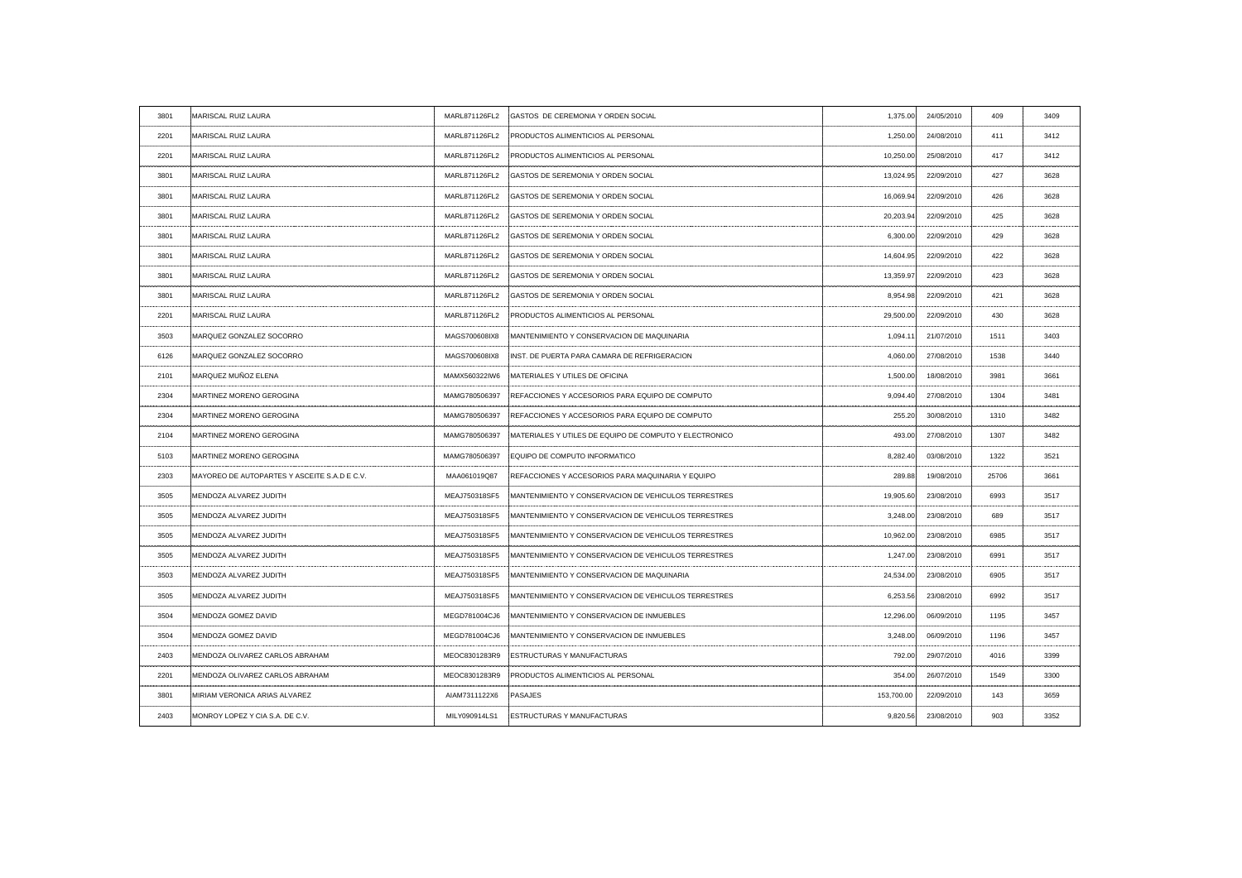| 3801                | MARISCAL RUIZ LAURA                          |               | MARL871126FL2 GASTOS DE CEREMONIA Y ORDEN SOCIAL                   | 1,375.00    | 24/05/2010               | 409                  | 3409  |
|---------------------|----------------------------------------------|---------------|--------------------------------------------------------------------|-------------|--------------------------|----------------------|-------|
| 2201                | MARISCAL RUIZ LAURA                          | MARL871126FL2 | <b>PRODUCTOS ALIMENTICIOS AL PERSONAL</b>                          | 1.250.00    | 24/08/2010               | 411                  | 3412  |
| 2201                | MARISCAL RUIZ LAURA                          | MARL871126FL2 | PRODUCTOS ALIMENTICIOS AL PERSONAL                                 | 10,250.00   | 25/08/2010               | 417                  | 3412  |
| 3801                | MARISCAL RUIZ LAURA                          | MARL871126FL2 | <b>GASTOS DE SEREMONIA Y ORDEN SOCIAL</b>                          | 13,024.95   | 22/09/2010               | 427                  | 3628  |
| 3801                | MARISCAL RUIZ LAURA                          | MARL871126FL2 | GASTOS DE SEREMONIA Y ORDEN SOCIAL                                 | 16,069.94   | 22/09/2010               | 426                  | 3628  |
| 3801                | MARISCAL RUIZ LAURA                          | MARL871126FL2 | GASTOS DE SEREMONIA Y ORDEN SOCIAL                                 | 20,203.94   | 22/09/2010               | 425                  | 3628  |
| 3801                | MARISCAL RUIZ LAURA                          | MARL871126FL2 | GASTOS DE SEREMONIA Y ORDEN SOCIAL                                 | 6,300.00    | 22/09/2010               | 429                  | 3628  |
| 3801                | MARISCAL RUIZ LAURA                          | MARL871126FL2 | GASTOS DE SEREMONIA Y ORDEN SOCIAL                                 | 14,604.95   | 22/09/2010               | 422                  | 3628  |
| 3801                | MARISCAL RUIZ LAURA                          |               | MARL871126FL2 GASTOS DE SEREMONIA Y ORDEN SOCIAL                   | 13,359.97   | 22/09/2010               | 423                  | 3628  |
| 3801                | <b>MARISCAL RUIZ LAURA</b>                   |               | MARL871126FL2 GASTOS DE SEREMONIA Y ORDEN SOCIAL                   | 8,954.98    | 22/09/2010               | 421                  | 3628  |
| 2201<br>----------- | MARISCAL RUIZ LAURA                          | MARL871126FL2 | PRODUCTOS ALIMENTICIOS AL PERSONAL                                 | 29,500.00   | 22/09/2010<br>. <b>.</b> | 430<br>------------- | 3628  |
| 3503                | MARQUEZ GONZALEZ SOCORRO                     | MAGS700608IX8 | MANTENIMIENTO Y CONSERVACION DE MAQUINARIA                         | 1,094.11    | 21/07/2010               | 1511                 | 3403  |
| 6126                | MARQUEZ GONZALEZ SOCORRO                     | MAGS700608IX8 | INST. DE PUERTA PARA CAMARA DE REFRIGERACION                       | 4,060.00    | 27/08/2010               | 1538                 | 3440  |
| 2101                | MARQUEZ MUÑOZ ELENA                          |               | MAMX560322IW6 MATERIALES Y UTILES DE OFICINA                       | 1,500.00    | 18/08/2010               | 3981                 | 3661  |
| 2304                | <b>IMARTINEZ MORENO GEROGINA</b>             | MAMG780506397 | REFACCIONES Y ACCESORIOS PARA EQUIPO DE COMPUTO                    | 9,094.40    | 27/08/2010               | 1304                 | 3481  |
| 2304                | MARTINEZ MORENO GEROGINA                     |               | MAMG780506397 REFACCIONES Y ACCESORIOS PARA EQUIPO DE COMPUTO      | ----------- | 255.20 30/08/2010        | 1310                 | 0.400 |
| 2104                | MARTINEZ MORENO GEROGINA                     | MAMG780506397 | MATERIALES Y UTILES DE EQUIPO DE COMPUTO Y ELECTRONICO             | 493.00      | 27/08/2010               | 1307                 | 3482  |
| 5103                | MARTINEZ MORENO GEROGINA                     | MAMG780506397 | <b>EQUIPO DE COMPUTO INFORMATICO</b>                               | 8.282.40    | 03/08/2010               | 1322                 | 3521  |
| 2303                | MAYOREO DE AUTOPARTES Y ASCEITE S.A.D E C.V. | MAA061019Q87  | :REFACCIONES Y ACCESORIOS PARA MAQUINARIA Y EQUIPO                 | 289.88      | 19/08/2010               | 25706                | 3661  |
| 3505                | MENDOZA ALVAREZ JUDITH                       | MEAJ750318SF5 | MANTENIMIENTO Y CONSERVACION DE VEHICULOS TERRESTRES               | 19,905.60   | 23/08/2010               | 6993                 | 3517  |
| 3505                | MENDOZA ALVAREZ JUDITH                       | MEAJ750318SF5 | IMANTENIMIENTO Y CONSERVACION DE VEHICULOS TERRESTRES              | 3,248.00    | 23/08/2010               | 689                  | 3517  |
| 3505                | MENDOZA ALVAREZ JUDITH                       | MEAJ750318SF5 | MANTENIMIENTO Y CONSERVACION DE VEHICULOS TERRESTRES               | 10,962.00   | 23/08/2010               | 6985                 | 3517  |
| 3505                | MENDOZA ALVAREZ JUDITH                       |               | MEAJ750318SF5 MANTENIMIENTO Y CONSERVACION DE VEHICULOS TERRESTRES | 1,247.00    | 23/08/2010               | 6991                 | 3517  |
| 3503                | MENDOZA ALVAREZ JUDITH                       |               | MEAJ750318SF5 MANTENIMIENTO Y CONSERVACION DE MAQUINARIA           | 24,534.00   | 23/08/2010               | 6905                 | 3517  |
| 3505                | MENDOZA ALVAREZ JUDITH                       | MEAJ750318SF5 | MANTENIMIENTO Y CONSERVACION DE VEHICULOS TERRESTRES               | 6,253.56    | 23/08/2010               | 6992                 | 3517  |
| 3504                | MENDOZA GOMEZ DAVID                          | MEGD781004CJ6 | MANTENIMIENTO Y CONSERVACION DE INMUEBLES                          | 12,296.00   | 06/09/2010               | 1195                 | 3457  |
| 3504                | MENDOZA GOMEZ DAVID                          | MEGD781004CJ6 | MANTENIMIENTO Y CONSERVACION DE INMUEBLES                          | 3,248.00    | 06/09/2010               | 1196                 | 3457  |
| 2403                | MENDOZA OLIVAREZ CARLOS ABRAHAM              | MEOC8301283R9 | <b>ESTRUCTURAS Y MANUFACTURAS</b>                                  | 792.00      | 29/07/2010               | 4016                 | 3399  |
| 2201                | MENDOZA OLIVAREZ CARLOS ABRAHAM              | MEOC8301283R9 | <b>PRODUCTOS ALIMENTICIOS AL PERSONAL</b>                          | 354.00      | 26/07/2010               | 1549                 | 3300  |
| 380'                | MIRIAM VERONICA ARIAS ALVAREZ                | AIAM7311122X6 | PASAJES                                                            | 153,700.00  | 22/09/2010               | 143                  | 3659  |
| 2403                | MONROY LOPEZ Y CIA S.A. DE C.V.              | MILY090914LS1 | <b>ESTRUCTURAS Y MANUFACTURAS</b>                                  | 9,820.56    | 23/08/2010               | 903                  | 3352  |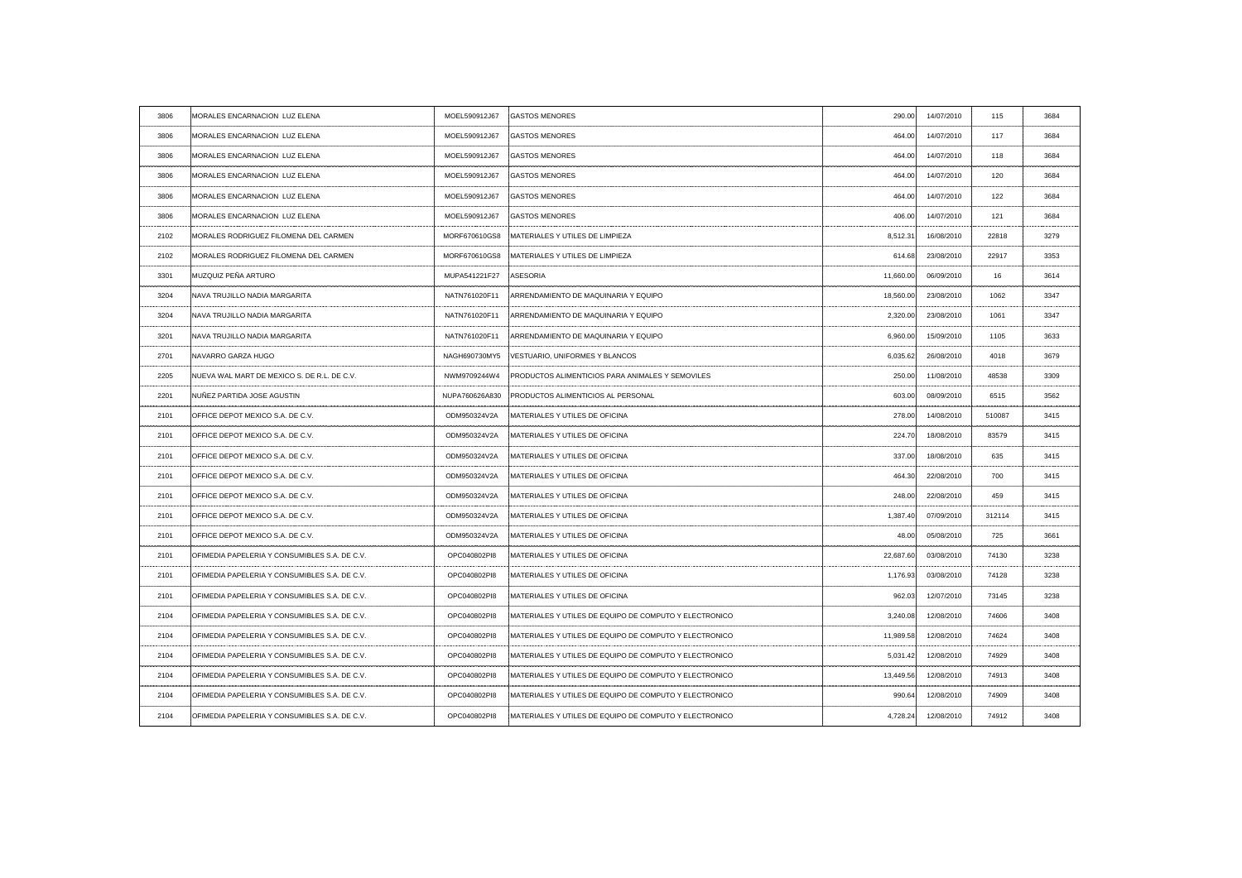| 3806 | MORALES ENCARNACION LUZ ELENA                        | MOEL590912J67  | <b>GASTOS MENORES</b>                                  | 290.00    | 14/07/2010 | 115    | 3684 |
|------|------------------------------------------------------|----------------|--------------------------------------------------------|-----------|------------|--------|------|
| 3806 | MORALES ENCARNACION LUZ ELENA                        | MOEL590912J67  | <b>GASTOS MENORES</b>                                  | 464.00    | 14/07/2010 | 117    | 3684 |
| 3806 | MORALES ENCARNACION LUZ ELENA                        | MOEL590912J67  | <b>GASTOS MENORES</b>                                  | 464.00    | 14/07/2010 | 118    | 3684 |
| 3806 | MORALES ENCARNACION LUZ ELENA                        | MOEL590912J67  | <b>GASTOS MENORES</b>                                  | 464.00    | 14/07/2010 | 120    | 3684 |
| 3806 | MORALES ENCARNACION LUZ ELENA                        | MOEL590912J67  | <b>GASTOS MENORES</b>                                  | 464.00    | 14/07/2010 | 122    | 3684 |
| 3806 | MORALES ENCARNACION LUZ ELENA                        | MOEL590912J67  | <b>GASTOS MENORES</b>                                  | 406.00    | 14/07/2010 | 121    | 3684 |
| 2102 | MORALES RODRIGUEZ FILOMENA DEL CARMEN                | MORF670610GS8  | MATERIALES Y UTILES DE LIMPIEZA                        | 8,512.31  | 16/08/2010 | 22818  | 3279 |
| 2102 | MORALES RODRIGUEZ FILOMENA DEL CARMEN                | MORF670610GS8  | MATERIALES Y UTILES DE LIMPIEZA                        | 614.68    | 23/08/2010 | 22917  | 3353 |
| 3301 | MUZQUIZ PEÑA ARTURO                                  | MUPA541221F27  | ASESORIA                                               | 11,660.00 | 06/09/2010 | 16     | 3614 |
| 3204 | NAVA TRUJILLO NADIA MARGARITA                        | NATN761020F11  | ARRENDAMIENTO DE MAQUINARIA Y EQUIPO                   | 18,560.00 | 23/08/2010 | 1062   | 3347 |
| 3204 | NAVA TRUJILLO NADIA MARGARITA                        | NATN761020F11  | ARRENDAMIENTO DE MAQUINARIA Y EQUIPO                   | 2,320.00  | 23/08/2010 | 1061   | 3347 |
| 3201 | NAVA TRUJILLO NADIA MARGARITA                        | NATN761020F11  | ARRENDAMIENTO DE MAQUINARIA Y EQUIPO                   | 6,960.00  | 15/09/2010 | 1105   | 3633 |
| 2701 | NAVARRO GARZA HUGO                                   | NAGH690730MY5  | VESTUARIO, UNIFORMES Y BLANCOS                         | 6,035.62  | 26/08/2010 | 4018   | 3679 |
| 2205 | NUEVA WAL MART DE MEXICO S. DE R.L. DE C.V.          | NWM9709244W4   | PRODUCTOS ALIMENTICIOS PARA ANIMALES Y SEMOVILES       | 250.00    | 11/08/2010 | 48538  | 3309 |
| 2201 | NUÑEZ PARTIDA JOSE AGUSTIN                           | NUPA760626A830 | PRODUCTOS ALIMENTICIOS AL PERSONAL                     | 603.00    | 08/09/2010 | 6515   | 3562 |
| 2101 | OFFICE DEPOT MEXICO S.A. DE C.V.                     | DM950324V2A    | MATERIALES Y UTILES DE OFICINA                         |           | 14/08/2010 | 510087 |      |
| 2101 | OFFICE DEPOT MEXICO S.A. DE C.V.                     | ODM950324V2A   | MATERIALES Y UTILES DE OFICINA                         | 224.70    | 18/08/2010 | 83579  | 3415 |
| 2101 | OFFICE DEPOT MEXICO S.A. DE C.V.                     | ODM950324V2A   | MATERIALES Y UTILES DE OFICINA                         | 337.00    | 18/08/2010 | 635    | 3415 |
| 2101 | OFFICE DEPOT MEXICO S.A. DE C.V.                     | ODM950324V2A   | MATERIALES Y UTILES DE OFICINA                         | 464.30    | 22/08/2010 | 700    | 3415 |
| 2101 | OFFICE DEPOT MEXICO S.A. DE C.V.                     | ODM950324V2A   | MATERIALES Y UTILES DE OFICINA                         | 248.00    | 22/08/2010 | 459    | 3415 |
| 2101 | OFFICE DEPOT MEXICO S.A. DE C.V.                     | ODM950324V2A   | MATERIALES Y UTILES DE OFICINA                         | 1,387.40  | 07/09/2010 | 312114 | 3415 |
| 2101 | OFFICE DEPOT MEXICO S.A. DE C.V.                     | ODM950324V2A   | MATERIALES Y UTILES DE OFICINA                         | 48.00     | 05/08/2010 | 725    | 3661 |
| 2101 | OFIMEDIA PAPELERIA Y CONSUMIBLES S.A. DE C.V.        | OPC040802PI8   | MATERIALES Y UTILES DE OFICINA                         | 22,687.60 | 03/08/2010 | 74130  | 3238 |
| 2101 | OFIMEDIA PAPELERIA Y CONSUMIBLES S.A. DE C.V.        | OPC040802PI8   | <b>IMATERIALES Y UTILES DE OFICINA</b>                 | 1,176.93  | 03/08/2010 | 74128  | 3238 |
| 2101 | OFIMEDIA PAPELERIA Y CONSUMIBLES S.A. DE C.V.        | OPC040802PI8   | MATERIALES Y UTILES DE OFICINA                         | 962.03    | 12/07/2010 | 73145  | 3238 |
| 2104 | OFIMEDIA PAPELERIA Y CONSUMIBLES S.A. DE C.V.        | OPC040802PI8   | MATERIALES Y UTILES DE EQUIPO DE COMPUTO Y ELECTRONICO | 3,240.08  | 12/08/2010 | 74606  | 3408 |
| 2104 | <b>OFIMEDIA PAPELERIA Y CONSUMIBLES S.A. DE C.V.</b> | OPC040802PI8   | MATERIALES Y UTILES DE EQUIPO DE COMPUTO Y ELECTRONICO | 11,989.58 | 12/08/2010 | 74624  | 3408 |
| 2104 | OFIMEDIA PAPELERIA Y CONSUMIBLES S.A. DE C.V.        | OPC040802PI8   | MATERIALES Y UTILES DE EQUIPO DE COMPUTO Y ELECTRONICO | 5,031.42  | 12/08/2010 | 74929  | 3408 |
| 2104 | OFIMEDIA PAPELERIA Y CONSUMIBLES S.A. DE C.V.        | OPC040802PI8   | MATERIALES Y UTILES DE EQUIPO DE COMPUTO Y ELECTRONICO | 13,449.56 | 12/08/2010 | 74913  | 3408 |
| 2104 | OFIMEDIA PAPELERIA Y CONSUMIBLES S.A. DE C.V.        | OPC040802PI8   | MATERIALES Y UTILES DE EQUIPO DE COMPUTO Y ELECTRONICO | 990.64    | 12/08/2010 | 74909  | 3408 |
| 2104 | OFIMEDIA PAPELERIA Y CONSUMIBLES S.A. DE C.V.        | OPC040802PI8   | MATERIALES Y UTILES DE EQUIPO DE COMPUTO Y ELECTRONICO | 4,728.24  | 12/08/2010 | 74912  | 3408 |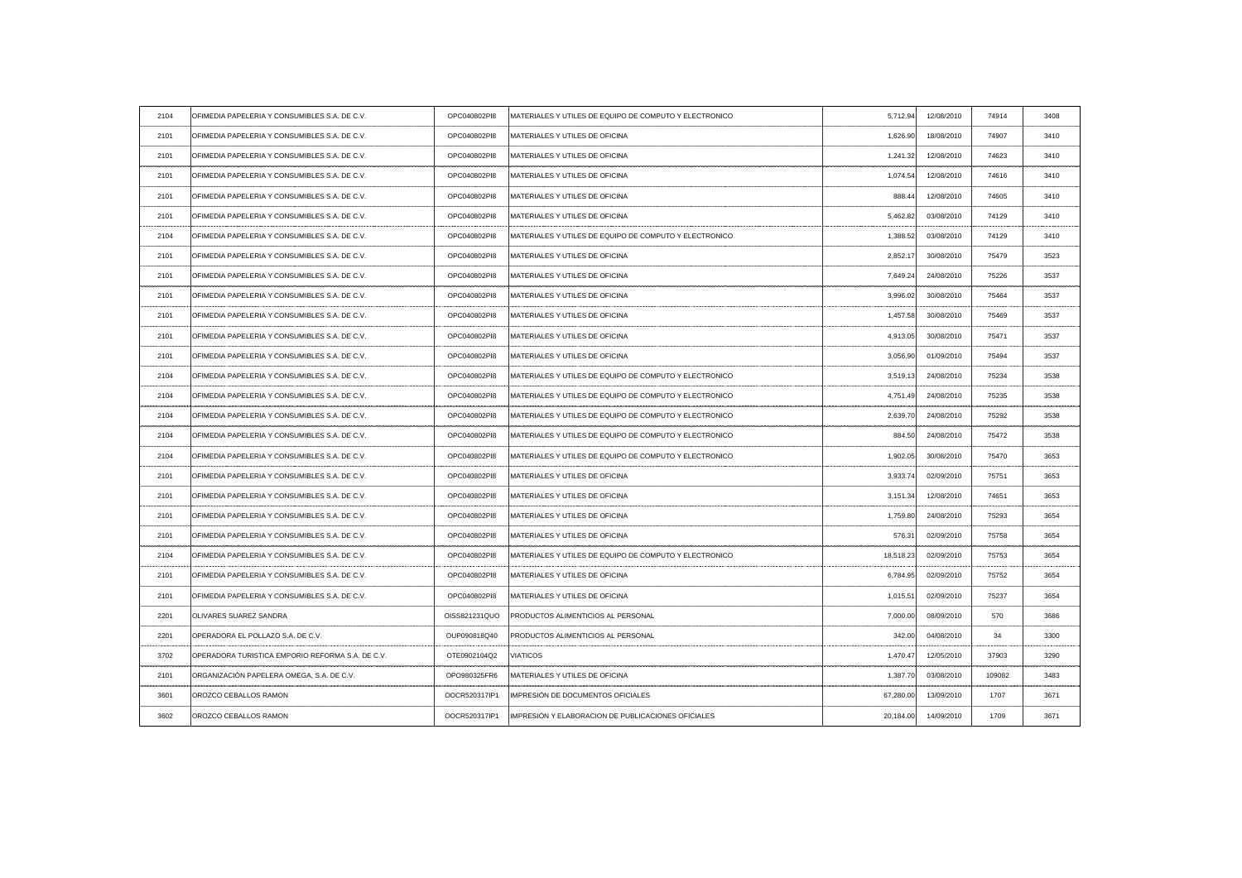| OFIMEDIA PAPELERIA Y CONSUMIBLES S.A. DE C.V.    | OPC040802PI8  | MATERIALES Y UTILES DE EQUIPO DE COMPUTO Y ELECTRONICO   | 5,712.94                  | 12/08/2010 | 74914                  | 3408                                    |
|--------------------------------------------------|---------------|----------------------------------------------------------|---------------------------|------------|------------------------|-----------------------------------------|
| OFIMEDIA PAPELERIA Y CONSUMIBLES S.A. DE C.V     | OPC040802PI8  | MATERIALES Y UTILES DE OFICINA                           | 1,626.90                  | 18/08/2010 | 74907                  | 3410                                    |
| OFIMEDIA PAPELERIA Y CONSUMIBLES S.A. DE C.V.    | OPC040802PI8  | MATERIALES Y UTILES DE OFICINA                           | 1,241.32                  | 12/08/2010 | 74623                  | 3410                                    |
| OFIMEDIA PAPELERIA Y CONSUMIBLES S.A. DE C.V.    | OPC040802PI8  | MATERIALES Y UTILES DE OFICINA                           | 1,074.54                  | 12/08/2010 | 74616                  | 3410                                    |
| OFIMEDIA PAPELERIA Y CONSUMIBLES S.A. DE C.V.    | OPC040802PI8  | <b>IMATERIALES Y UTILES DE OFICINA</b>                   | 888.44                    | 12/08/2010 | 74605                  | 3410                                    |
| OFIMEDIA PAPELERIA Y CONSUMIBLES S.A. DE C.V.    | OPC040802PI8  | <b>IMATERIALES Y UTILES DE OFICINA</b>                   | 5,462.82                  | 03/08/2010 | 74129                  | 3410                                    |
| OFIMEDIA PAPELERIA Y CONSUMIBLES S.A. DE C.V     | OPC040802PI8  | IMATERIALES Y UTILES DE EQUIPO DE COMPUTO Y ELECTRONICO  | 1,388.52                  | 03/08/2010 | 74129                  | 3410                                    |
| OFIMEDIA PAPELERIA Y CONSUMIBLES S.A. DE C.V.    | OPC040802PI8  | MATERIALES Y UTILES DE OFICINA                           | 2,852.17                  | 30/08/2010 | 75479                  | 3523                                    |
| OFIMEDIA PAPELERIA Y CONSUMIBLES S.A. DE C.V.    | OPC040802PI8  | MATERIALES Y UTILES DE OFICINA                           | 7,649.24                  | 24/08/2010 | 75226                  | 3537                                    |
| OFIMEDIA PAPELERIA Y CONSUMIBLES S.A. DE C.V.    | OPC040802PI8  | MATERIALES Y UTILES DE OFICINA                           | 3,996.02                  | 30/08/2010 | 75464                  | 3537                                    |
| OFIMEDIA PAPELERIA Y CONSUMIBLES S.A. DE C.V     | OPC040802PI8  | MATERIALES Y UTILES DE OFICINA                           | 1,457.58                  | 30/08/2010 | 75469                  | 3537                                    |
| OFIMEDIA PAPELERIA Y CONSUMIBLES S.A. DE C.V.    | OPC040802PI8  | MATERIALES Y UTILES DE OFICINA                           | 4,913.05                  | 30/08/2010 | 75471                  | 3537                                    |
| OFIMEDIA PAPELERIA Y CONSUMIBLES S.A. DE C.V.    | OPC040802PI8  | MATERIALES Y UTILES DE OFICINA                           | 3,056.90                  | 01/09/2010 | 75494                  | 3537                                    |
| OFIMEDIA PAPELERIA Y CONSUMIBLES S.A. DE C.V.    | OPC040802PI8  | MATERIALES Y UTILES DE EQUIPO DE COMPUTO Y ELECTRONICO   | 3,519.13                  | 24/08/2010 | 75234                  | 3538                                    |
| OFIMEDIA PAPELERIA Y CONSUMIBLES S.A. DE C.V.    | OPC040802PI8  | MATERIALES Y UTILES DE EQUIPO DE COMPUTO Y ELECTRONICO   | 4,751.49                  | 24/08/2010 | 75235                  | 3538                                    |
| OFIMEDIA PAPELERIA Y CONSUMIBLES S.A. DE C.V     | OPC040802PI8  | MATERIALES Y UTILES DE EQUIPO DE COMPUTO Y ELECTRONICO   |                           |            | 75292                  |                                         |
| OFIMEDIA PAPELERIA Y CONSUMIBLES S.A. DE C.V.    | OPC040802PI8  | MATERIALES Y UTILES DE EQUIPO DE COMPUTO Y ELECTRONICO   | 884.50                    | 24/08/2010 | 75472                  | 3538                                    |
| OFIMEDIA PAPELERIA Y CONSUMIBLES S.A. DE C.V     | OPC040802PI8  | : MATERIALES Y UTILES DE EQUIPO DE COMPUTO Y ELECTRONICO | 1,902.05                  | 30/08/2010 | 75470                  | 3653                                    |
| OFIMEDIA PAPELERIA Y CONSUMIBLES S.A. DE C.V.    | OPC040802PI8  | MATERIALES Y UTILES DE OFICINA                           | 3,933.74                  | 02/09/2010 | 75751                  | 3653                                    |
| OFIMEDIA PAPELERIA Y CONSUMIBLES S.A. DE C.V.    | OPC040802PI8  | MATERIALES Y UTILES DE OFICINA                           | 3,151.34                  | 12/08/2010 | 74651                  | 3653                                    |
| OFIMEDIA PAPELERIA Y CONSUMIBLES S.A. DE C.V.    | OPC040802PI8  | MATERIALES Y UTILES DE OFICINA                           | 1,759.80                  | 24/08/2010 | 75293                  | 3654                                    |
| OFIMEDIA PAPELERIA Y CONSUMIBLES S.A. DE C.V.    | OPC040802PI8  | MATERIALES Y UTILES DE OFICINA                           | 576.31                    | 02/09/2010 | 75758                  | 3654                                    |
| OFIMEDIA PAPELERIA Y CONSUMIBLES S.A. DE C.V.    | OPC040802PI8  | MATERIALES Y UTILES DE EQUIPO DE COMPUTO Y ELECTRONICO   | 18,518.23                 | 02/09/2010 | 75753                  | 3654                                    |
| OFIMEDIA PAPELERIA Y CONSUMIBLES S.A. DE C.V.    | OPC040802PI8  | MATERIALES Y UTILES DE OFICINA                           | 6,784.95                  | 02/09/2010 | 75752                  | 3654                                    |
| OFIMEDIA PAPELERIA Y CONSUMIBLES S.A. DE C.V.    | OPC040802PI8  | MATERIALES Y UTILES DE OFICINA                           | 1,015.51                  | 02/09/2010 | 75237                  | 3654                                    |
| <b>OLIVARES SUAREZ SANDRA</b>                    | OISS821231QUO | PRODUCTOS ALIMENTICIOS AL PERSONAL                       | 7,000.00                  | 08/09/2010 | 570                    | 3686                                    |
| OPERADORA EL POLLAZO S.A. DE C.V.                | OUP090818Q40  | PRODUCTOS ALIMENTICIOS AL PERSONAL                       | 342.00                    | 04/08/2010 | 34                     | 3300                                    |
| OPERADORA TURISTICA EMPORIO REFORMA S.A. DE C.V. | OTE0902104Q2  | <b>VIATICOS</b>                                          | 1,470.47                  | 12/05/2010 | 37903                  | 3290                                    |
| ORGANIZACIÓN PAPELERA OMEGA, S.A. DE C.V.        | OPO980325FR6  | MATERIALES Y UTILES DE OFICINA                           | 1,387.70                  | 03/08/2010 | 109082                 | 3483                                    |
| OROZCO CEBALLOS RAMON                            | OOCR520317IP1 | IMPRESIÓN DE DOCUMENTOS OFICIALES                        | 67,280.00                 | 13/09/2010 | 1707                   | 3671                                    |
| <b>OROZCO CEBALLOS RAMON</b>                     | OOCR520317IP1 | IMPRESIÓN Y ELABORACION DE PUBLICACIONES OFICIALES       | 20,184.00                 | 14/09/2010 | 1709                   | 3671                                    |
|                                                  |               |                                                          | ------------------------- |            | 2,639.70<br>24/08/2010 | -------------------<br>---------------- |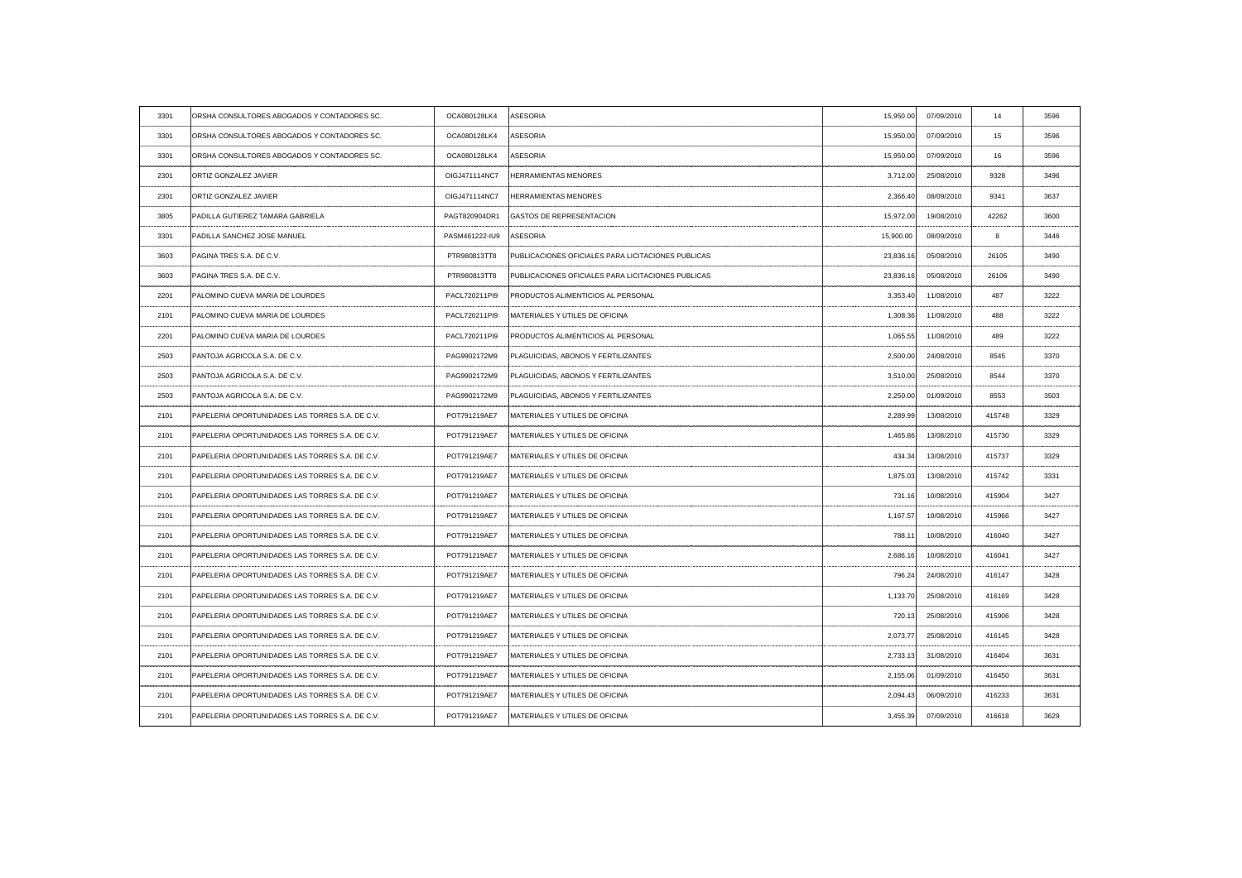| 3301 | ORSHA CONSULTORES ABOGADOS Y CONTADORES SC.     | OCA080128LK4      | ASESORIA                                           | 15,950.00 | 07/09/2010 | 14     | 3596 |
|------|-------------------------------------------------|-------------------|----------------------------------------------------|-----------|------------|--------|------|
| 3301 | ORSHA CONSULTORES ABOGADOS Y CONTADORES SC      | OCA080128LK4      | ASESORIA                                           | 15,950.00 | 07/09/2010 | 15     |      |
| 3301 | ORSHA CONSULTORES ABOGADOS Y CONTADORES SC.     | OCA080128LK4      | ASESORIA                                           | 15,950.00 | 07/09/2010 | 16     | 3596 |
| 2301 | ORTIZ GONZALEZ JAVIER                           | OIGJ471114NC7     | <b>HERRAMIENTAS MENORES</b>                        | 3,712.00  | 25/08/2010 | 9328   |      |
| 2301 | ORTIZ GONZALEZ JAVIER                           | OIGJ471114NC7     | <b>HERRAMIENTAS MENORES</b>                        | 2,366.40  | 08/09/2010 | 9341   | 3637 |
| 3805 | PADILLA GUTIEREZ TAMARA GABRIELA                | PAGT820904DR1     | <b>GASTOS DE REPRESENTACION</b>                    | 15,972.00 | 19/08/2010 | 42262  | 3600 |
| 3301 | PADILLA SANCHEZ JOSE MANUEL                     | PASM461222-IU9    | ASESORIA                                           | 15,900.00 | 08/09/2010 |        | 3446 |
| 3603 | PAGINA TRES S.A. DE C.V.                        | PTR980813TT8      | PUBLICACIONES OFICIALES PARA LICITACIONES PUBLICAS | 23,836.16 | 05/08/2010 | 26105  | 3490 |
| 3603 | PAGINA TRES S.A. DE C.V                         | PTR980813TT8      | PUBLICACIONES OFICIALES PARA LICITACIONES PUBLICAS | 23,836.16 | 05/08/2010 | 26106  | 3490 |
| 2201 | PALOMINO CUEVA MARIA DE LOURDES                 | PACL720211PI9     | <b>PRODUCTOS ALIMENTICIOS AL PERSONAL</b>          | 3,353.40  | 11/08/2010 | 487    | 3222 |
| 2101 | <b>PALOMINO CUEVA MARIA DE LOURDES</b>          | PACL720211PI9     | MATERIALES Y UTILES DE OFICINA                     | 1,308.36  | 11/08/2010 | 488    | 3222 |
| 2201 | PALOMINO CUEVA MARIA DE LOURDES                 | PACL720211PI9     | <b>PRODUCTOS ALIMENTICIOS AL PERSONAL</b>          | 1,065.55  | 11/08/2010 | 489    | 3222 |
| 2503 | PANTOJA AGRICOLA S.A. DE C.V.                   | PAG9902172M9      | <b>PLAGUICIDAS, ABONOS Y FERTILIZANTES</b>         | 2,500.00  | 24/08/2010 | 8545   | 3370 |
| 2503 | PANTOJA AGRICOLA S.A. DE C.V.                   | PAG9902172M9      | PLAGUICIDAS, ABONOS Y FERTILIZANTES                | 3,510.00  | 25/08/2010 | 8544   | 3370 |
| 2503 | PANTOJA AGRICOLA S.A. DE C.V.                   | PAG9902172M9      | PLAGUICIDAS, ABONOS Y FERTILIZANTES                | 2,250.00  | 01/09/2010 | 8553   | 3503 |
| 2101 | PAPELERIA OPORTUNIDADES LAS TORRES S.A. DE C.V  | POT791219AE7      | MATERIALES Y UTILES DE OFICINA                     | 2,289.99  | 13/08/2010 | 415748 |      |
| 2101 | PAPELERIA OPORTUNIDADES LAS TORRES S.A. DE C.V. | POT791219AE7<br>. | MATERIALES Y UTILES DE OFICINA                     | 1,465.86  | 13/08/2010 | 415730 | 3329 |
| 2101 | PAPELERIA OPORTUNIDADES LAS TORRES S.A. DE C.V  | POT791219AE7      | MATERIALES Y UTILES DE OFICINA                     | 434.34    | 13/08/2010 | 415737 | 3329 |
| 2101 | PAPELERIA OPORTUNIDADES LAS TORRES S.A. DE C.V. | POT791219AE7      | MATERIALES Y UTILES DE OFICINA                     | 1,875.03  | 13/08/2010 | 415742 | 3331 |
| 2101 | PAPELERIA OPORTUNIDADES LAS TORRES S.A. DE C.V. | POT791219AE7      | MATERIALES Y UTILES DE OFICINA                     | 731.16    | 10/08/2010 | 415904 | 3427 |
| 2101 | PAPELERIA OPORTUNIDADES LAS TORRES S.A. DE C.V. | POT791219AE7      | <b>IMATERIALES Y UTILES DE OFICINA</b>             | 1,167.57  | 10/08/2010 | 415966 | 3427 |
| 2101 | PAPELERIA OPORTUNIDADES LAS TORRES S.A. DE C.V. | POT791219AE7      | <b>IMATERIALES Y UTILES DE OFICINA</b>             | 788.11    | 10/08/2010 | 416040 | 3427 |
| 2101 | PAPELERIA OPORTUNIDADES LAS TORRES S.A. DE C.V. | POT791219AE7      | MATERIALES Y UTILES DE OFICINA                     | 2,686.16  | 10/08/2010 | 416041 | 3427 |
| 2101 | PAPELERIA OPORTUNIDADES LAS TORRES S.A. DE C.V. | POT791219AE7      | <b>MATERIALES Y UTILES DE OFICINA</b>              | 796.24    | 24/08/2010 | 416147 | 3428 |
| 2101 | PAPELERIA OPORTUNIDADES LAS TORRES S.A. DE C.V. | POT791219AE7      | MATERIALES Y UTILES DE OFICINA                     | 1,133.70  | 25/08/2010 | 416169 | 3428 |
| 2101 | PAPELERIA OPORTUNIDADES LAS TORRES S.A. DE C.V. | POT791219AE7      | MATERIALES Y UTILES DE OFICINA                     | 720.13    | 25/08/2010 | 415906 | 3428 |
| 2101 | PAPELERIA OPORTUNIDADES LAS TORRES S.A. DE C.V. | POT791219AE7      | MATERIALES Y UTILES DE OFICINA                     | 2,073.77  | 25/08/2010 | 416145 | 3428 |
| 2101 | PAPELERIA OPORTUNIDADES LAS TORRES S.A. DE C.V. | POT791219AE7      | MATERIALES Y UTILES DE OFICINA                     | 2,733.13  | 31/08/2010 | 416404 | 3631 |
| 2101 | PAPELERIA OPORTUNIDADES LAS TORRES S.A. DE C.V. | POT791219AE7      | MATERIALES Y UTILES DE OFICINA                     | 2,155.06  | 01/09/2010 | 416450 | 3631 |
| 2101 | PAPELERIA OPORTUNIDADES LAS TORRES S.A. DE C.V. | POT791219AE7      | MATERIALES Y UTILES DE OFICINA                     | 2,094.43  | 06/09/2010 | 416233 | 3631 |
| 2101 | PAPELERIA OPORTUNIDADES LAS TORRES S.A. DE C.V. | POT791219AE7      | MATERIALES Y UTILES DE OFICINA                     | 3,455.39  | 07/09/2010 | 416618 | 3629 |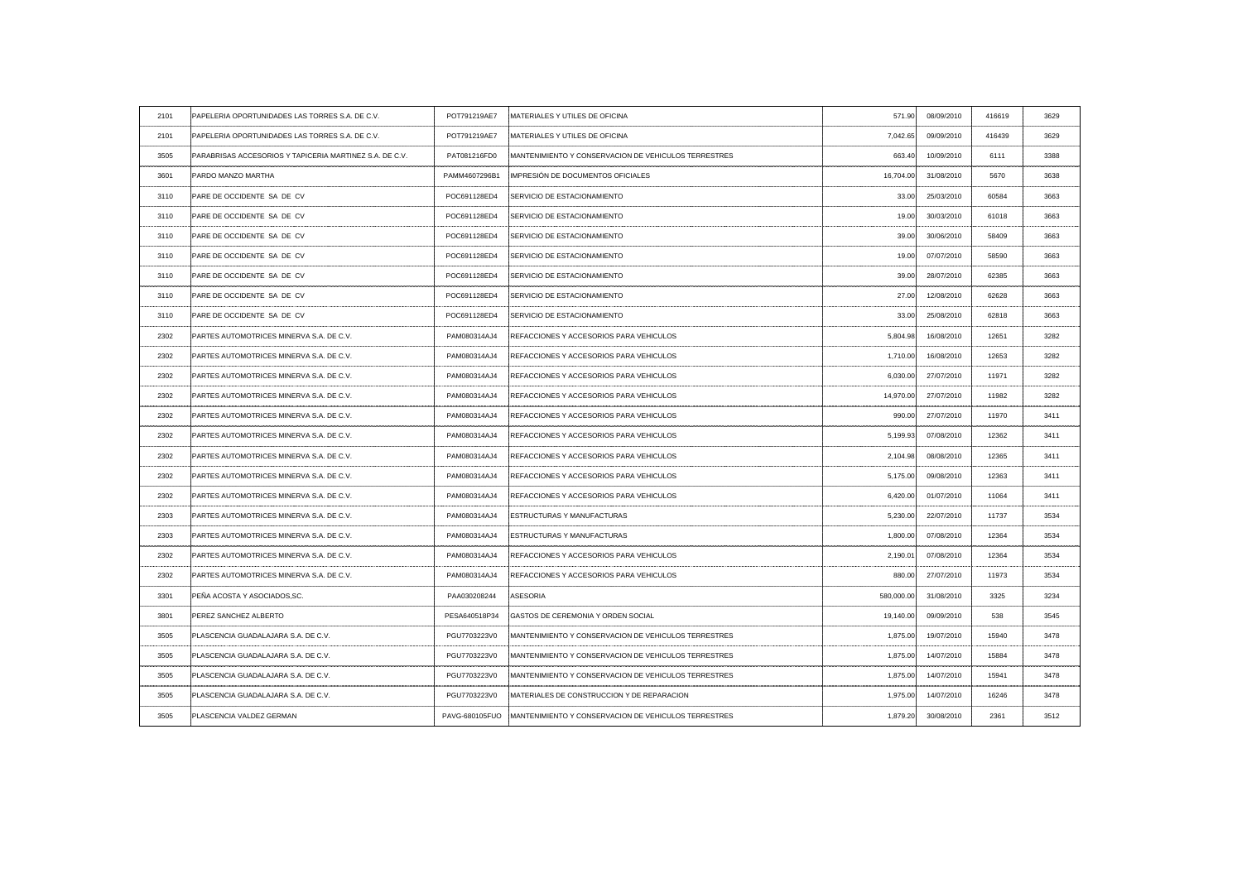| 2101 | PAPELERIA OPORTUNIDADES LAS TORRES S.A. DE C.V.         | POT791219AE7          | MATERIALES Y UTILES DE OFICINA                         | 571.90                                       | 08/09/2010 | 416619 | 3629  |
|------|---------------------------------------------------------|-----------------------|--------------------------------------------------------|----------------------------------------------|------------|--------|-------|
| 2101 | PAPELERIA OPORTUNIDADES LAS TORRES S.A. DE C.V.         | POT791219AE7          | MATERIALES Y UTILES DE OFICINA                         | 7,042.65                                     | 09/09/2010 | 416439 | 3629  |
| 3505 | PARABRISAS ACCESORIOS Y TAPICERIA MARTINEZ S.A. DE C.V. | PAT081216FD0          | : MANTENIMIENTO Y CONSERVACION DE VEHICULOS TERRESTRES | 663.40                                       | 10/09/2010 | 6111   | 3388  |
| 3601 | PARDO MANZO MARTHA                                      | PAMM4607296B1         | IMPRESIÓN DE DOCUMENTOS OFICIALES                      | 16,704.00                                    | 31/08/2010 | 5670   | 3638  |
| 3110 | PARE DE OCCIDENTE SA DE CV                              | POC691128ED4          | <b>SERVICIO DE ESTACIONAMIENTO</b>                     | 33.00                                        | 25/03/2010 | 60584  | 3663  |
| 3110 | PARE DE OCCIDENTE SA DE CV                              | POC691128ED4          | <b>SERVICIO DE ESTACIONAMIENTO</b>                     | 19.00                                        | 30/03/2010 | 61018  | 3663  |
| 3110 | PARE DE OCCIDENTE SA DE CV                              | POC691128ED4          | SERVICIO DE ESTACIONAMIENTO                            | 39.OC                                        | 30/06/2010 | 58409  | 3663  |
| 3110 | PARE DE OCCIDENTE SA DE CV                              | POC691128ED4          | SERVICIO DE ESTACIONAMIENTO                            | 19.00                                        | 07/07/2010 | 58590  | 3663  |
| 3110 | PARE DE OCCIDENTE SA DE CV                              | POC691128ED4          | SERVICIO DE ESTACIONAMIENTO                            | 39.00                                        | 28/07/2010 | 62385  | 3663  |
| 3110 | PARE DE OCCIDENTE SA DE CV                              | POC691128ED4          | SERVICIO DE ESTACIONAMIENTO                            | 27.00                                        | 12/08/2010 | 62628  | 3663  |
| 3110 | PARE DE OCCIDENTE SA DE CV                              | POC691128ED4          | SERVICIO DE ESTACIONAMIENTO                            | 33.00                                        | 25/08/2010 | 62818  | 3663  |
| 2302 | PARTES AUTOMOTRICES MINERVA S.A. DE C.V.                | PAM080314AJ4          | REFACCIONES Y ACCESORIOS PARA VEHICULOS                | 5,804.98                                     | 16/08/2010 | 12651  | 3282  |
| 2302 | PARTES AUTOMOTRICES MINERVA S.A. DE C.V.                | PAM080314AJ4          | REFACCIONES Y ACCESORIOS PARA VEHICULOS                | 1,710.00                                     | 16/08/2010 | 12653  | 3282  |
| 2302 | PARTES AUTOMOTRICES MINERVA S.A. DE C.V.                | PAM080314AJ4          | REFACCIONES Y ACCESORIOS PARA VEHICULOS                | 6,030.00                                     | 27/07/2010 | 11971  | 3282  |
| 2302 | PARTES AUTOMOTRICES MINERVA S.A. DE C.V.                | PAM080314AJ4          | REFACCIONES Y ACCESORIOS PARA VEHICULOS                | 14,970.00                                    | 27/07/2010 | 11982  | 3282  |
| 2302 | PARTES AUTOMOTRICES MINERVA S.A. DE C.V.                | PAM080314AJ4          | REFACCIONES Y ACCESORIOS PARA VEHICULOS                | 990.00                                       | 27/07/2010 | 11970  |       |
| 2302 | PARTES AUTOMOTRICES MINERVA S.A. DE C.V.                | PAM080314AJ4          | REFACCIONES Y ACCESORIOS PARA VEHICULOS                | 5,199.93                                     | 07/08/2010 | 12362  | 3411  |
| 2302 | PARTES AUTOMOTRICES MINERVA S.A. DE C.V.                | PAM080314AJ4          | REFACCIONES Y ACCESORIOS PARA VEHICULOS                | 2,104.98                                     | 08/08/2010 | 12365  | -3411 |
| 2302 | PARTES AUTOMOTRICES MINERVA S.A. DE C.V.                | PAM080314AJ4          | <b>REFACCIONES Y ACCESORIOS PARA VEHICULOS</b>         | 5,175.00<br>-------------------------------- | 09/08/2010 | 12363  | -3411 |
| 2302 | PARTES AUTOMOTRICES MINERVA S.A. DE C.V.                | PAM080314AJ4          | <b>REFACCIONES Y ACCESORIOS PARA VEHICULOS</b>         | 6,420.00                                     | 01/07/2010 | 11064  | 3411  |
| 2303 | PARTES AUTOMOTRICES MINERVA S.A. DE C.V.                | PAM080314AJ4          | <b>ESTRUCTURAS Y MANUFACTURAS</b>                      | 5,230.00                                     | 22/07/2010 | 11737  | 3534  |
| 2303 | PARTES AUTOMOTRICES MINERVA S.A. DE C.V.                | PAM080314AJ4          | <b>ESTRUCTURAS Y MANUFACTURAS</b>                      | 1,800.00                                     | 07/08/2010 | 12364  | 3534  |
| 2302 | PARTES AUTOMOTRICES MINERVA S.A. DE C.V.                | PAM080314AJ4          | REFACCIONES Y ACCESORIOS PARA VEHICULOS                | 2,190.01                                     | 07/08/2010 | 12364  | 3534  |
| 2302 | PARTES AUTOMOTRICES MINERVA S.A. DE C.V.                | PAM080314AJ4          | <b>REFACCIONES Y ACCESORIOS PARA VEHICULOS</b>         | 880.00                                       | 27/07/2010 | 11973  | 3534  |
| 3301 | PEÑA ACOSTA Y ASOCIADOS, SC.                            | PAA030208244          | <b>ASESORIA</b>                                        | 580,000.00                                   | 31/08/2010 | 3325   | 3234  |
| 3801 | PEREZ SANCHEZ ALBERTO                                   | PESA640518P34         | GASTOS DE CEREMONIA Y ORDEN SOCIAL                     | 19,140.00                                    | 09/09/2010 | 538    | 3545  |
| 3505 | PLASCENCIA GUADALAJARA S.A. DE C.V.                     | PGU7703223V0          | MANTENIMIENTO Y CONSERVACION DE VEHICULOS TERRESTRES   | 1,875.00                                     | 19/07/2010 | 15940  | 3478  |
| 3505 | PLASCENCIA GUADALAJARA S.A. DE C.V.                     | PGU7703223V0          | MANTENIMIENTO Y CONSERVACION DE VEHICULOS TERRESTRES   | 1,875.00                                     | 14/07/2010 | 15884  | 3478  |
| 3505 | PLASCENCIA GUADALAJARA S.A. DE C.V.                     | PGU7703223V0          | MANTENIMIENTO Y CONSERVACION DE VEHICULOS TERRESTRES   | 1,875.00                                     | 14/07/2010 | 15941  | 3478  |
| 3505 | PLASCENCIA GUADALAJARA S.A. DE C.V.                     | PGU7703223V0          | MATERIALES DE CONSTRUCCION Y DE REPARACION             | 1,975.00                                     | 14/07/2010 | 16246  | 3478  |
| 3505 | PLASCENCIA VALDEZ GERMAN                                | <b>PAVG-680105FUO</b> | MANTENIMIENTO Y CONSERVACION DE VEHICULOS TERRESTRES   | 1,879.20                                     | 30/08/2010 | 2361   | 3512  |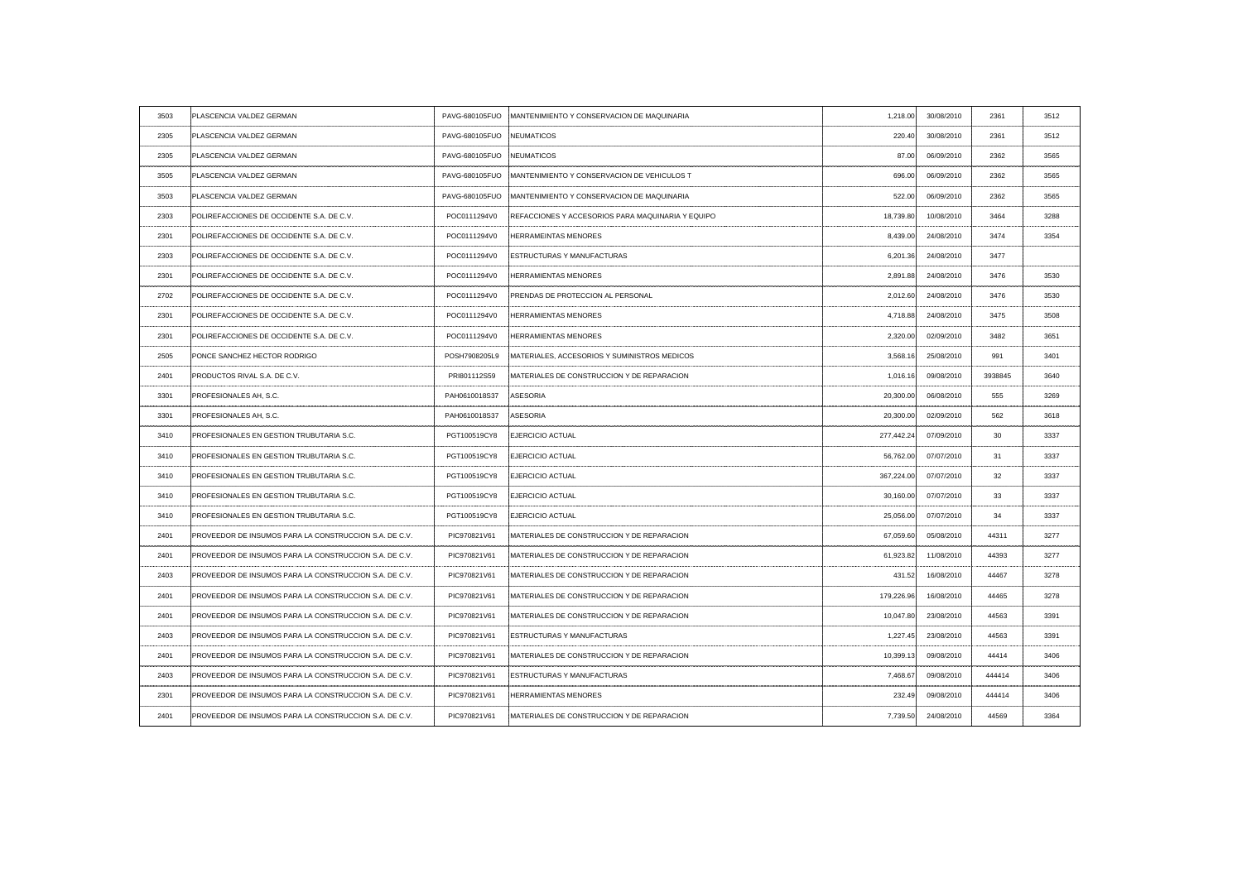| 3503 | PLASCENCIA VALDEZ GERMAN                               |                           | PAVG-680105FUO MANTENIMIENTO Y CONSERVACION DE MAQUINARIA    | 1,218.00   | 30/08/2010 | 2361    | 3512 |
|------|--------------------------------------------------------|---------------------------|--------------------------------------------------------------|------------|------------|---------|------|
| 2305 | PLASCENCIA VALDEZ GERMAN                               | PAVG-680105FUO NEUMATICOS |                                                              | 220.40     | 30/08/2010 | 2361    | 3512 |
| 2305 | PLASCENCIA VALDEZ GERMAN                               | PAVG-680105FUO NEUMATICOS |                                                              | 87.00      | 06/09/2010 | 2362    | 3565 |
| 3505 | PLASCENCIA VALDEZ GERMAN                               |                           | PAVG-680105FUO : MANTENIMIENTO Y CONSERVACION DE VEHICULOS T | 696.00     | 06/09/2010 | 2362    | 3565 |
| 3503 | PLASCENCIA VALDEZ GERMAN                               |                           | PAVG-680105FUO : MANTENIMIENTO Y CONSERVACION DE MAQUINARIA  | 522.00     | 06/09/2010 | 2362    | 3565 |
| 2303 | POLIREFACCIONES DE OCCIDENTE S.A. DE C.V.              | POC0111294V0              | <b>REFACCIONES Y ACCESORIOS PARA MAQUINARIA Y EQUIPO</b>     | 18,739.80  | 10/08/2010 | 3464    | 3288 |
| 2301 | POLIREFACCIONES DE OCCIDENTE S.A. DE C.V.              | POC0111294V0              | <b>HERRAMEINTAS MENORES</b>                                  | 8,439.00   | 24/08/2010 | 3474    | 3354 |
| 2303 | POLIREFACCIONES DE OCCIDENTE S.A. DE C.V.              | POC0111294V0              | <b>ESTRUCTURAS Y MANUFACTURAS</b>                            | 6,201.36   | 24/08/2010 | 3477    |      |
| 2301 | POLIREFACCIONES DE OCCIDENTE S.A. DE C.V.              | POC0111294V0              | <b>HERRAMIENTAS MENORES</b>                                  | 2,891.88   | 24/08/2010 | 3476    | 3530 |
| 2702 | POLIREFACCIONES DE OCCIDENTE S.A. DE C.V.              | POC0111294V0              | <b>PRENDAS DE PROTECCION AL PERSONAL</b>                     | 2,012.60   | 24/08/2010 | 3476    | 3530 |
| 2301 | POLIREFACCIONES DE OCCIDENTE S.A. DE C.V               | POC0111294V0              | <b>HERRAMIENTAS MENORES</b>                                  | 4,718.88   | 24/08/2010 | 3475    | 3508 |
| 2301 | POLIREFACCIONES DE OCCIDENTE S.A. DE C.V.              | POC0111294V0              | <b>HERRAMIENTAS MENORES</b>                                  | 2,320.00   | 02/09/2010 | 3482    | 3651 |
| 2505 | PONCE SANCHEZ HECTOR RODRIGO                           | POSH7908205L9             | MATERIALES, ACCESORIOS Y SUMINISTROS MEDICOS                 | 3,568.16   | 25/08/2010 | 991     | 3401 |
| 2401 | PRODUCTOS RIVAL S.A. DE C.V.                           | PRI801112S59              | MATERIALES DE CONSTRUCCION Y DE REPARACION                   | 1,016.16   | 09/08/2010 | 3938845 | 3640 |
| 3301 | PROFESIONALES AH, S.C.                                 | PAH0610018S37             | ASESORIA                                                     | 20,300.00  | 06/08/2010 | 555     | 3269 |
| 3301 | PROFESIONALES AH, S.C.                                 | PAH0610018S37             | ASESORIA                                                     | 20,300.00  | 02/09/2010 |         | 3618 |
| 3410 | PROFESIONALES EN GESTION TRUBUTARIA S.C.               | PGT100519CY8              | <b>EJERCICIO ACTUAL</b>                                      | 277,442.24 | 07/09/2010 | 30      | 3337 |
| 3410 | <b>PROFESIONALES EN GESTION TRUBUTARIA S.C.</b>        | PGT100519CY8              | <b>EJERCICIO ACTUAL</b>                                      | 56,762.00  | 07/07/2010 | 31      | 3337 |
| 3410 | PROFESIONALES EN GESTION TRUBUTARIA S.C.               | PGT100519CY8              | <b>EJERCICIO ACTUAL</b>                                      | 367,224.00 | 07/07/2010 | 32      | 3337 |
| 3410 | PROFESIONALES EN GESTION TRUBUTARIA S.C.               | PGT100519CY8              | <b>EJERCICIO ACTUAL</b>                                      | 30,160.00  | 07/07/2010 | 33      | 3337 |
| 3410 | PROFESIONALES EN GESTION TRUBUTARIA S.C.               | PGT100519CY8              | <b>EJERCICIO ACTUAL</b>                                      | 25,056.00  | 07/07/2010 | 34      | 3337 |
| 2401 | PROVEEDOR DE INSUMOS PARA LA CONSTRUCCION S.A. DE C.V. | PIC970821V61              | MATERIALES DE CONSTRUCCION Y DE REPARACION                   | 67,059.60  | 05/08/2010 | 44311   | 3277 |
| 2401 | PROVEEDOR DE INSUMOS PARA LA CONSTRUCCION S.A. DE C.V. | PIC970821V61              | IMATERIALES DE CONSTRUCCION Y DE REPARACION                  | 61,923.82  | 11/08/2010 | 44393   | 3277 |
| 2403 | PROVEEDOR DE INSUMOS PARA LA CONSTRUCCION S.A. DE C.V. | PIC970821V61              | <b>MATERIALES DE CONSTRUCCION Y DE REPARACION</b>            | 431.52     | 16/08/2010 | 44467   | 3278 |
| 2401 | PROVEEDOR DE INSUMOS PARA LA CONSTRUCCION S.A. DE C.V. | PIC970821V61              | MATERIALES DE CONSTRUCCION Y DE REPARACION                   | 179,226.96 | 16/08/2010 | 44465   | 3278 |
| 2401 | PROVEEDOR DE INSUMOS PARA LA CONSTRUCCION S.A. DE C.V. | PIC970821V61              | MATERIALES DE CONSTRUCCION Y DE REPARACION                   | 10,047.80  | 23/08/2010 | 44563   | 3391 |
| 2403 | PROVEEDOR DE INSUMOS PARA LA CONSTRUCCION S.A. DE C.V. | PIC970821V61              | <b>ESTRUCTURAS Y MANUFACTURAS</b>                            | 1,227.45   | 23/08/2010 | 44563   | 3391 |
| 2401 | PROVEEDOR DE INSUMOS PARA LA CONSTRUCCION S.A. DE C.V. | PIC970821V61              | MATERIALES DE CONSTRUCCION Y DE REPARACION                   | 10,399.13  | 09/08/2010 | 44414   | 3406 |
| 2403 | PROVEEDOR DE INSUMOS PARA LA CONSTRUCCION S.A. DE C.V. | PIC970821V61              | <b>ESTRUCTURAS Y MANUFACTURAS</b>                            | 7,468.67   | 09/08/2010 | 444414  | 3406 |
| 2301 | PROVEEDOR DE INSUMOS PARA LA CONSTRUCCION S.A. DE C.V. | PIC970821V61              | <b>HERRAMIENTAS MENORES</b>                                  | 232.49     | 09/08/2010 | 444414  | 3406 |
| 2401 | PROVEEDOR DE INSUMOS PARA LA CONSTRUCCION S.A. DE C.V. | PIC970821V61              | MATERIALES DE CONSTRUCCION Y DE REPARACION                   | 7,739.50   | 24/08/2010 | 44569   | 3364 |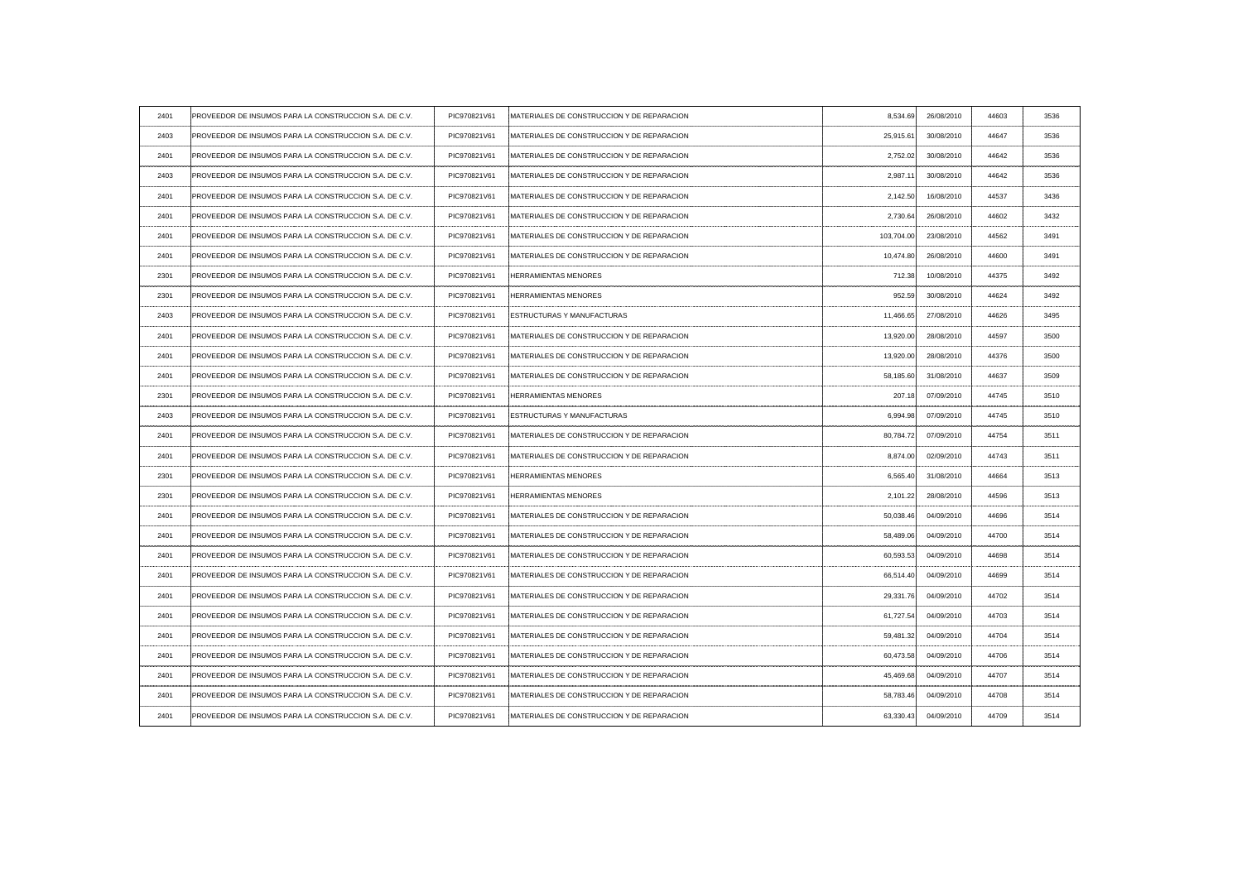| 2401      | PROVEEDOR DE INSUMOS PARA LA CONSTRUCCION S.A. DE C.V.  | PIC970821V61 | MATERIALES DE CONSTRUCCION Y DE REPARACION         | 8,534.69   | 26/08/2010 | 44603 | 3536  |
|-----------|---------------------------------------------------------|--------------|----------------------------------------------------|------------|------------|-------|-------|
| 2403      | PROVEEDOR DE INSUMOS PARA LA CONSTRUCCION S.A. DE C.V.  | PIC970821V61 | MATERIALES DE CONSTRUCCION Y DE REPARACION         | 25,915.61  | 30/08/2010 | 44647 | 3536  |
| 2401      | PROVEEDOR DE INSUMOS PARA LA CONSTRUCCION S.A. DE C.V.  | PIC970821V61 | MATERIALES DE CONSTRUCCION Y DE REPARACION         | 2,752.02   | 30/08/2010 | 44642 | 3536  |
| 2403      | PROVEEDOR DE INSUMOS PARA LA CONSTRUCCION S.A. DE C.V.  | PIC970821V61 | 'MATERIALES DE CONSTRUCCION Y DE REPARACION        | 2,987.11   | 30/08/2010 | 44642 | 3536  |
| 2401      | PROVEEDOR DE INSUMOS PARA LA CONSTRUCCION S.A. DE C.V.  | PIC970821V61 | <b>IMATERIALES DE CONSTRUCCION Y DE REPARACION</b> | 2,142.50   | 16/08/2010 | 44537 | 3436  |
| 2401      | PROVEEDOR DE INSUMOS PARA LA CONSTRUCCION S.A. DE C.V.  | PIC970821V61 | 'MATERIALES DE CONSTRUCCION Y DE REPARACION        | 2,730.64   | 26/08/2010 | 44602 | 3432  |
| 2401      | :PROVEEDOR DE INSUMOS PARA LA CONSTRUCCION S.A. DE C.V. | PIC970821V61 | 'MATERIALES DE CONSTRUCCION Y DE REPARACION        | 103,704.00 | 23/08/2010 | 44562 | -3491 |
| 2401      | PROVEEDOR DE INSUMOS PARA LA CONSTRUCCION S.A. DE C.V.  | PIC970821V61 | MATERIALES DE CONSTRUCCION Y DE REPARACION         | 10,474.80  | 26/08/2010 | 44600 | 3491  |
| 2301      | PROVEEDOR DE INSUMOS PARA LA CONSTRUCCION S.A. DE C.V.  | PIC970821V61 | <b>HERRAMIENTAS MENORES</b>                        | 712.38     | 10/08/2010 | 44375 | 3492  |
| 2301      | PROVEEDOR DE INSUMOS PARA LA CONSTRUCCION S.A. DE C.V.  | PIC970821V61 | <b>HERRAMIENTAS MENORES</b>                        | 952.59     | 30/08/2010 | 44624 | 3492  |
| 2403      | PROVEEDOR DE INSUMOS PARA LA CONSTRUCCION S.A. DE C.V.  | PIC970821V61 | <b>ESTRUCTURAS Y MANUFACTURAS</b>                  | 11,466.65  | 27/08/2010 | 44626 | 3495  |
| 2401      | PROVEEDOR DE INSUMOS PARA LA CONSTRUCCION S.A. DE C.V.  | PIC970821V61 | MATERIALES DE CONSTRUCCION Y DE REPARACION         | 13,920.00  | 28/08/2010 | 44597 | 3500  |
| 2401      | PROVEEDOR DE INSUMOS PARA LA CONSTRUCCION S.A. DE C.V.  | PIC970821V61 | MATERIALES DE CONSTRUCCION Y DE REPARACION         | 13,920.00  | 28/08/2010 | 44376 | 3500  |
| 2401      | PROVEEDOR DE INSUMOS PARA LA CONSTRUCCION S.A. DE C.V.  | PIC970821V61 | MATERIALES DE CONSTRUCCION Y DE REPARACION         | 58,185.60  | 31/08/2010 | 44637 | 3509  |
| 2301      | PROVEEDOR DE INSUMOS PARA LA CONSTRUCCION S.A. DE C.V.  | PIC970821V61 | <b>HERRAMIENTAS MENORES</b>                        | 207.18     | 07/09/2010 | 44745 | 3510  |
| 2403      | PROVEEDOR DE INSUMOS PARA LA CONSTRUCCION S.A. DE C.V.  | PIC970821V61 | ESTRUCTURAS Y MANUFACTURAS                         | 6,994.98   | 07/09/2010 | 44745 | 3510  |
| 2401<br>. | PROVEEDOR DE INSUMOS PARA LA CONSTRUCCION S.A. DE C.V.  | PIC970821V61 | MATERIALES DE CONSTRUCCION Y DE REPARACION         | 80,784.72  | 07/09/2010 | 44754 | 3511  |
| 2401      | PROVEEDOR DE INSUMOS PARA LA CONSTRUCCION S.A. DE C.V.  | PIC970821V61 | MATERIALES DE CONSTRUCCION Y DE REPARACION         | 8,874.00   | 02/09/2010 | 44743 | 3511  |
| 2301      | PROVEEDOR DE INSUMOS PARA LA CONSTRUCCION S.A. DE C.V.  | PIC970821V61 | <b>HERRAMIENTAS MENORES</b>                        | 6,565.40   | 31/08/2010 | 44664 | 3513  |
| 2301      | PROVEEDOR DE INSUMOS PARA LA CONSTRUCCION S.A. DE C.V.  | PIC970821V61 | <b>HERRAMIENTAS MENORES</b>                        | 2,101.22   | 28/08/2010 | 44596 | 3513  |
| 2401      | PROVEEDOR DE INSUMOS PARA LA CONSTRUCCION S.A. DE C.V.  | PIC970821V61 | <b>IMATERIALES DE CONSTRUCCION Y DE REPARACION</b> | 50,038.46  | 04/09/2010 | 44696 | 3514  |
| 2401      | PROVEEDOR DE INSUMOS PARA LA CONSTRUCCION S.A. DE C.V.  | PIC970821V61 | MATERIALES DE CONSTRUCCION Y DE REPARACION         | 58,489.06  | 04/09/2010 | 44700 | 3514  |
| 2401      | PROVEEDOR DE INSUMOS PARA LA CONSTRUCCION S.A. DE C.V.  | PIC970821V61 | MATERIALES DE CONSTRUCCION Y DE REPARACION         | 60,593.53  | 04/09/2010 | 44698 | 3514  |
| 2401      | PROVEEDOR DE INSUMOS PARA LA CONSTRUCCION S.A. DE C.V.  | PIC970821V61 | MATERIALES DE CONSTRUCCION Y DE REPARACION         | 66,514.40  | 04/09/2010 | 44699 | 3514  |
| 2401      | PROVEEDOR DE INSUMOS PARA LA CONSTRUCCION S.A. DE C.V.  | PIC970821V61 | MATERIALES DE CONSTRUCCION Y DE REPARACION         | 29,331.76  | 04/09/2010 | 44702 | 3514  |
| 2401      | PROVEEDOR DE INSUMOS PARA LA CONSTRUCCION S.A. DE C.V.  | PIC970821V61 | MATERIALES DE CONSTRUCCION Y DE REPARACION         | 61,727.54  | 04/09/2010 | 44703 | 3514  |
| 2401      | PROVEEDOR DE INSUMOS PARA LA CONSTRUCCION S.A. DE C.V.  | PIC970821V61 | MATERIALES DE CONSTRUCCION Y DE REPARACION         | 59,481.32  | 04/09/2010 | 44704 | 3514  |
| 2401      | PROVEEDOR DE INSUMOS PARA LA CONSTRUCCION S.A. DE C.V.  | PIC970821V61 | MATERIALES DE CONSTRUCCION Y DE REPARACION         | 60,473.58  | 04/09/2010 | 44706 | 3514  |
| 2401      | PROVEEDOR DE INSUMOS PARA LA CONSTRUCCION S.A. DE C.V.  | PIC970821V61 | MATERIALES DE CONSTRUCCION Y DE REPARACION         | 45,469.68  | 04/09/2010 | 44707 | 3514  |
| 2401      | PROVEEDOR DE INSUMOS PARA LA CONSTRUCCION S.A. DE C.V.  | PIC970821V61 | MATERIALES DE CONSTRUCCION Y DE REPARACION         | 58,783.46  | 04/09/2010 | 44708 | 3514  |
| 2401      | PROVEEDOR DE INSUMOS PARA LA CONSTRUCCION S.A. DE C.V.  | PIC970821V61 | MATERIALES DE CONSTRUCCION Y DE REPARACION         | 63,330.43  | 04/09/2010 | 44709 | 3514  |
|           |                                                         |              |                                                    |            |            |       |       |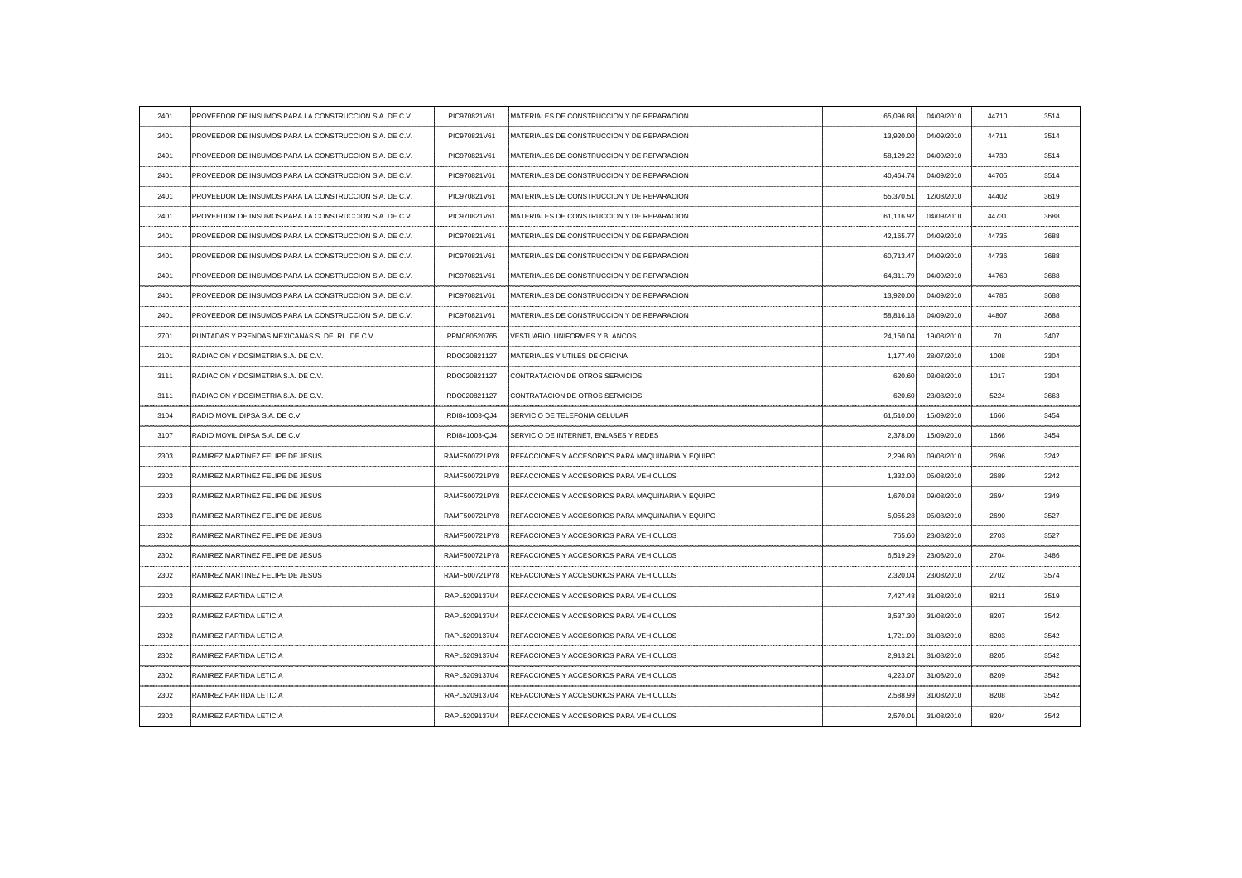| 2401 | PROVEEDOR DE INSUMOS PARA LA CONSTRUCCION S.A. DE C.V. | PIC970821V61  | MATERIALES DE CONSTRUCCION Y DE REPARACION                      | 65,096.88 | 04/09/2010 | 44710 | 3514  |
|------|--------------------------------------------------------|---------------|-----------------------------------------------------------------|-----------|------------|-------|-------|
| 2401 | PROVEEDOR DE INSUMOS PARA LA CONSTRUCCION S.A. DE C.V. | PIC970821V61  | MATERIALES DE CONSTRUCCION Y DE REPARACION                      | 13,920.00 | 04/09/2010 | 44711 | 3514  |
| 2401 | PROVEEDOR DE INSUMOS PARA LA CONSTRUCCION S.A. DE C.V. | PIC970821V61  | MATERIALES DE CONSTRUCCION Y DE REPARACION                      | 58,129.22 | 04/09/2010 | 44730 | 3514  |
| 2401 | PROVEEDOR DE INSUMOS PARA LA CONSTRUCCION S.A. DE C.V. | PIC970821V61  | <b>IMATERIALES DE CONSTRUCCION Y DE REPARACION</b>              | 40.464.74 | 04/09/2010 | 44705 | 3514  |
| 2401 | PROVEEDOR DE INSUMOS PARA LA CONSTRUCCION S.A. DE C.V. | PIC970821V61  | <b>IMATERIALES DE CONSTRUCCION Y DE REPARACION</b>              | 55,370.51 | 12/08/2010 | 44402 | 3619  |
| 2401 | PROVEEDOR DE INSUMOS PARA LA CONSTRUCCION S.A. DE C.V. | PIC970821V61  | MATERIALES DE CONSTRUCCION Y DE REPARACION                      | 61.116.92 | 04/09/2010 | 44731 | 3688  |
| 2401 | PROVEEDOR DE INSUMOS PARA LA CONSTRUCCION S.A. DE C.V. | PIC970821V61  | MATERIALES DE CONSTRUCCION Y DE REPARACION                      | 42,165.77 | 04/09/2010 | 44735 | 3688  |
| 2401 | PROVEEDOR DE INSUMOS PARA LA CONSTRUCCION S.A. DE C.V. | PIC970821V61  | MATERIALES DE CONSTRUCCION Y DE REPARACION                      | 60,713.47 | 04/09/2010 | 44736 | 3688  |
| 2401 | PROVEEDOR DE INSUMOS PARA LA CONSTRUCCION S.A. DE C.V. | PIC970821V61  | MATERIALES DE CONSTRUCCION Y DE REPARACION                      | 64,311.79 | 04/09/2010 | 44760 | 3688  |
| 2401 | PROVEEDOR DE INSUMOS PARA LA CONSTRUCCION S.A. DE C.V. | PIC970821V61  | MATERIALES DE CONSTRUCCION Y DE REPARACION                      | 13,920.00 | 04/09/2010 | 44785 | 3688  |
| 2401 | PROVEEDOR DE INSUMOS PARA LA CONSTRUCCION S.A. DE C.V. | PIC970821V61  | MATERIALES DE CONSTRUCCION Y DE REPARACION                      | 58.816.18 | 04/09/2010 | 44807 | 3688  |
| 2701 | PUNTADAS Y PRENDAS MEXICANAS S. DE RL. DE C.V.         | PPM080520765  | VESTUARIO, UNIFORMES Y BLANCOS                                  | 24,150.04 | 19/08/2010 | 70    | -3407 |
| 2101 | RADIACION Y DOSIMETRIA S.A. DE C.V                     | RDO020821127  | MATERIALES Y UTILES DE OFICINA                                  | 1,177.40  | 28/07/2010 | 1008  | 3304  |
| 3111 | RADIACION Y DOSIMETRIA S.A. DE C.V.                    | RDO020821127  | <b>CONTRATACION DE OTROS SERVICIOS</b>                          | 620.60∖   | 03/08/2010 | 1017  | 3304  |
| 3111 | RADIACION Y DOSIMETRIA S.A. DE C.V.                    | RDO020821127  | CONTRATACION DE OTROS SERVICIOS                                 | 620.60    | 23/08/2010 | 5224  | 3663  |
|      | RADIO MOVIL DIPSA S.A. DE C.V                          | RDI841003-QJ4 | SERVICIO DE TELEFONIA CELULAR                                   | 61,510.00 | 15/09/2010 |       |       |
| 3107 | RADIO MOVIL DIPSA S.A. DE C.V.                         | RDI841003-QJ4 | SERVICIO DE INTERNET, ENLASES Y REDES                           | 2,378.00  | 15/09/2010 | 1666  | 3454  |
| 2303 | RAMIREZ MARTINEZ FELIPE DE JESUS                       | RAMF500721PY8 | :REFACCIONES Y ACCESORIOS PARA MAQUINARIA Y EQUIPO              | 2,296.80  | 09/08/2010 | 2696  | 3242  |
| 2302 | RAMIREZ MARTINEZ FELIPE DE JESUS                       | RAMF500721PY8 | REFACCIONES Y ACCESORIOS PARA VEHICULOS                         | 1,332.00  | 05/08/2010 | 2689  | 3242  |
| 2303 | RAMIREZ MARTINEZ FELIPE DE JESUS                       | RAMF500721PY8 | : REFACCIONES Y ACCESORIOS PARA MAQUINARIA Y EQUIPO             | 1.670.08  | 09/08/2010 | 2694  | 3349  |
| 2303 | RAMIREZ MARTINEZ FELIPE DE JESUS                       |               | RAMF500721PY8 REFACCIONES Y ACCESORIOS PARA MAQUINARIA Y EQUIPO | 5,055.28  | 05/08/2010 | 2690  | 3527  |
| 2302 | RAMIREZ MARTINEZ FELIPE DE JESUS                       | RAMF500721PY8 | REFACCIONES Y ACCESORIOS PARA VEHICULOS                         | 765.60    | 23/08/2010 | 2703  | 3527  |
| 2302 | RAMIREZ MARTINEZ FELIPE DE JESUS                       | RAMF500721PY8 | REFACCIONES Y ACCESORIOS PARA VEHICULOS                         | 6,519.29  | 23/08/2010 | 2704  | 3486  |
| 2302 | RAMIREZ MARTINEZ FELIPE DE JESUS                       | RAMF500721PY8 | REFACCIONES Y ACCESORIOS PARA VEHICULOS                         | 2,320.04  | 23/08/2010 | 2702  | 3574  |
| 2302 | RAMIREZ PARTIDA LETICIA                                | RAPL5209137U4 | REFACCIONES Y ACCESORIOS PARA VEHICULOS                         | 7.427.48  | 31/08/2010 | 8211  | 3519  |
| 2302 | <b>RAMIREZ PARTIDA LETICIA</b>                         | RAPL5209137U4 | REFACCIONES Y ACCESORIOS PARA VEHICULOS                         | 3,537.30  | 31/08/2010 | 8207  | 3542  |
| 2302 | <b>RAMIREZ PARTIDA LETICIA</b>                         | RAPL5209137U4 | REFACCIONES Y ACCESORIOS PARA VEHICULOS                         | 1,721.00  | 31/08/2010 | 8203  | 3542  |
| 2302 | <b>RAMIREZ PARTIDA LETICIA</b>                         | RAPL5209137U4 | REFACCIONES Y ACCESORIOS PARA VEHICULOS                         | 2,913.21  | 31/08/2010 | 8205  | 3542  |
| 2302 | <b>RAMIREZ PARTIDA LETICIA</b>                         | RAPL5209137U4 | REFACCIONES Y ACCESORIOS PARA VEHICULOS                         | 4,223.07  | 31/08/2010 | 8209  | 3542  |
| 2302 | <b>RAMIREZ PARTIDA LETICIA</b>                         | RAPL5209137U4 | REFACCIONES Y ACCESORIOS PARA VEHICULOS                         | 2,588.99  | 31/08/2010 | 8208  | 3542  |
| 2302 | <b>RAMIREZ PARTIDA LETICIA</b>                         | RAPL5209137U4 | REFACCIONES Y ACCESORIOS PARA VEHICULOS                         | 2,570.01  | 31/08/2010 | 8204  | 3542  |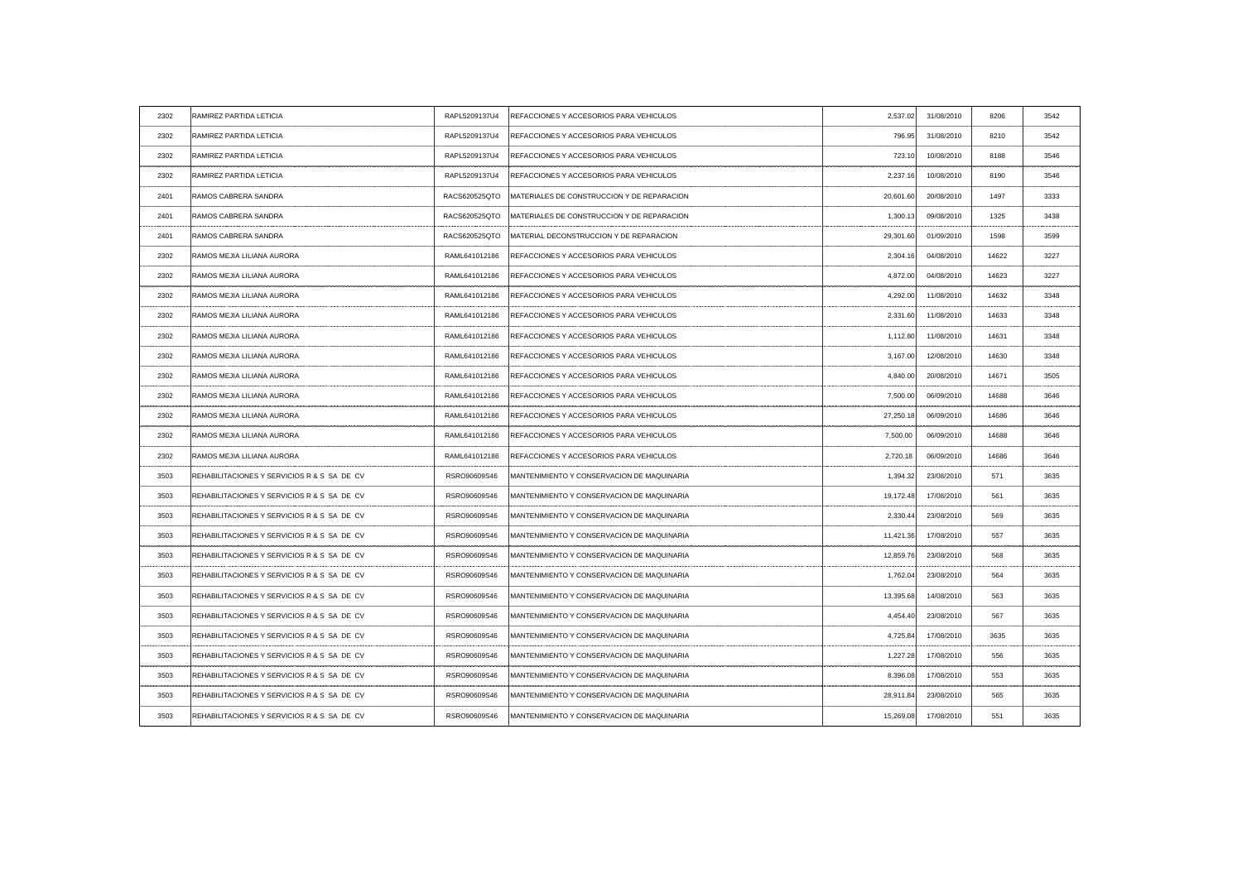| 2302 | <b>RAMIREZ PARTIDA LETICIA</b>              | RAPL5209137U4 | REFACCIONES Y ACCESORIOS PARA VEHICULOS               | 2,537.02  | 31/08/2010           | 8206                     | 3542 |
|------|---------------------------------------------|---------------|-------------------------------------------------------|-----------|----------------------|--------------------------|------|
| 2302 | RAMIREZ PARTIDA LETICIA                     | RAPL5209137U4 | REFACCIONES Y ACCESORIOS PARA VEHICULOS               | 796.95    | 31/08/2010           | 8210                     | 3542 |
| 2302 | RAMIREZ PARTIDA LETICIA                     | RAPL5209137U4 | REFACCIONES Y ACCESORIOS PARA VEHICULOS               | 723.10    | 10/08/2010           | 8188                     | 3546 |
| 2302 | RAMIREZ PARTIDA LETICIA                     | RAPL5209137U4 | REFACCIONES Y ACCESORIOS PARA VEHICULOS               | 2,237.16  | 10/08/2010           | 8190                     | 3546 |
| 2401 | RAMOS CABRERA SANDRA                        | RACS620525QTO | <b>IMATERIALES DE CONSTRUCCION Y DE REPARACION</b>    | 20,601.60 | 20/08/2010           | 1497                     | 3333 |
| 2401 | RAMOS CABRERA SANDRA                        | RACS620525QTO | <b>IMATERIALES DE CONSTRUCCION Y DE REPARACION</b>    | 1,300.13  | 09/08/2010           | 1325                     | 3438 |
| 2401 | RAMOS CABRERA SANDRA                        | RACS620525QTO | MATERIAL DECONSTRUCCION Y DE REPARACION               | 29,301.60 | 01/09/2010           | 1598                     | 3599 |
| 2302 | RAMOS MEJIA LILIANA AURORA                  | RAML641012186 | REFACCIONES Y ACCESORIOS PARA VEHICULOS               | 2,304.16  | 04/08/2010           | 14622                    | 3227 |
| 2302 | RAMOS MEJIA LILIANA AURORA                  |               | RAML641012186 REFACCIONES Y ACCESORIOS PARA VEHICULOS | 4,872.00  | 04/08/2010           | 14623                    | 3227 |
| 2302 | RAMOS MEJIA LILIANA AURORA                  | RAML641012186 | REFACCIONES Y ACCESORIOS PARA VEHICULOS               | 4,292.00  | 11/08/2010           | 14632                    | 3348 |
| 2302 | RAMOS MEJIA LILIANA AURORA                  | RAML641012186 | REFACCIONES Y ACCESORIOS PARA VEHICULOS               | 2,331.60  | 11/08/2010           | 14633                    | 3348 |
| 2302 | RAMOS MEJIA LILIANA AURORA                  | RAML641012186 | REFACCIONES Y ACCESORIOS PARA VEHICULOS               | 1,112.80  | 11/08/2010           | 14631                    | 3348 |
| 2302 | RAMOS MEJIA LILIANA AURORA                  | RAML641012186 | REFACCIONES Y ACCESORIOS PARA VEHICULOS               | 3,167.00  | 12/08/2010           | 14630                    | 3348 |
| 2302 | RAMOS MEJIA LILIANA AURORA                  | RAML641012186 | REFACCIONES Y ACCESORIOS PARA VEHICULOS               | 4,840.00  | 20/08/2010           | 14671                    | 3505 |
| 2302 | RAMOS MEJIA LILIANA AURORA                  | RAML641012186 | REFACCIONES Y ACCESORIOS PARA VEHICULOS               | 7,500.00  | 06/09/2010           | 14688                    | 3646 |
| 2302 | RAMOS MEJIA LILIANA AURORA                  | RAML641012186 | REFACCIONES Y ACCESORIOS PARA VEHICULOS               |           | 27,250.18 06/09/2010 | 14686                    |      |
| 2302 | RAMOS MEJIA LILIANA AURORA                  | RAML641012186 | REFACCIONES Y ACCESORIOS PARA VEHICULOS               | 7,500.00  | 06/09/2010           | 14688                    | 3646 |
| 2302 | <b>RAMOS MEJIA LILIANA AURORA</b>           | RAML641012186 | REFACCIONES Y ACCESORIOS PARA VEHICULOS               | 2,720.18  | 06/09/2010           | 14686                    | 3646 |
| 3503 | REHABILITACIONES Y SERVICIOS R & S SA DE CV | RSRO90609S46  | MANTENIMIENTO Y CONSERVACION DE MAQUINARIA            | 1,394.32  | 23/08/2010           | 571<br>----------------- | 3635 |
| 3503 | REHABILITACIONES Y SERVICIOS R & S SA DE CV | RSRO90609S46  | MANTENIMIENTO Y CONSERVACION DE MAQUINARIA            | 19,172.48 | 17/08/2010           | 561                      | 3635 |
| 3503 | REHABILITACIONES Y SERVICIOS R & S SA DE CV | RSRO90609S46  | MANTENIMIENTO Y CONSERVACION DE MAQUINARIA            | 2,330.44  | 23/08/2010           | 569                      | 3635 |
| 3503 | REHABILITACIONES Y SERVICIOS R & S SA DE CV | RSRO90609S46  | <b>IMANTENIMIENTO Y CONSERVACION DE MAQUINARIA</b>    | 11,421.36 | 17/08/2010           | 557                      | 3635 |
| 3503 | REHABILITACIONES Y SERVICIOS R & S SA DE CV | RSRO90609S46  | MANTENIMIENTO Y CONSERVACION DE MAQUINARIA            | 12,859.76 | 23/08/2010           | 568                      | 3635 |
| 3503 | REHABILITACIONES Y SERVICIOS R & S SA DE CV | RSRO90609S46  | MANTENIMIENTO Y CONSERVACION DE MAQUINARIA            | 1,762.04  | 23/08/2010           | 564                      | 3635 |
| 3503 | REHABILITACIONES Y SERVICIOS R & S SA DE CV | RSRO90609S46  | MANTENIMIENTO Y CONSERVACION DE MAQUINARIA            | 13,395.68 | 14/08/2010           | 563                      | 3635 |
| 3503 | REHABILITACIONES Y SERVICIOS R & S SA DE CV | RSRO90609S46  | MANTENIMIENTO Y CONSERVACION DE MAQUINARIA            | 4,454.40  | 23/08/2010           | 567                      | 3635 |
| 3503 | REHABILITACIONES Y SERVICIOS R & S SA DE CV | RSRO90609S46  | MANTENIMIENTO Y CONSERVACION DE MAQUINARIA            | 4,725.84  | 17/08/2010           | 3635                     | 3635 |
| 3503 | REHABILITACIONES Y SERVICIOS R & S SA DE CV | RSRO90609S46  | MANTENIMIENTO Y CONSERVACION DE MAQUINARIA            | 1,227.28  | 17/08/2010           | 556                      | 3635 |
| 3503 | REHABILITACIONES Y SERVICIOS R & S SA DE CV | RSRO90609S46  | MANTENIMIENTO Y CONSERVACION DE MAQUINARIA            | 8,396.08  | 17/08/2010           | 553                      | 3635 |
| 3503 | REHABILITACIONES Y SERVICIOS R & S SA DE CV | RSRO90609S46  | MANTENIMIENTO Y CONSERVACION DE MAQUINARIA            | 28,911.84 | 23/08/2010           | 565                      | 3635 |
| 3503 | REHABILITACIONES Y SERVICIOS R & S SA DE CV | RSRO90609S46  | MANTENIMIENTO Y CONSERVACION DE MAQUINARIA            | 15,269.08 | 17/08/2010           | 551                      | 3635 |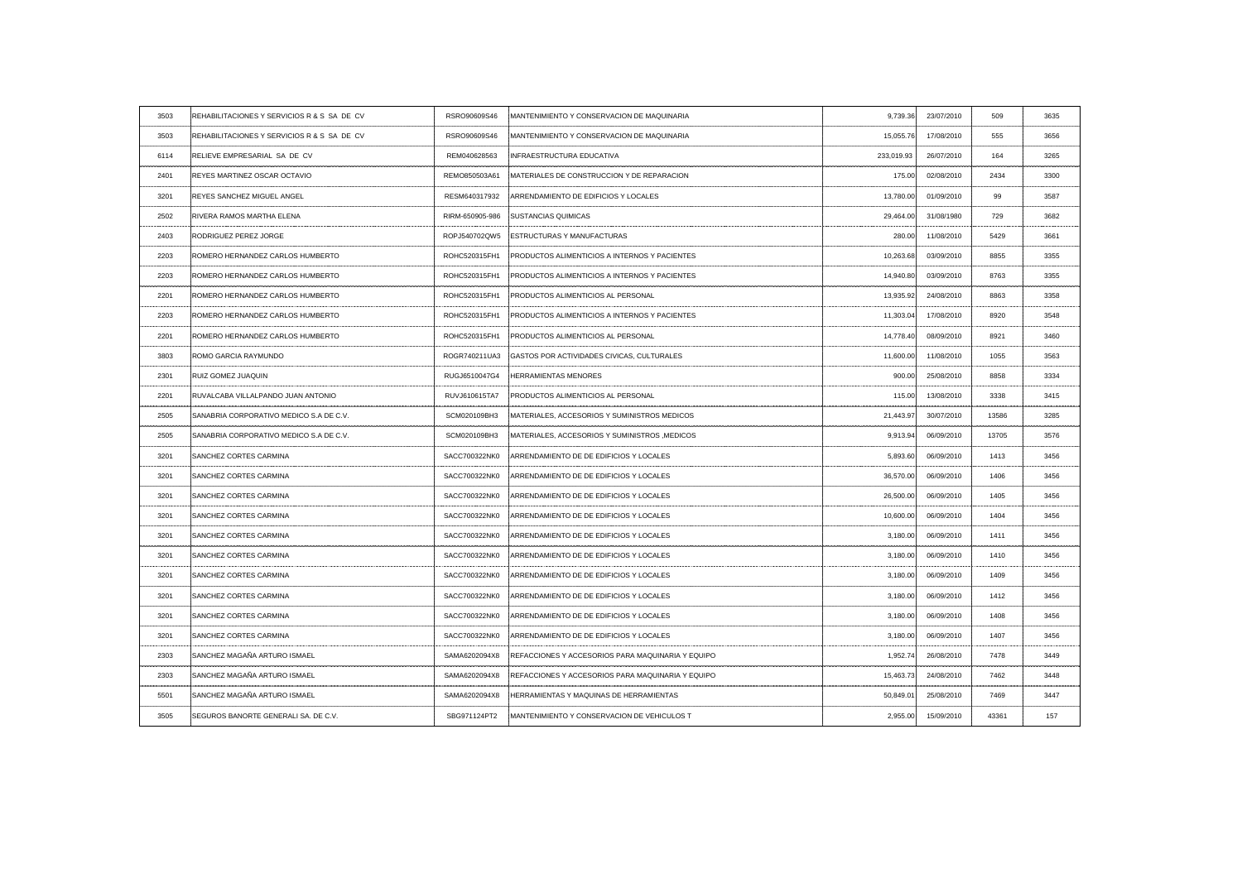|                                             | RSRO90609S46                                                                                                                                                                                         | MANTENIMIENTO Y CONSERVACION DE MAQUINARIA         | 9,739.36                                                                                                                                                                                                                                                                                                                                                                                                                                    | 23/07/2010 | 509                  | 3635 |
|---------------------------------------------|------------------------------------------------------------------------------------------------------------------------------------------------------------------------------------------------------|----------------------------------------------------|---------------------------------------------------------------------------------------------------------------------------------------------------------------------------------------------------------------------------------------------------------------------------------------------------------------------------------------------------------------------------------------------------------------------------------------------|------------|----------------------|------|
| REHABILITACIONES Y SERVICIOS R & S SA DE CV | RSRO90609S46                                                                                                                                                                                         | MANTENIMIENTO Y CONSERVACION DE MAQUINARIA         | 15,055.76                                                                                                                                                                                                                                                                                                                                                                                                                                   | 17/08/2010 | 555                  | 3656 |
| RELIEVE EMPRESARIAL SA DE CV                | REM040628563                                                                                                                                                                                         | INFRAESTRUCTURA EDUCATIVA                          | 233,019.93                                                                                                                                                                                                                                                                                                                                                                                                                                  | 26/07/2010 | 164                  | 3265 |
| <b>REYES MARTINEZ OSCAR OCTAVIO</b>         | REMO850503A61                                                                                                                                                                                        | <b>IMATERIALES DE CONSTRUCCION Y DE REPARACION</b> | 175.00                                                                                                                                                                                                                                                                                                                                                                                                                                      | 02/08/2010 | 2434                 | 3300 |
| <b>REYES SANCHEZ MIGUEL ANGEL</b>           | RESM640317932                                                                                                                                                                                        | ARRENDAMIENTO DE EDIFICIOS Y LOCALES               | 13,780.00                                                                                                                                                                                                                                                                                                                                                                                                                                   | 01/09/2010 | 99                   | 3587 |
| <b>RIVERA RAMOS MARTHA ELENA</b>            |                                                                                                                                                                                                      |                                                    | 29,464.00                                                                                                                                                                                                                                                                                                                                                                                                                                   | 31/08/1980 | 729                  | 3682 |
|                                             |                                                                                                                                                                                                      |                                                    | 280.00                                                                                                                                                                                                                                                                                                                                                                                                                                      | 11/08/2010 | 5429                 | 3661 |
| ROMERO HERNANDEZ CARLOS HUMBERTO            | ROHC520315FH1                                                                                                                                                                                        |                                                    | 10,263.68                                                                                                                                                                                                                                                                                                                                                                                                                                   | 03/09/2010 | 8855                 | 3355 |
| ROMERO HERNANDEZ CARLOS HUMBERTO            | ROHC520315FH1                                                                                                                                                                                        |                                                    | 14,940.80                                                                                                                                                                                                                                                                                                                                                                                                                                   | 03/09/2010 | 8763                 | 3355 |
|                                             |                                                                                                                                                                                                      |                                                    | 13,935.92                                                                                                                                                                                                                                                                                                                                                                                                                                   | 24/08/2010 | 8863                 | 3358 |
| ROMERO HERNANDEZ CARLOS HUMBERTO            | ROHC520315FH1                                                                                                                                                                                        | PRODUCTOS ALIMENTICIOS A INTERNOS Y PACIENTES      | 11,303.04                                                                                                                                                                                                                                                                                                                                                                                                                                   | 17/08/2010 | 8920                 | 3548 |
| ROMERO HERNANDEZ CARLOS HUMBERTO            |                                                                                                                                                                                                      |                                                    | 14,778.40                                                                                                                                                                                                                                                                                                                                                                                                                                   | 08/09/2010 | 8921                 | 3460 |
| <b>ROMO GARCIA RAYMUNDO</b>                 |                                                                                                                                                                                                      |                                                    | 11,600.00                                                                                                                                                                                                                                                                                                                                                                                                                                   | 11/08/2010 | 1055                 | 3563 |
| <b>RUIZ GOMEZ JUAQUIN</b>                   | RUGJ6510047G4                                                                                                                                                                                        | <b>HERRAMIENTAS MENORES</b>                        | 900.00                                                                                                                                                                                                                                                                                                                                                                                                                                      | 25/08/2010 | 8858                 | 3334 |
| RUVALCABA VILLALPANDO JUAN ANTONIO          | RUVJ610615TA7                                                                                                                                                                                        | PRODUCTOS ALIMENTICIOS AL PERSONAL                 | 115.00                                                                                                                                                                                                                                                                                                                                                                                                                                      | 13/08/2010 | 3338                 | 3415 |
| SANABRIA CORPORATIVO MEDICO S.A DE C.V      | SCM020109BH3                                                                                                                                                                                         | MATERIALES, ACCESORIOS Y SUMINISTROS MEDICOS       |                                                                                                                                                                                                                                                                                                                                                                                                                                             |            | 13586                | 3285 |
| SANABRIA CORPORATIVO MEDICO S.A DE C.V.     | SCM020109BH3                                                                                                                                                                                         | MATERIALES, ACCESORIOS Y SUMINISTROS, MEDICOS      | 9,913.94                                                                                                                                                                                                                                                                                                                                                                                                                                    | 06/09/2010 | 13705                | 3576 |
| <b>SANCHEZ CORTES CARMINA</b>               | SACC700322NK0                                                                                                                                                                                        | ARRENDAMIENTO DE DE EDIFICIOS Y LOCALES            | 5.893.60                                                                                                                                                                                                                                                                                                                                                                                                                                    | 06/09/2010 | 1413                 | 3456 |
| <b>SANCHEZ CORTES CARMINA</b>               | SACC700322NK0                                                                                                                                                                                        | ARRENDAMIENTO DE DE EDIFICIOS Y LOCALES            | 36,570.00                                                                                                                                                                                                                                                                                                                                                                                                                                   | 06/09/2010 | 1406                 | 3456 |
| <b>SANCHEZ CORTES CARMINA</b>               | SACC700322NK0                                                                                                                                                                                        | ARRENDAMIENTO DE DE EDIFICIOS Y LOCALES            | 26,500.00                                                                                                                                                                                                                                                                                                                                                                                                                                   | 06/09/2010 | 1405                 | 3456 |
| SANCHEZ CORTES CARMINA                      | SACC700322NK0                                                                                                                                                                                        | : ARRENDAMIENTO DE DE EDIFICIOS Y LOCALES          | 10,600.00                                                                                                                                                                                                                                                                                                                                                                                                                                   | 06/09/2010 | 1404                 | 3456 |
|                                             | SACC700322NK0                                                                                                                                                                                        |                                                    | 3,180.00                                                                                                                                                                                                                                                                                                                                                                                                                                    | 06/09/2010 | 1411                 | 3456 |
|                                             | SACC700322NK0                                                                                                                                                                                        | ARRENDAMIENTO DE DE EDIFICIOS Y LOCALES            | 3,180.00                                                                                                                                                                                                                                                                                                                                                                                                                                    | 06/09/2010 | 1410                 | 3456 |
| <b>SANCHEZ CORTES CARMINA</b>               | SACC700322NK0                                                                                                                                                                                        |                                                    | 3,180.00                                                                                                                                                                                                                                                                                                                                                                                                                                    | 06/09/2010 | 1409                 | 3456 |
| <b>SANCHEZ CORTES CARMINA</b>               | SACC700322NK0                                                                                                                                                                                        | ARRENDAMIENTO DE DE EDIFICIOS Y LOCALES            | 3.180.00                                                                                                                                                                                                                                                                                                                                                                                                                                    | 06/09/2010 | 1412                 |      |
| <b>SANCHEZ CORTES CARMINA</b>               | SACC700322NK0                                                                                                                                                                                        | ARRENDAMIENTO DE DE EDIFICIOS Y LOCALES            | 3,180.00                                                                                                                                                                                                                                                                                                                                                                                                                                    | 06/09/2010 | 1408                 | 3456 |
|                                             | SACC700322NK0                                                                                                                                                                                        | ARRENDAMIENTO DE DE EDIFICIOS Y LOCALES            | 3,180.00                                                                                                                                                                                                                                                                                                                                                                                                                                    | 06/09/2010 | 1407                 | 3456 |
| SANCHEZ MAGAÑA ARTURO ISMAEL                | SAMA6202094X8                                                                                                                                                                                        | REFACCIONES Y ACCESORIOS PARA MAQUINARIA Y EQUIPO  | 1,952.74                                                                                                                                                                                                                                                                                                                                                                                                                                    | 26/08/2010 | 7478                 | 3449 |
| SANCHEZ MAGAÑA ARTURO ISMAEL                | SAMA6202094X8                                                                                                                                                                                        | REFACCIONES Y ACCESORIOS PARA MAQUINARIA Y EQUIPO  | 15,463.73                                                                                                                                                                                                                                                                                                                                                                                                                                   | 24/08/2010 | 7462                 | 3448 |
| SANCHEZ MAGAÑA ARTURO ISMAEL                | SAMA6202094X8                                                                                                                                                                                        | HERRAMIENTAS Y MAQUINAS DE HERRAMIENTAS            | 50,849.01                                                                                                                                                                                                                                                                                                                                                                                                                                   | 25/08/2010 | 7469                 | 3447 |
| SEGUROS BANORTE GENERALI SA. DE C.V.        | SBG971124PT2                                                                                                                                                                                         | MANTENIMIENTO Y CONSERVACION DE VEHICULOS T        | 2,955.00                                                                                                                                                                                                                                                                                                                                                                                                                                    | 15/09/2010 | 43361                | 157  |
|                                             | REHABILITACIONES Y SERVICIOS R & S SA DE CV<br><b>RODRIGUEZ PEREZ JORGE</b><br>ROMERO HERNANDEZ CARLOS HUMBERTO<br>SANCHEZ CORTES CARMINA<br>SANCHEZ CORTES CARMINA<br><b>SANCHEZ CORTES CARMINA</b> |                                                    | RIRM-650905-986 SUSTANCIAS QUIMICAS<br>ROPJ540702QW5 ESTRUCTURAS Y MANUFACTURAS<br>PRODUCTOS ALIMENTICIOS A INTERNOS Y PACIENTES<br>PRODUCTOS ALIMENTICIOS A INTERNOS Y PACIENTES<br>ROHC520315FH1 PRODUCTOS ALIMENTICIOS AL PERSONAL<br>ROHC520315FH1 PRODUCTOS ALIMENTICIOS AL PERSONAL<br>ROGR740211UA3 GASTOS POR ACTIVIDADES CIVICAS, CULTURALES<br>ARRENDAMIENTO DE DE EDIFICIOS Y LOCALES<br>ARRENDAMIENTO DE DE EDIFICIOS Y LOCALES |            | 21,443.97 30/07/2010 | .    |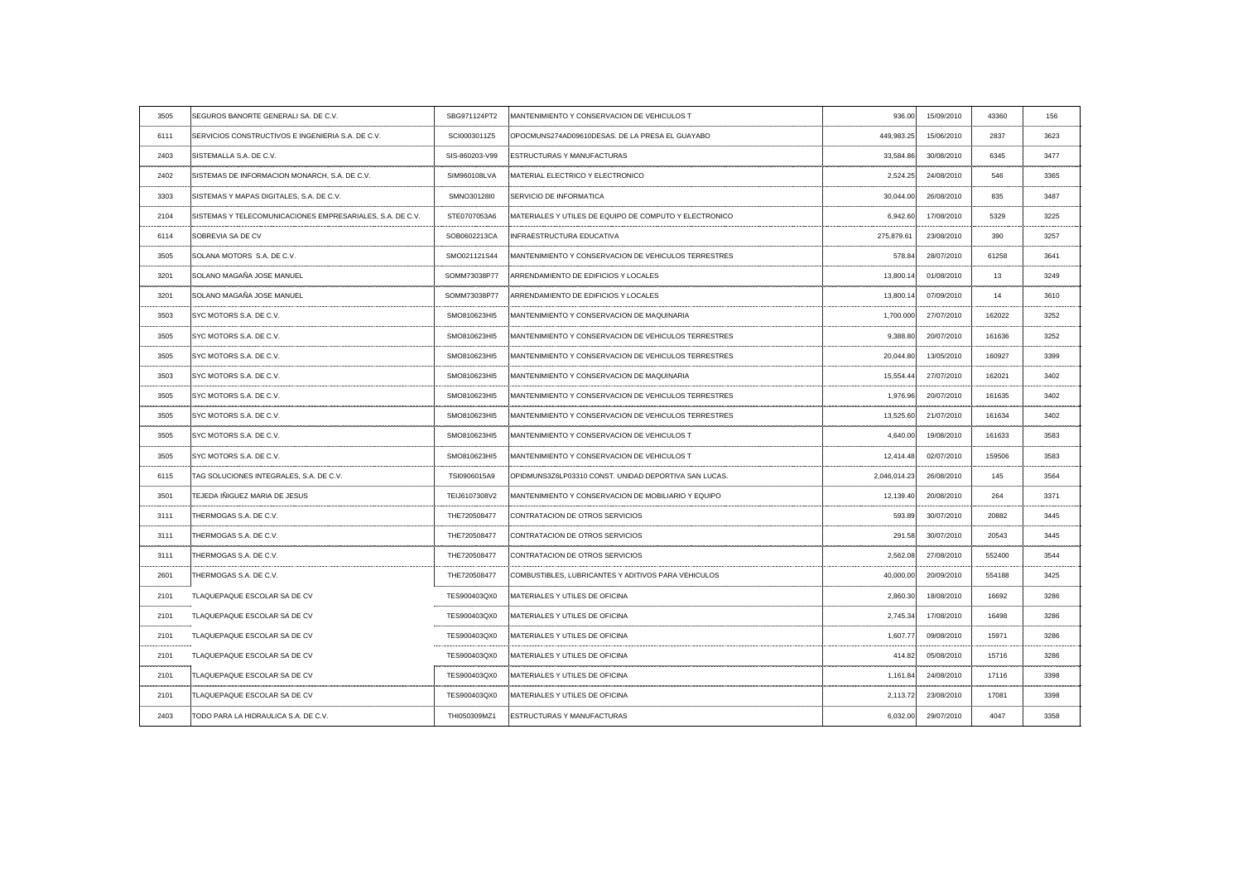| 3505                     | SEGUROS BANORTE GENERALI SA. DE C.V.                      | SBG971124PT2                                | MANTENIMIENTO Y CONSERVACION DE VEHICULOS T            | 936.00       | 15/09/2010                       | 43360    | 156   |
|--------------------------|-----------------------------------------------------------|---------------------------------------------|--------------------------------------------------------|--------------|----------------------------------|----------|-------|
| 6111                     | SERVICIOS CONSTRUCTIVOS E INGENIERIA S.A. DE C.V          | SCI0003011Z5                                | :OPOCMUNS274AD09610DESAS. DE LA PRESA EL GUAYABO       | 449,983.25   | 15/06/2010                       | 2837     | 3623  |
| 2403                     | SISTEMALLA S.A. DE C.V.                                   | SIS-860203-V99                              | <b>ESTRUCTURAS Y MANUFACTURAS</b>                      | 33,584.86    | 30/08/2010                       | 6345     | 3477  |
| 2402                     | SISTEMAS DE INFORMACION MONARCH, S.A. DE C.V.             | SIM960108LVA                                | MATERIAL ELECTRICO Y ELECTRONICO                       | 2,524.25     | 24/08/2010                       | 546      | 3365  |
| 3303                     | SISTEMAS Y MAPAS DIGITALES, S.A. DE C.V.                  | SMNO30128I0                                 | <b>SERVICIO DE INFORMATICA</b>                         | 30,044.00    | 26/08/2010                       | 835      | 3487  |
| 2104                     | SISTEMAS Y TELECOMUNICACIONES EMPRESARIALES, S.A. DE C.V. | STE0707053A6                                | MATERIALES Y UTILES DE EQUIPO DE COMPUTO Y ELECTRONICO | 6,942.60     | 17/08/2010                       | 5329     | 3225  |
| 6114                     | SOBREVIA SA DE CV                                         | SOB0602213CA                                | INFRAESTRUCTURA EDUCATIVA                              | 275,879.61   | 23/08/2010                       | 390      | 3257  |
| 3505                     | SOLANA MOTORS S.A. DE C.V.                                | SMO021121S44                                | MANTENIMIENTO Y CONSERVACION DE VEHICULOS TERRESTRES   | 578.84       | 28/07/2010                       | 61258    | -3641 |
| 3201                     | SOLANO MAGAÑA JOSE MANUEL                                 | SOMM73038P77                                | ARRENDAMIENTO DE EDIFICIOS Y LOCALES                   | 13,800.14    | 01/08/2010                       | 13       | 3249  |
| 3201                     | SOLANO MAGAÑA JOSE MANUEL                                 | SOMM73038P77                                | ARRENDAMIENTO DE EDIFICIOS Y LOCALES                   | 13,800.14    | 07/09/2010                       | 14       | 3610  |
| 3503                     | SYC MOTORS S.A. DE C.V.                                   | SMO810623HI5                                | MANTENIMIENTO Y CONSERVACION DE MAQUINARIA             | 1,700.000    | 27/07/2010                       | 162022   | 3252  |
| 3505                     | <b>SYC MOTORS S.A. DE C.V.</b>                            | SMO810623HI5                                | MANTENIMIENTO Y CONSERVACION DE VEHICULOS TERRESTRES   | 9,388.80     | 20/07/2010                       | 161636   | 3252  |
| 3505                     | <b>SYC MOTORS S.A. DE C.V.</b>                            | SMO810623HI5                                | MANTENIMIENTO Y CONSERVACION DE VEHICULOS TERRESTRES   | 20,044.80    | 13/05/2010                       | 160927   | 3399  |
| 3503                     | SYC MOTORS S.A. DE C.V.                                   | SMO810623HI5                                | MANTENIMIENTO Y CONSERVACION DE MAQUINARIA             | 15,554.44    | 27/07/2010                       | 162021   | 3402  |
| 3505                     | SYC MOTORS S.A. DE C.V.                                   | SMO810623HI5                                | MANTENIMIENTO Y CONSERVACION DE VEHICULOS TERRESTRES   | 1,976.96     | 20/07/2010                       | 161635   | 3402  |
|                          | SYC MOTORS S.A. DE C.V.                                   | SMO810623HI5                                | MANTENIMIENTO Y CONSERVACION DE VEHICULOS TERRESTRES   | 13,525.60    | 21/07/2010                       | 161634   |       |
| 3505                     | SYC MOTORS S.A. DE C.V.                                   | SMO810623HI5<br>------------------ <b>-</b> | MANTENIMIENTO Y CONSERVACION DE VEHICULOS T            | 4,640.00     | 19/08/2010                       | 161633   | 3583  |
| 3505                     | SYC MOTORS S.A. DE C.V.                                   | SMO810623HI5                                | MANTENIMIENTO Y CONSERVACION DE VEHICULOS              | 12,414.48    | 02/07/2010                       | 159506   |       |
| 6115<br>.                | TAG SOLUCIONES INTEGRALES, S.A. DE C.V.                   | TSI0906015A9                                | :OPIDMUNS3Z6LP03310 CONST. UNIDAD DEPORTIVA SAN LUCAS. | 2,046,014.23 | 26/08/2010<br>------------------ | 145<br>. | 3564  |
| 3501                     | TEJEDA IÑIGUEZ MARIA DE JESUS                             | TEIJ6107308V2                               | MANTENIMIENTO Y CONSERVACION DE MOBILIARIO Y EQUIPO    | 12,139.40    | 20/08/2010                       | 264      | 337'  |
| 3111                     | THERMOGAS S.A. DE C.V.                                    | THE720508477                                | CONTRATACION DE OTROS SERVICIOS                        | 593.89       | 30/07/2010                       | 20882    | 3445  |
| -3111                    | THERMOGAS S.A. DE C.V.                                    | THE720508477                                | CONTRATACION DE OTROS SERVICIOS                        | 291.58       | 30/07/2010                       | 20543    | 3445  |
| 3111                     | THERMOGAS S.A. DE C.V.                                    | THE720508477                                | CONTRATACION DE OTROS SERVICIOS                        | 2,562.08     | 27/08/2010                       | 552400   | 3544  |
| 2601<br>---------------- | THERMOGAS S.A. DE C.V.                                    | THE720508477                                | COMBUSTIBLES, LUBRICANTES Y ADITIVOS PARA VEHICULOS    | 40,000.00    | 20/09/2010                       | 554188   | 3425  |
| 2101<br>--------------   | TLAQUEPAQUE ESCOLAR SA DE CV                              | TES900403QX0                                | MATERIALES Y UTILES DE OFICINA                         | 2,860.30     | 18/08/2010                       | 16692    | 3286  |
| 2101                     | TLAQUEPAQUE ESCOLAR SA DE CV                              | TES900403QX0                                | MATERIALES Y UTILES DE OFICINA                         | 2,745.34     | 17/08/2010                       | 16498    | 3286  |
| 2101<br>---------------  | TLAQUEPAQUE ESCOLAR SA DE CV                              | TES900403QX0                                | MATERIALES Y UTILES DE OFICINA                         | 1,607.77     | 09/08/2010                       | 15971    | 3286  |
| 2101<br>--------------   | TLAQUEPAQUE ESCOLAR SA DE CV                              | TES900403QX0                                | MATERIALES Y UTILES DE OFICINA                         | 414.82       | 05/08/2010                       | 15716    | 3286  |
| 2101                     | TLAQUEPAQUE ESCOLAR SA DE CV                              | TES900403QX0                                | MATERIALES Y UTILES DE OFICINA                         | 1,161.84     | 24/08/2010                       | 17116    | 3398  |
| 2101                     | TLAQUEPAQUE ESCOLAR SA DE CV                              | TES900403QX0                                | MATERIALES Y UTILES DE OFICINA                         | 2,113.72     | 23/08/2010                       | 17081    | 3398  |
| 2403                     | TODO PARA LA HIDRAULICA S.A. DE C.V.                      | THI050309MZ1                                | <b>ESTRUCTURAS Y MANUFACTURAS</b>                      | 6,032.00     | 29/07/2010                       | 4047     | 3358  |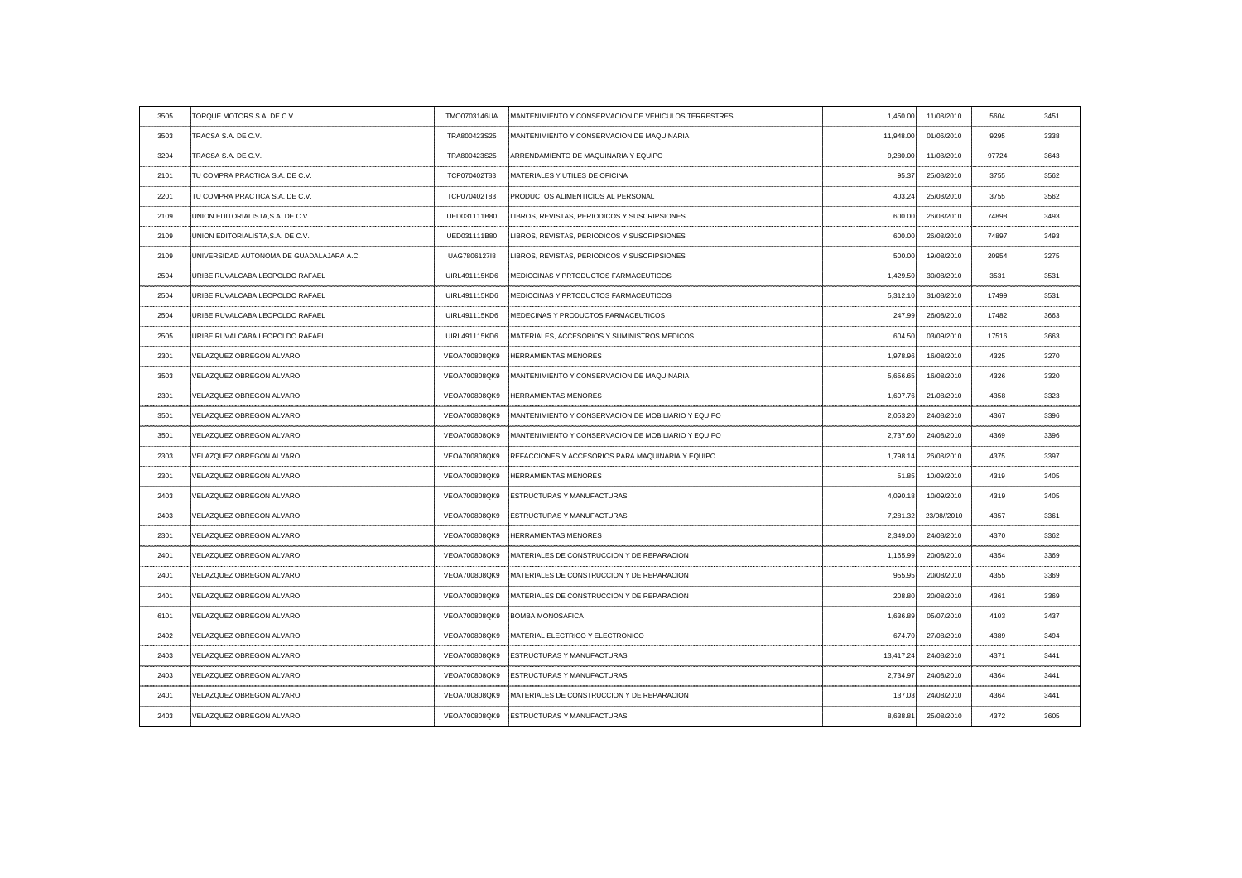| 3505 | TORQUE MOTORS S.A. DE C.V.               | TMO0703146UA  | MANTENIMIENTO Y CONSERVACION DE VEHICULOS TERRESTRES     | 1,450.00  | 11/08/2010                                     | 5604  | 3451             |
|------|------------------------------------------|---------------|----------------------------------------------------------|-----------|------------------------------------------------|-------|------------------|
| 3503 | TRACSA S.A. DE C.V.                      | TRA800423S25  | MANTENIMIENTO Y CONSERVACION DE MAQUINARIA               | 11,948.00 | 01/06/2010                                     | 9295  | 3338             |
| 3204 | TRACSA S.A. DE C.V.                      | TRA800423S25  | ARRENDAMIENTO DE MAQUINARIA Y EQUIPO                     | 9,280.00  | 11/08/2010                                     | 97724 | 3643             |
| 2101 | TU COMPRA PRACTICA S.A. DE C.V.          | TCP070402T83  | <b>IMATERIALES Y UTILES DE OFICINA</b>                   | 95.37     | 25/08/2010                                     | 3755  | 3562             |
| 2201 | TU COMPRA PRACTICA S.A. DE C.V.          | TCP070402T83  | <b>PRODUCTOS ALIMENTICIOS AL PERSONAL</b>                | 403.24    | 25/08/2010                                     | 3755  | 3562             |
| 2109 | UNION EDITORIALISTA, S.A. DE C.V.        | UED031111B80  | LIBROS, REVISTAS, PERIODICOS Y SUSCRIPSIONES             | 600.00    | 26/08/2010                                     | 74898 | 3493             |
| 2109 | UNION EDITORIALISTA, S.A. DE C.V.        | UED031111B80  | LIBROS, REVISTAS, PERIODICOS Y SUSCRIPSIONES             | 600.00    | 26/08/2010                                     | 74897 | 3493             |
| 2109 | UNIVERSIDAD AUTONOMA DE GUADALAJARA A.C. | UAG7806127I8  | LIBROS, REVISTAS, PERIODICOS Y SUSCRIPSIONES             | 500.00    | 19/08/2010                                     | 20954 | 3275             |
| 2504 | URIBE RUVALCABA LEOPOLDO RAFAEL          | UIRL491115KD6 | MEDICCINAS Y PRTODUCTOS FARMACEUTICOS                    | 1,429.50  | 30/08/2010                                     | 3531  | 3531             |
| 2504 | URIBE RUVALCABA LEOPOLDO RAFAEL          | UIRL491115KD6 | <b>IMEDICCINAS Y PRTODUCTOS FARMACEUTICOS</b>            | 5,312.10  | 31/08/2010                                     | 17499 | 3531             |
| 2504 | URIBE RUVALCABA LEOPOLDO RAFAEL          | UIRL491115KD6 | MEDECINAS Y PRODUCTOS FARMACEUTICOS                      | 247.99    | 26/08/2010                                     | 17482 | 3663             |
| 2505 | URIBE RUVALCABA LEOPOLDO RAFAEL          | UIRL491115KD6 | MATERIALES, ACCESORIOS Y SUMINISTROS MEDICOS             | 604.50    | 03/09/2010                                     | 17516 | 3663             |
| 2301 | VELAZQUEZ OBREGON ALVARO                 | VEOA700808QK9 | <b>HERRAMIENTAS MENORES</b>                              | 1,978.96  | 16/08/2010                                     | 4325  | 3270             |
| 3503 | VELAZQUEZ OBREGON ALVARO                 | VEOA700808QK9 | MANTENIMIENTO Y CONSERVACION DE MAQUINARIA               | 5,656.65  | 16/08/2010                                     | 4326  | 3320             |
| 2301 | VELAZQUEZ OBREGON ALVARO                 | VEOA700808QK9 | <b>HERRAMIENTAS MENORES</b>                              | 1,607.76  | 21/08/2010                                     | 4358  | 3323             |
| 3501 | VELAZQUEZ OBREGON ALVARO                 |               |                                                          | 2,053.20  | 24/08/2010<br>-------------------------------- |       |                  |
| 3501 | VELAZQUEZ OBREGON ALVARO                 | VEOA700808QK9 | MANTENIMIENTO Y CONSERVACION DE MOBILIARIO Y EQUIPO      | 2,737.60  | 24/08/2010                                     | 4369  | 3396             |
| 2303 | VELAZQUEZ OBREGON ALVARO                 | VEOA700808QK9 | REFACCIONES Y ACCESORIOS PARA MAQUINARIA Y EQUIPO        | 1,798.14  | 26/08/2010                                     | 4375  |                  |
| 2301 | VELAZQUEZ OBREGON ALVARO                 |               | VEOA700808QK9 HERRAMIENTAS MENORES                       | 51.85     | 10/09/2010                                     | 4319  | 3405             |
| 2403 | VELAZQUEZ OBREGON ALVARO                 | VEOA700808QK9 | <b>ESTRUCTURAS Y MANUFACTURAS</b>                        | 4,090.18  | 10/09/2010                                     | 4319  |                  |
| 2403 | VELAZQUEZ OBREGON ALVARO                 |               | VEOA700808QK9 ESTRUCTURAS Y MANUFACTURAS                 | 7,281.32  | 23/08//2010                                    | 4357  | 3361             |
| 2301 | VELAZQUEZ OBREGON ALVARO                 | VEOA700808QK9 | <b>HERRAMIENTAS MENORES</b>                              | 2,349.00  | 24/08/2010                                     | 4370  | 3362             |
| 2401 | VELAZQUEZ OBREGON ALVARO                 |               | VEOA700808QK9 MATERIALES DE CONSTRUCCION Y DE REPARACION | 1,165.99  | 20/08/2010                                     | 4354  | 3369             |
| 2401 | VELAZQUEZ OBREGON ALVARO                 | VEOA700808QK9 | MATERIALES DE CONSTRUCCION Y DE REPARACION               | 955.95    | 20/08/2010                                     | 4355  | 3369             |
| 2401 | VELAZQUEZ OBREGON ALVARO                 | VEOA700808QK9 | MATERIALES DE CONSTRUCCION Y DE REPARACION               | 208.80    | 20/08/2010                                     | 4361  | 3369             |
| 6101 | VELAZQUEZ OBREGON ALVARO                 |               | VEOA700808QK9 BOMBA MONOSAFICA                           | 1,636.89  | 05/07/2010                                     | 4103  | 3437             |
| 2402 | VELAZQUEZ OBREGON ALVARO                 | VEOA700808QK9 | MATERIAL ELECTRICO Y ELECTRONICO                         | 674.70    | 27/08/2010                                     | 4389  | 3494             |
| 2403 | VELAZQUEZ OBREGON ALVARO                 |               | VEOA700808QK9 ESTRUCTURAS Y MANUFACTURAS                 | 13,417.24 | 24/08/2010                                     | 4371  | 344 <sup>.</sup> |
| 2403 | VELAZQUEZ OBREGON ALVARO                 | VEOA700808QK9 | <b>ESTRUCTURAS Y MANUFACTURAS</b>                        | 2,734.97  | 24/08/2010                                     | 4364  | $344^{\circ}$    |
| 2401 | VELAZQUEZ OBREGON ALVARO                 | VEOA700808QK9 | MATERIALES DE CONSTRUCCION Y DE REPARACION               | 137.03    | 24/08/2010                                     | 4364  | 3441             |
| 2403 | VELAZQUEZ OBREGON ALVARO                 | VEOA700808QK9 | <b>ESTRUCTURAS Y MANUFACTURAS</b>                        | 8,638.81  | 25/08/2010                                     | 4372  | 3605             |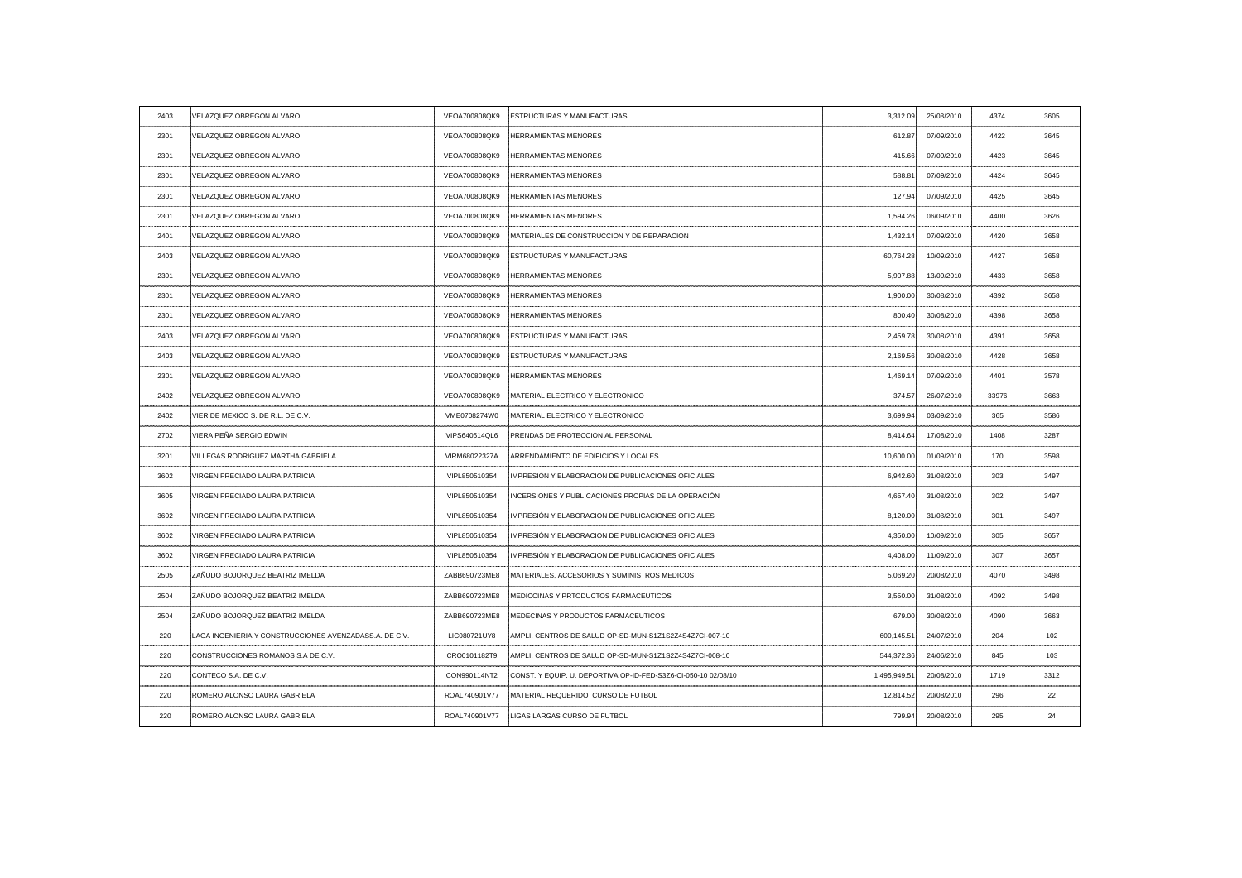| VEOA700808QK9 ESTRUCTURAS Y MANUFACTURAS<br>VELAZQUEZ OBREGON ALVARO<br>3,312.09<br>2403<br>VELAZQUEZ OBREGON ALVARO<br>VEOA700808QK9<br><b>HERRAMIENTAS MENORES</b><br>2301<br>612.87<br>VELAZQUEZ OBREGON ALVARO<br>VEOA700808QK9<br><b>HERRAMIENTAS MENORES</b><br>2301<br>415.66<br>VELAZQUEZ OBREGON ALVARO<br>VEOA700808QK9<br><b>HERRAMIENTAS MENORES</b><br>2301<br>588.81<br>2301<br>VELAZQUEZ OBREGON ALVARO<br>VEOA700808QK9<br><b>HERRAMIENTAS MENORES</b><br>127.94<br>VELAZQUEZ OBREGON ALVARO<br>VEOA700808QK9<br><b>HERRAMIENTAS MENORES</b><br>1,594.26<br>2301<br>VELAZQUEZ OBREGON ALVARO<br>VEOA700808QK9<br><b>IMATERIALES DE CONSTRUCCION Y DE REPARACION</b><br>2401<br>1,432.14<br>VELAZQUEZ OBREGON ALVARO<br>VEOA700808QK9<br><b>ESTRUCTURAS Y MANUFACTURAS</b><br>60,764.28<br>2403<br>VELAZQUEZ OBREGON ALVARO<br>VEOA700808QK9 HERRAMIENTAS MENORES<br>2301<br>5,907.88<br>2301<br>VELAZQUEZ OBREGON ALVARO<br>VEOA700808QK9<br><b>HERRAMIENTAS MENORES</b><br>1,900.00<br>VELAZQUEZ OBREGON ALVARO<br>VEOA700808QK9<br><b>HERRAMIENTAS MENORES</b><br>800.40<br>2301<br>-----------------<br>VELAZQUEZ OBREGON ALVARO<br>2403<br>VEOA700808QK9<br><b>ESTRUCTURAS Y MANUFACTURAS</b><br>2,459.78<br>VELAZQUEZ OBREGON ALVARO<br>VEOA700808QK9<br><b>ESTRUCTURAS Y MANUFACTURAS</b><br>2403<br>2,169.56<br>VELAZQUEZ OBREGON ALVARO<br>VEOA700808QK9<br><b>HERRAMIENTAS MENORES</b><br>2301<br>1,469.14<br>MATERIAL ELECTRICO Y ELECTRONICO<br>374.57<br>2402<br>VELAZQUEZ OBREGON ALVARO<br>VEOA700808QK9<br>VIER DE MEXICO S. DE R.L. DE C.V.<br>VME0708274W0 MATERIAL ELECTRICO Y ELECTRONICO<br>2402<br>3,699.94<br>------------<br>--------------------------------------<br>VIERA PEÑA SERGIO EDWIN<br>VIPS640514QL6<br>PRENDAS DE PROTECCION AL PERSONAL<br>2702<br>8,414.64<br>VILLEGAS RODRIGUEZ MARTHA GABRIELA<br>√IRM68022327A<br>ARRENDAMIENTO DE EDIFICIOS Y LOCALES<br>3201<br>10,600.00<br>VIRGEN PRECIADO LAURA PATRICIA<br>IMPRESIÓN Y ELABORACION DE PUBLICACIONES OFICIALES<br>VIPL850510354<br>6,942.60<br>3602<br>VIRGEN PRECIADO LAURA PATRICIA<br>VIPL850510354<br>INCERSIONES Y PUBLICACIONES PROPIAS DE LA OPERACIÓN<br>3605<br>4,657.40<br>IMPRESIÓN Y ELABORACION DE PUBLICACIONES OFICIALES<br><b>VIRGEN PRECIADO LAURA PATRICIA</b><br>VIPL850510354<br>3602<br>8,120.00<br>IMPRESIÓN Y ELABORACION DE PUBLICACIONES OFICIALES<br>VIPL850510354<br>4,350.00<br>3602<br>VIRGEN PRECIADO LAURA PATRICIA<br>IMPRESIÓN Y ELABORACION DE PUBLICACIONES OFICIALES<br>VIRGEN PRECIADO LAURA PATRICIA<br>VIPL850510354<br>3602<br>4,408.00<br>ZAÑUDO BOJORQUEZ BEATRIZ IMELDA<br>2505<br>ZABB690723ME8<br>MATERIALES, ACCESORIOS Y SUMINISTROS MEDICOS<br>5,069.20<br>ZAÑUDO BOJORQUEZ BEATRIZ IMELDA<br>MEDICCINAS Y PRTODUCTOS FARMACEUTICOS<br>2504<br>ZABB690723ME8<br>3,550.00<br>2504<br>ZAÑUDO BOJORQUEZ BEATRIZ IMELDA<br>ZABB690723ME8<br>MEDECINAS Y PRODUCTOS FARMACEUTICOS<br>679.00<br>220<br>LAGA INGENIERIA Y CONSTRUCCIONES AVENZADASS.A. DE C.V.<br>LIC080721UY8<br>AMPLI. CENTROS DE SALUD OP-SD-MUN-S1Z1S2Z4S4Z7CI-007-10<br>600,145.51<br>CONSTRUCCIONES ROMANOS S.A DE C.V.<br>544,372.36<br>220<br>CRO0101182T9<br>AMPLI. CENTROS DE SALUD OP-SD-MUN-S1Z1S2Z4S4Z7CI-008-10<br>CONTECO S.A. DE C.V.<br>CONST, Y EQUIP, U. DEPORTIVA OP-ID-FED-S3Z6-CI-050-10 02/08/10<br>220<br>CON990114NT2<br>1,495,949.51<br>220<br>ROMERO ALONSO LAURA GABRIELA<br>ROAL740901V77<br>MATERIAL REQUERIDO CURSO DE FUTBOL<br>12,814.52<br>LIGAS LARGAS CURSO DE FUTBOL<br>ROMERO ALONSO LAURA GABRIELA<br>ROAL740901V77<br>220<br>799.94 |  |  |            |                    |      |
|--------------------------------------------------------------------------------------------------------------------------------------------------------------------------------------------------------------------------------------------------------------------------------------------------------------------------------------------------------------------------------------------------------------------------------------------------------------------------------------------------------------------------------------------------------------------------------------------------------------------------------------------------------------------------------------------------------------------------------------------------------------------------------------------------------------------------------------------------------------------------------------------------------------------------------------------------------------------------------------------------------------------------------------------------------------------------------------------------------------------------------------------------------------------------------------------------------------------------------------------------------------------------------------------------------------------------------------------------------------------------------------------------------------------------------------------------------------------------------------------------------------------------------------------------------------------------------------------------------------------------------------------------------------------------------------------------------------------------------------------------------------------------------------------------------------------------------------------------------------------------------------------------------------------------------------------------------------------------------------------------------------------------------------------------------------------------------------------------------------------------------------------------------------------------------------------------------------------------------------------------------------------------------------------------------------------------------------------------------------------------------------------------------------------------------------------------------------------------------------------------------------------------------------------------------------------------------------------------------------------------------------------------------------------------------------------------------------------------------------------------------------------------------------------------------------------------------------------------------------------------------------------------------------------------------------------------------------------------------------------------------------------------------------------------------------------------------------------------------------------------------------------------------------------------------------------------------------------------------------------------------------------------------------------------------------------------------------------------------------------------------------------------------------------------------------------------------------------------------------------------------------------------------------------------------------------------------------------------|--|--|------------|--------------------|------|
|                                                                                                                                                                                                                                                                                                                                                                                                                                                                                                                                                                                                                                                                                                                                                                                                                                                                                                                                                                                                                                                                                                                                                                                                                                                                                                                                                                                                                                                                                                                                                                                                                                                                                                                                                                                                                                                                                                                                                                                                                                                                                                                                                                                                                                                                                                                                                                                                                                                                                                                                                                                                                                                                                                                                                                                                                                                                                                                                                                                                                                                                                                                                                                                                                                                                                                                                                                                                                                                                                                                                                                                                  |  |  | 25/08/2010 | 4374               | 3605 |
|                                                                                                                                                                                                                                                                                                                                                                                                                                                                                                                                                                                                                                                                                                                                                                                                                                                                                                                                                                                                                                                                                                                                                                                                                                                                                                                                                                                                                                                                                                                                                                                                                                                                                                                                                                                                                                                                                                                                                                                                                                                                                                                                                                                                                                                                                                                                                                                                                                                                                                                                                                                                                                                                                                                                                                                                                                                                                                                                                                                                                                                                                                                                                                                                                                                                                                                                                                                                                                                                                                                                                                                                  |  |  | 07/09/2010 | 4422               | 3645 |
|                                                                                                                                                                                                                                                                                                                                                                                                                                                                                                                                                                                                                                                                                                                                                                                                                                                                                                                                                                                                                                                                                                                                                                                                                                                                                                                                                                                                                                                                                                                                                                                                                                                                                                                                                                                                                                                                                                                                                                                                                                                                                                                                                                                                                                                                                                                                                                                                                                                                                                                                                                                                                                                                                                                                                                                                                                                                                                                                                                                                                                                                                                                                                                                                                                                                                                                                                                                                                                                                                                                                                                                                  |  |  | 07/09/2010 | 4423               | 3645 |
|                                                                                                                                                                                                                                                                                                                                                                                                                                                                                                                                                                                                                                                                                                                                                                                                                                                                                                                                                                                                                                                                                                                                                                                                                                                                                                                                                                                                                                                                                                                                                                                                                                                                                                                                                                                                                                                                                                                                                                                                                                                                                                                                                                                                                                                                                                                                                                                                                                                                                                                                                                                                                                                                                                                                                                                                                                                                                                                                                                                                                                                                                                                                                                                                                                                                                                                                                                                                                                                                                                                                                                                                  |  |  | 07/09/2010 | 4424               | 3645 |
|                                                                                                                                                                                                                                                                                                                                                                                                                                                                                                                                                                                                                                                                                                                                                                                                                                                                                                                                                                                                                                                                                                                                                                                                                                                                                                                                                                                                                                                                                                                                                                                                                                                                                                                                                                                                                                                                                                                                                                                                                                                                                                                                                                                                                                                                                                                                                                                                                                                                                                                                                                                                                                                                                                                                                                                                                                                                                                                                                                                                                                                                                                                                                                                                                                                                                                                                                                                                                                                                                                                                                                                                  |  |  | 07/09/2010 | 4425               | 3645 |
|                                                                                                                                                                                                                                                                                                                                                                                                                                                                                                                                                                                                                                                                                                                                                                                                                                                                                                                                                                                                                                                                                                                                                                                                                                                                                                                                                                                                                                                                                                                                                                                                                                                                                                                                                                                                                                                                                                                                                                                                                                                                                                                                                                                                                                                                                                                                                                                                                                                                                                                                                                                                                                                                                                                                                                                                                                                                                                                                                                                                                                                                                                                                                                                                                                                                                                                                                                                                                                                                                                                                                                                                  |  |  | 06/09/2010 | 4400               | 3626 |
|                                                                                                                                                                                                                                                                                                                                                                                                                                                                                                                                                                                                                                                                                                                                                                                                                                                                                                                                                                                                                                                                                                                                                                                                                                                                                                                                                                                                                                                                                                                                                                                                                                                                                                                                                                                                                                                                                                                                                                                                                                                                                                                                                                                                                                                                                                                                                                                                                                                                                                                                                                                                                                                                                                                                                                                                                                                                                                                                                                                                                                                                                                                                                                                                                                                                                                                                                                                                                                                                                                                                                                                                  |  |  | 07/09/2010 | 4420               | 3658 |
|                                                                                                                                                                                                                                                                                                                                                                                                                                                                                                                                                                                                                                                                                                                                                                                                                                                                                                                                                                                                                                                                                                                                                                                                                                                                                                                                                                                                                                                                                                                                                                                                                                                                                                                                                                                                                                                                                                                                                                                                                                                                                                                                                                                                                                                                                                                                                                                                                                                                                                                                                                                                                                                                                                                                                                                                                                                                                                                                                                                                                                                                                                                                                                                                                                                                                                                                                                                                                                                                                                                                                                                                  |  |  | 10/09/2010 | 4427               | 3658 |
|                                                                                                                                                                                                                                                                                                                                                                                                                                                                                                                                                                                                                                                                                                                                                                                                                                                                                                                                                                                                                                                                                                                                                                                                                                                                                                                                                                                                                                                                                                                                                                                                                                                                                                                                                                                                                                                                                                                                                                                                                                                                                                                                                                                                                                                                                                                                                                                                                                                                                                                                                                                                                                                                                                                                                                                                                                                                                                                                                                                                                                                                                                                                                                                                                                                                                                                                                                                                                                                                                                                                                                                                  |  |  | 13/09/2010 | 4433               | 3658 |
|                                                                                                                                                                                                                                                                                                                                                                                                                                                                                                                                                                                                                                                                                                                                                                                                                                                                                                                                                                                                                                                                                                                                                                                                                                                                                                                                                                                                                                                                                                                                                                                                                                                                                                                                                                                                                                                                                                                                                                                                                                                                                                                                                                                                                                                                                                                                                                                                                                                                                                                                                                                                                                                                                                                                                                                                                                                                                                                                                                                                                                                                                                                                                                                                                                                                                                                                                                                                                                                                                                                                                                                                  |  |  | 30/08/2010 | 4392               | 3658 |
|                                                                                                                                                                                                                                                                                                                                                                                                                                                                                                                                                                                                                                                                                                                                                                                                                                                                                                                                                                                                                                                                                                                                                                                                                                                                                                                                                                                                                                                                                                                                                                                                                                                                                                                                                                                                                                                                                                                                                                                                                                                                                                                                                                                                                                                                                                                                                                                                                                                                                                                                                                                                                                                                                                                                                                                                                                                                                                                                                                                                                                                                                                                                                                                                                                                                                                                                                                                                                                                                                                                                                                                                  |  |  | 30/08/2010 | 4398               | 3658 |
|                                                                                                                                                                                                                                                                                                                                                                                                                                                                                                                                                                                                                                                                                                                                                                                                                                                                                                                                                                                                                                                                                                                                                                                                                                                                                                                                                                                                                                                                                                                                                                                                                                                                                                                                                                                                                                                                                                                                                                                                                                                                                                                                                                                                                                                                                                                                                                                                                                                                                                                                                                                                                                                                                                                                                                                                                                                                                                                                                                                                                                                                                                                                                                                                                                                                                                                                                                                                                                                                                                                                                                                                  |  |  | 30/08/2010 | . <b>.</b><br>4391 | 3658 |
|                                                                                                                                                                                                                                                                                                                                                                                                                                                                                                                                                                                                                                                                                                                                                                                                                                                                                                                                                                                                                                                                                                                                                                                                                                                                                                                                                                                                                                                                                                                                                                                                                                                                                                                                                                                                                                                                                                                                                                                                                                                                                                                                                                                                                                                                                                                                                                                                                                                                                                                                                                                                                                                                                                                                                                                                                                                                                                                                                                                                                                                                                                                                                                                                                                                                                                                                                                                                                                                                                                                                                                                                  |  |  | 30/08/2010 | 4428               | 3658 |
|                                                                                                                                                                                                                                                                                                                                                                                                                                                                                                                                                                                                                                                                                                                                                                                                                                                                                                                                                                                                                                                                                                                                                                                                                                                                                                                                                                                                                                                                                                                                                                                                                                                                                                                                                                                                                                                                                                                                                                                                                                                                                                                                                                                                                                                                                                                                                                                                                                                                                                                                                                                                                                                                                                                                                                                                                                                                                                                                                                                                                                                                                                                                                                                                                                                                                                                                                                                                                                                                                                                                                                                                  |  |  | 07/09/2010 | 4401               | 3578 |
|                                                                                                                                                                                                                                                                                                                                                                                                                                                                                                                                                                                                                                                                                                                                                                                                                                                                                                                                                                                                                                                                                                                                                                                                                                                                                                                                                                                                                                                                                                                                                                                                                                                                                                                                                                                                                                                                                                                                                                                                                                                                                                                                                                                                                                                                                                                                                                                                                                                                                                                                                                                                                                                                                                                                                                                                                                                                                                                                                                                                                                                                                                                                                                                                                                                                                                                                                                                                                                                                                                                                                                                                  |  |  | 26/07/2010 | 33976              | 3663 |
|                                                                                                                                                                                                                                                                                                                                                                                                                                                                                                                                                                                                                                                                                                                                                                                                                                                                                                                                                                                                                                                                                                                                                                                                                                                                                                                                                                                                                                                                                                                                                                                                                                                                                                                                                                                                                                                                                                                                                                                                                                                                                                                                                                                                                                                                                                                                                                                                                                                                                                                                                                                                                                                                                                                                                                                                                                                                                                                                                                                                                                                                                                                                                                                                                                                                                                                                                                                                                                                                                                                                                                                                  |  |  | 03/09/2010 |                    |      |
|                                                                                                                                                                                                                                                                                                                                                                                                                                                                                                                                                                                                                                                                                                                                                                                                                                                                                                                                                                                                                                                                                                                                                                                                                                                                                                                                                                                                                                                                                                                                                                                                                                                                                                                                                                                                                                                                                                                                                                                                                                                                                                                                                                                                                                                                                                                                                                                                                                                                                                                                                                                                                                                                                                                                                                                                                                                                                                                                                                                                                                                                                                                                                                                                                                                                                                                                                                                                                                                                                                                                                                                                  |  |  | 17/08/2010 | 1408               | 3287 |
|                                                                                                                                                                                                                                                                                                                                                                                                                                                                                                                                                                                                                                                                                                                                                                                                                                                                                                                                                                                                                                                                                                                                                                                                                                                                                                                                                                                                                                                                                                                                                                                                                                                                                                                                                                                                                                                                                                                                                                                                                                                                                                                                                                                                                                                                                                                                                                                                                                                                                                                                                                                                                                                                                                                                                                                                                                                                                                                                                                                                                                                                                                                                                                                                                                                                                                                                                                                                                                                                                                                                                                                                  |  |  | 01/09/2010 | 170                | 3598 |
|                                                                                                                                                                                                                                                                                                                                                                                                                                                                                                                                                                                                                                                                                                                                                                                                                                                                                                                                                                                                                                                                                                                                                                                                                                                                                                                                                                                                                                                                                                                                                                                                                                                                                                                                                                                                                                                                                                                                                                                                                                                                                                                                                                                                                                                                                                                                                                                                                                                                                                                                                                                                                                                                                                                                                                                                                                                                                                                                                                                                                                                                                                                                                                                                                                                                                                                                                                                                                                                                                                                                                                                                  |  |  | 31/08/2010 | 303                | 3497 |
|                                                                                                                                                                                                                                                                                                                                                                                                                                                                                                                                                                                                                                                                                                                                                                                                                                                                                                                                                                                                                                                                                                                                                                                                                                                                                                                                                                                                                                                                                                                                                                                                                                                                                                                                                                                                                                                                                                                                                                                                                                                                                                                                                                                                                                                                                                                                                                                                                                                                                                                                                                                                                                                                                                                                                                                                                                                                                                                                                                                                                                                                                                                                                                                                                                                                                                                                                                                                                                                                                                                                                                                                  |  |  | 31/08/2010 | 302                | 3497 |
|                                                                                                                                                                                                                                                                                                                                                                                                                                                                                                                                                                                                                                                                                                                                                                                                                                                                                                                                                                                                                                                                                                                                                                                                                                                                                                                                                                                                                                                                                                                                                                                                                                                                                                                                                                                                                                                                                                                                                                                                                                                                                                                                                                                                                                                                                                                                                                                                                                                                                                                                                                                                                                                                                                                                                                                                                                                                                                                                                                                                                                                                                                                                                                                                                                                                                                                                                                                                                                                                                                                                                                                                  |  |  | 31/08/2010 | 301                | 3497 |
|                                                                                                                                                                                                                                                                                                                                                                                                                                                                                                                                                                                                                                                                                                                                                                                                                                                                                                                                                                                                                                                                                                                                                                                                                                                                                                                                                                                                                                                                                                                                                                                                                                                                                                                                                                                                                                                                                                                                                                                                                                                                                                                                                                                                                                                                                                                                                                                                                                                                                                                                                                                                                                                                                                                                                                                                                                                                                                                                                                                                                                                                                                                                                                                                                                                                                                                                                                                                                                                                                                                                                                                                  |  |  | 10/09/2010 | 305                | 3657 |
|                                                                                                                                                                                                                                                                                                                                                                                                                                                                                                                                                                                                                                                                                                                                                                                                                                                                                                                                                                                                                                                                                                                                                                                                                                                                                                                                                                                                                                                                                                                                                                                                                                                                                                                                                                                                                                                                                                                                                                                                                                                                                                                                                                                                                                                                                                                                                                                                                                                                                                                                                                                                                                                                                                                                                                                                                                                                                                                                                                                                                                                                                                                                                                                                                                                                                                                                                                                                                                                                                                                                                                                                  |  |  | 11/09/2010 | 307                | 3657 |
|                                                                                                                                                                                                                                                                                                                                                                                                                                                                                                                                                                                                                                                                                                                                                                                                                                                                                                                                                                                                                                                                                                                                                                                                                                                                                                                                                                                                                                                                                                                                                                                                                                                                                                                                                                                                                                                                                                                                                                                                                                                                                                                                                                                                                                                                                                                                                                                                                                                                                                                                                                                                                                                                                                                                                                                                                                                                                                                                                                                                                                                                                                                                                                                                                                                                                                                                                                                                                                                                                                                                                                                                  |  |  | 20/08/2010 | 4070               | 3498 |
|                                                                                                                                                                                                                                                                                                                                                                                                                                                                                                                                                                                                                                                                                                                                                                                                                                                                                                                                                                                                                                                                                                                                                                                                                                                                                                                                                                                                                                                                                                                                                                                                                                                                                                                                                                                                                                                                                                                                                                                                                                                                                                                                                                                                                                                                                                                                                                                                                                                                                                                                                                                                                                                                                                                                                                                                                                                                                                                                                                                                                                                                                                                                                                                                                                                                                                                                                                                                                                                                                                                                                                                                  |  |  | 31/08/2010 | 4092               |      |
|                                                                                                                                                                                                                                                                                                                                                                                                                                                                                                                                                                                                                                                                                                                                                                                                                                                                                                                                                                                                                                                                                                                                                                                                                                                                                                                                                                                                                                                                                                                                                                                                                                                                                                                                                                                                                                                                                                                                                                                                                                                                                                                                                                                                                                                                                                                                                                                                                                                                                                                                                                                                                                                                                                                                                                                                                                                                                                                                                                                                                                                                                                                                                                                                                                                                                                                                                                                                                                                                                                                                                                                                  |  |  | 30/08/2010 | 4090               | 3663 |
|                                                                                                                                                                                                                                                                                                                                                                                                                                                                                                                                                                                                                                                                                                                                                                                                                                                                                                                                                                                                                                                                                                                                                                                                                                                                                                                                                                                                                                                                                                                                                                                                                                                                                                                                                                                                                                                                                                                                                                                                                                                                                                                                                                                                                                                                                                                                                                                                                                                                                                                                                                                                                                                                                                                                                                                                                                                                                                                                                                                                                                                                                                                                                                                                                                                                                                                                                                                                                                                                                                                                                                                                  |  |  | 24/07/2010 | 204                |      |
|                                                                                                                                                                                                                                                                                                                                                                                                                                                                                                                                                                                                                                                                                                                                                                                                                                                                                                                                                                                                                                                                                                                                                                                                                                                                                                                                                                                                                                                                                                                                                                                                                                                                                                                                                                                                                                                                                                                                                                                                                                                                                                                                                                                                                                                                                                                                                                                                                                                                                                                                                                                                                                                                                                                                                                                                                                                                                                                                                                                                                                                                                                                                                                                                                                                                                                                                                                                                                                                                                                                                                                                                  |  |  | 24/06/2010 | 845                | 103  |
|                                                                                                                                                                                                                                                                                                                                                                                                                                                                                                                                                                                                                                                                                                                                                                                                                                                                                                                                                                                                                                                                                                                                                                                                                                                                                                                                                                                                                                                                                                                                                                                                                                                                                                                                                                                                                                                                                                                                                                                                                                                                                                                                                                                                                                                                                                                                                                                                                                                                                                                                                                                                                                                                                                                                                                                                                                                                                                                                                                                                                                                                                                                                                                                                                                                                                                                                                                                                                                                                                                                                                                                                  |  |  | 20/08/2010 | 1719               | 3312 |
|                                                                                                                                                                                                                                                                                                                                                                                                                                                                                                                                                                                                                                                                                                                                                                                                                                                                                                                                                                                                                                                                                                                                                                                                                                                                                                                                                                                                                                                                                                                                                                                                                                                                                                                                                                                                                                                                                                                                                                                                                                                                                                                                                                                                                                                                                                                                                                                                                                                                                                                                                                                                                                                                                                                                                                                                                                                                                                                                                                                                                                                                                                                                                                                                                                                                                                                                                                                                                                                                                                                                                                                                  |  |  | 20/08/2010 | 296                | 22   |
|                                                                                                                                                                                                                                                                                                                                                                                                                                                                                                                                                                                                                                                                                                                                                                                                                                                                                                                                                                                                                                                                                                                                                                                                                                                                                                                                                                                                                                                                                                                                                                                                                                                                                                                                                                                                                                                                                                                                                                                                                                                                                                                                                                                                                                                                                                                                                                                                                                                                                                                                                                                                                                                                                                                                                                                                                                                                                                                                                                                                                                                                                                                                                                                                                                                                                                                                                                                                                                                                                                                                                                                                  |  |  | 20/08/2010 | 295                | 24   |